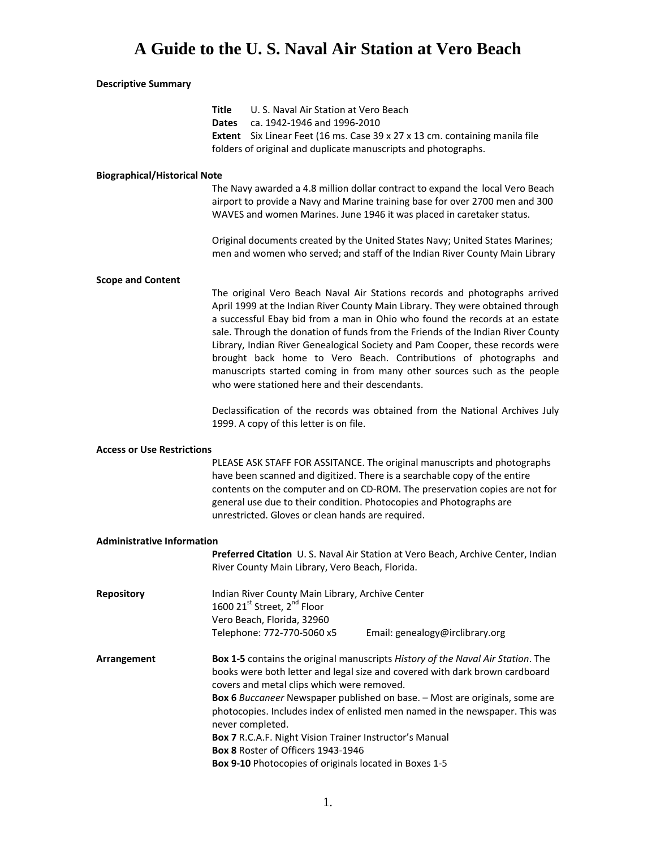### **Descriptive Summary**

|                                     | Title<br>Dates | U. S. Naval Air Station at Vero Beach<br>ca. 1942-1946 and 1996-2010                                                                                    |                                                                                                                                                                                                                                                                                                                                                                                                                                                                                                                                                                  |
|-------------------------------------|----------------|---------------------------------------------------------------------------------------------------------------------------------------------------------|------------------------------------------------------------------------------------------------------------------------------------------------------------------------------------------------------------------------------------------------------------------------------------------------------------------------------------------------------------------------------------------------------------------------------------------------------------------------------------------------------------------------------------------------------------------|
|                                     |                |                                                                                                                                                         | Extent Six Linear Feet (16 ms. Case 39 x 27 x 13 cm. containing manila file<br>folders of original and duplicate manuscripts and photographs.                                                                                                                                                                                                                                                                                                                                                                                                                    |
| <b>Biographical/Historical Note</b> |                |                                                                                                                                                         |                                                                                                                                                                                                                                                                                                                                                                                                                                                                                                                                                                  |
|                                     |                |                                                                                                                                                         | The Navy awarded a 4.8 million dollar contract to expand the local Vero Beach<br>airport to provide a Navy and Marine training base for over 2700 men and 300<br>WAVES and women Marines. June 1946 it was placed in caretaker status.                                                                                                                                                                                                                                                                                                                           |
|                                     |                |                                                                                                                                                         | Original documents created by the United States Navy; United States Marines;<br>men and women who served; and staff of the Indian River County Main Library                                                                                                                                                                                                                                                                                                                                                                                                      |
| <b>Scope and Content</b>            |                |                                                                                                                                                         |                                                                                                                                                                                                                                                                                                                                                                                                                                                                                                                                                                  |
|                                     |                | who were stationed here and their descendants.                                                                                                          | The original Vero Beach Naval Air Stations records and photographs arrived<br>April 1999 at the Indian River County Main Library. They were obtained through<br>a successful Ebay bid from a man in Ohio who found the records at an estate<br>sale. Through the donation of funds from the Friends of the Indian River County<br>Library, Indian River Genealogical Society and Pam Cooper, these records were<br>brought back home to Vero Beach. Contributions of photographs and<br>manuscripts started coming in from many other sources such as the people |
|                                     |                | 1999. A copy of this letter is on file.                                                                                                                 | Declassification of the records was obtained from the National Archives July                                                                                                                                                                                                                                                                                                                                                                                                                                                                                     |
| <b>Access or Use Restrictions</b>   |                |                                                                                                                                                         |                                                                                                                                                                                                                                                                                                                                                                                                                                                                                                                                                                  |
|                                     |                | unrestricted. Gloves or clean hands are required.                                                                                                       | PLEASE ASK STAFF FOR ASSITANCE. The original manuscripts and photographs<br>have been scanned and digitized. There is a searchable copy of the entire<br>contents on the computer and on CD-ROM. The preservation copies are not for<br>general use due to their condition. Photocopies and Photographs are                                                                                                                                                                                                                                                      |
| <b>Administrative Information</b>   |                |                                                                                                                                                         |                                                                                                                                                                                                                                                                                                                                                                                                                                                                                                                                                                  |
|                                     |                | River County Main Library, Vero Beach, Florida.                                                                                                         | Preferred Citation U.S. Naval Air Station at Vero Beach, Archive Center, Indian                                                                                                                                                                                                                                                                                                                                                                                                                                                                                  |
| <b>Repository</b>                   |                | Indian River County Main Library, Archive Center<br>1600 21st Street, 2 <sup>nd</sup> Floor<br>Vero Beach, Florida, 32960<br>Telephone: 772-770-5060 x5 | Email: genealogy@irclibrary.org                                                                                                                                                                                                                                                                                                                                                                                                                                                                                                                                  |
|                                     |                |                                                                                                                                                         |                                                                                                                                                                                                                                                                                                                                                                                                                                                                                                                                                                  |
| Arrangement                         |                | covers and metal clips which were removed.<br>never completed.                                                                                          | Box 1-5 contains the original manuscripts History of the Naval Air Station. The<br>books were both letter and legal size and covered with dark brown cardboard<br>Box 6 Buccaneer Newspaper published on base. - Most are originals, some are<br>photocopies. Includes index of enlisted men named in the newspaper. This was                                                                                                                                                                                                                                    |
|                                     |                | Box 7 R.C.A.F. Night Vision Trainer Instructor's Manual<br>Box 8 Roster of Officers 1943-1946                                                           |                                                                                                                                                                                                                                                                                                                                                                                                                                                                                                                                                                  |
|                                     |                | Box 9-10 Photocopies of originals located in Boxes 1-5                                                                                                  |                                                                                                                                                                                                                                                                                                                                                                                                                                                                                                                                                                  |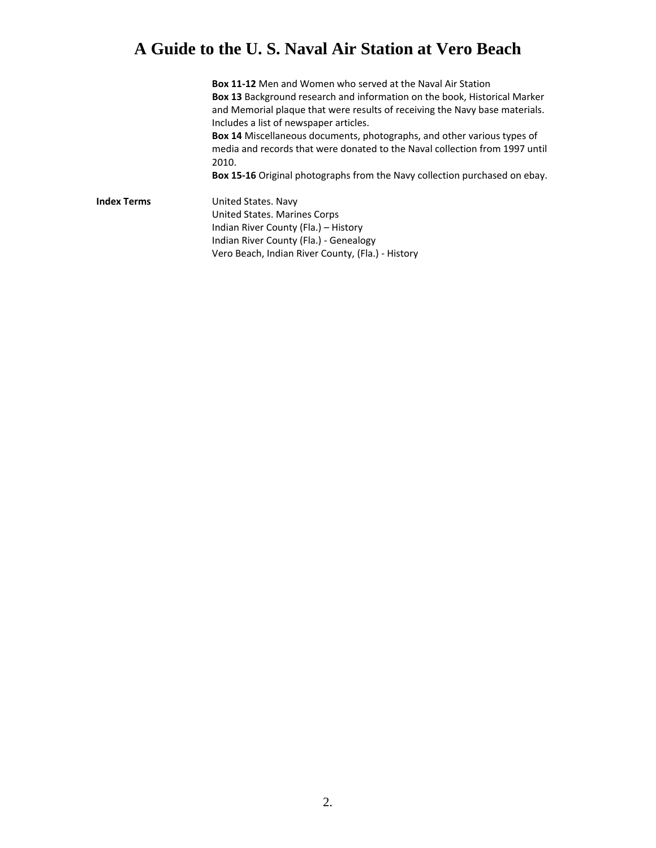**Box 11‐12** Men and Women who served at the Naval Air Station **Box 13** Background research and information on the book, Historical Marker and Memorial plaque that were results of receiving the Navy base materials. Includes a list of newspaper articles.

**Box 14** Miscellaneous documents, photographs, and other various types of media and records that were donated to the Naval collection from 1997 until 2010.

**Box 15‐16** Original photographs from the Navy collection purchased on ebay.

**Index Terms**  United States. Navy United States. Marines Corps Indian River County (Fla.) – History Indian River County (Fla.) ‐ Genealogy Vero Beach, Indian River County, (Fla.) ‐ History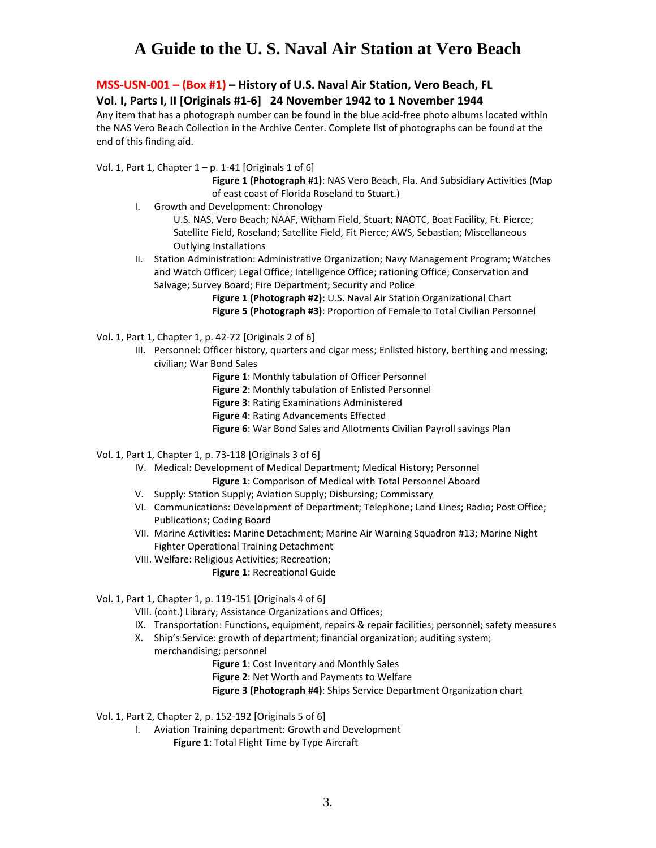### **MSS‐USN‐001 – (Box #1) – History of U.S. Naval Air Station, Vero Beach, FL Vol. I, Parts I, II [Originals #1‐6] 24 November 1942 to 1 November 1944**

Any item that has a photograph number can be found in the blue acid‐free photo albums located within the NAS Vero Beach Collection in the Archive Center. Complete list of photographs can be found at the end of this finding aid.

Vol. 1, Part 1, Chapter  $1 - p$ . 1-41 [Originals 1 of 6]

- **Figure 1 (Photograph #1)**: NAS Vero Beach, Fla. And Subsidiary Activities (Map of east coast of Florida Roseland to Stuart.)
- I. Growth and Development: Chronology

U.S. NAS, Vero Beach; NAAF, Witham Field, Stuart; NAOTC, Boat Facility, Ft. Pierce; Satellite Field, Roseland; Satellite Field, Fit Pierce; AWS, Sebastian; Miscellaneous Outlying Installations

II. Station Administration: Administrative Organization; Navy Management Program; Watches and Watch Officer; Legal Office; Intelligence Office; rationing Office; Conservation and Salvage; Survey Board; Fire Department; Security and Police

> **Figure 1 (Photograph #2):** U.S. Naval Air Station Organizational Chart **Figure 5 (Photograph #3)**: Proportion of Female to Total Civilian Personnel

Vol. 1, Part 1, Chapter 1, p. 42‐72 [Originals 2 of 6]

- III. Personnel: Officer history, quarters and cigar mess; Enlisted history, berthing and messing; civilian; War Bond Sales
	- **Figure 1**: Monthly tabulation of Officer Personnel
	- **Figure 2**: Monthly tabulation of Enlisted Personnel
	- **Figure 3**: Rating Examinations Administered
	- **Figure 4**: Rating Advancements Effected
	- **Figure 6**: War Bond Sales and Allotments Civilian Payroll savings Plan
- Vol. 1, Part 1, Chapter 1, p. 73‐118 [Originals 3 of 6]
	- IV. Medical: Development of Medical Department; Medical History; Personnel **Figure 1**: Comparison of Medical with Total Personnel Aboard
	- V. Supply: Station Supply; Aviation Supply; Disbursing; Commissary
	- VI. Communications: Development of Department; Telephone; Land Lines; Radio; Post Office; Publications; Coding Board
	- VII. Marine Activities: Marine Detachment; Marine Air Warning Squadron #13; Marine Night Fighter Operational Training Detachment
	- VIII. Welfare: Religious Activities; Recreation;
		- **Figure 1**: Recreational Guide

#### Vol. 1, Part 1, Chapter 1, p. 119‐151 [Originals 4 of 6]

- VIII. (cont.) Library; Assistance Organizations and Offices;
- IX. Transportation: Functions, equipment, repairs & repair facilities; personnel; safety measures
- X. Ship's Service: growth of department; financial organization; auditing system;
	- merchandising; personnel
		- **Figure 1**: Cost Inventory and Monthly Sales
		- **Figure 2**: Net Worth and Payments to Welfare
		- **Figure 3 (Photograph #4)**: Ships Service Department Organization chart

Vol. 1, Part 2, Chapter 2, p. 152‐192 [Originals 5 of 6]

- I. Aviation Training department: Growth and Development
	- **Figure 1**: Total Flight Time by Type Aircraft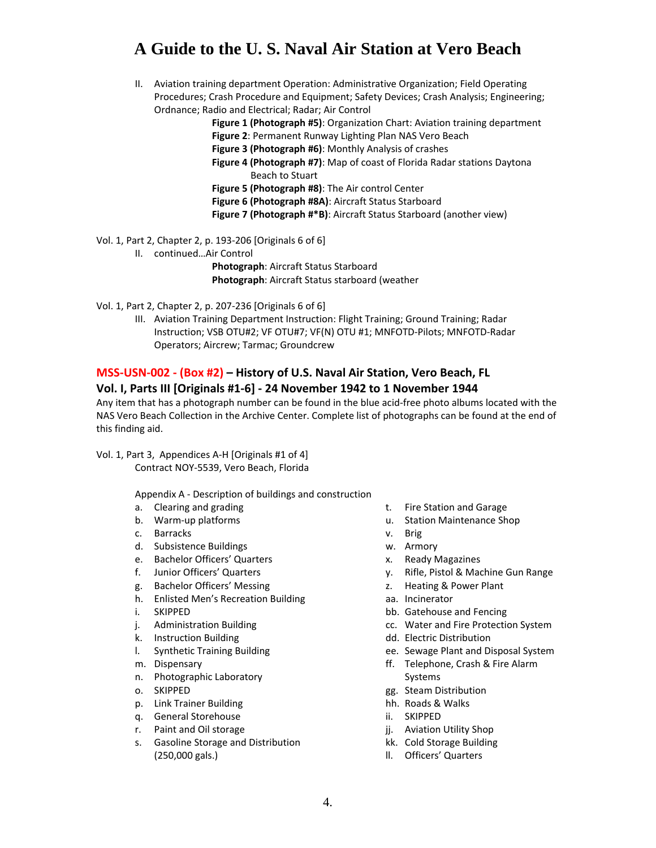II. Aviation training department Operation: Administrative Organization; Field Operating Procedures; Crash Procedure and Equipment; Safety Devices; Crash Analysis; Engineering; Ordnance; Radio and Electrical; Radar; Air Control

**Figure 1 (Photograph #5)**: Organization Chart: Aviation training department

- **Figure 2**: Permanent Runway Lighting Plan NAS Vero Beach
- **Figure 3 (Photograph #6)**: Monthly Analysis of crashes
- **Figure 4 (Photograph #7)**: Map of coast of Florida Radar stations Daytona Beach to Stuart

**Figure 5 (Photograph #8)**: The Air control Center

**Figure 6 (Photograph #8A)**: Aircraft Status Starboard

**Figure 7 (Photograph #\*B)**: Aircraft Status Starboard (another view)

Vol. 1, Part 2, Chapter 2, p. 193‐206 [Originals 6 of 6]

- II. continued…Air Control
	- **Photograph**: Aircraft Status Starboard **Photograph**: Aircraft Status starboard (weather

Vol. 1, Part 2, Chapter 2, p. 207‐236 [Originals 6 of 6]

III. Aviation Training Department Instruction: Flight Training; Ground Training; Radar Instruction; VSB OTU#2; VF OTU#7; VF(N) OTU #1; MNFOTD‐Pilots; MNFOTD‐Radar Operators; Aircrew; Tarmac; Groundcrew

### **MSS‐USN‐002 ‐ (Box #2) – History of U.S. Naval Air Station, Vero Beach, FL**

#### **Vol. I, Parts III [Originals #1‐6] ‐ 24 November 1942 to 1 November 1944**

Any item that has a photograph number can be found in the blue acid‐free photo albums located with the NAS Vero Beach Collection in the Archive Center. Complete list of photographs can be found at the end of this finding aid.

Vol. 1, Part 3, Appendices A‐H [Originals #1 of 4] Contract NOY‐5539, Vero Beach, Florida

Appendix A ‐ Description of buildings and construction

- a. Clearing and grading
- b. Warm‐up platforms
- c. Barracks
- d. Subsistence Buildings
- e. Bachelor Officers' Quarters
- f. Junior Officers' Quarters
- g. Bachelor Officers' Messing
- h. Enlisted Men's Recreation Building
- i. SKIPPED
- j. Administration Building
- k. Instruction Building
- l. Synthetic Training Building
- m. Dispensary
- n. Photographic Laboratory
- o. SKIPPED
- p. Link Trainer Building
- q. General Storehouse
- r. Paint and Oil storage
- s. Gasoline Storage and Distribution (250,000 gals.)
- t. Fire Station and Garage
- u. Station Maintenance Shop
- v. Brig
- w. Armory
- x. Ready Magazines
- y. Rifle, Pistol & Machine Gun Range
- z. Heating & Power Plant
- aa. Incinerator
- bb. Gatehouse and Fencing
- cc. Water and Fire Protection System
- dd. Electric Distribution
- ee. Sewage Plant and Disposal System
- ff. Telephone, Crash & Fire Alarm
- Systems gg. Steam Distribution
- hh. Roads & Walks
- ii. SKIPPED
- jj. Aviation Utility Shop
- kk. Cold Storage Building
- ll. Officers' Quarters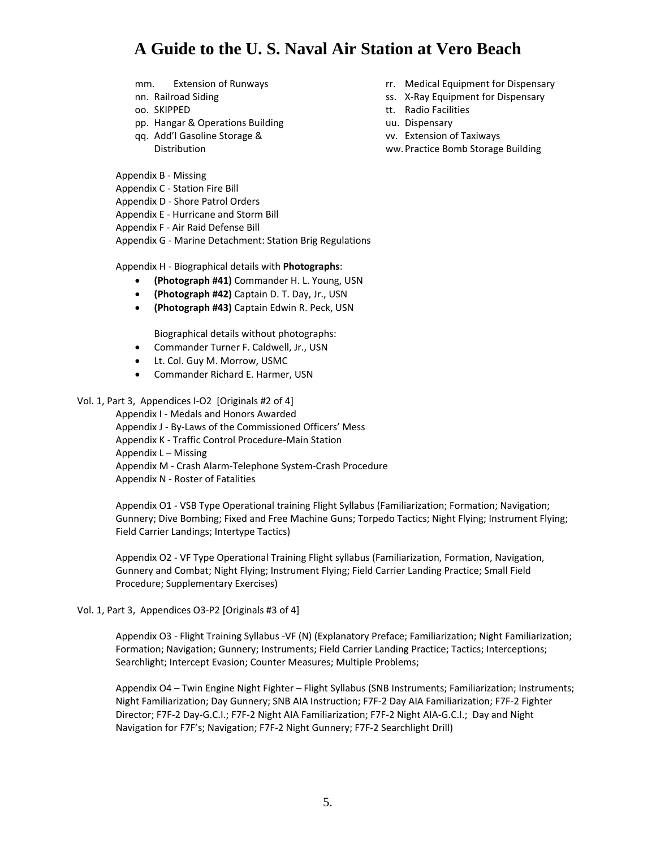- mm. Extension of Runways
- nn. Railroad Siding
- oo. SKIPPED
- pp. Hangar & Operations Building
- qq. Add'l Gasoline Storage & Distribution
- Appendix B ‐ Missing
- Appendix C ‐ Station Fire Bill
- Appendix D ‐ Shore Patrol Orders
- Appendix E ‐ Hurricane and Storm Bill
- Appendix F ‐ Air Raid Defense Bill

Appendix G ‐ Marine Detachment: Station Brig Regulations

Appendix H ‐ Biographical details with **Photographs**:

- **(Photograph #41)** Commander H. L. Young, USN
- **(Photograph #42)** Captain D. T. Day, Jr., USN
- **(Photograph #43)** Captain Edwin R. Peck, USN

Biographical details without photographs:

- Commander Turner F. Caldwell, Jr., USN
- Lt. Col. Guy M. Morrow, USMC
- Commander Richard E. Harmer, USN

#### Vol. 1, Part 3, Appendices I-O2 [Originals #2 of 4]

Appendix I ‐ Medals and Honors Awarded Appendix J ‐ By‐Laws of the Commissioned Officers' Mess Appendix K ‐ Traffic Control Procedure‐Main Station Appendix L – Missing Appendix M ‐ Crash Alarm‐Telephone System‐Crash Procedure Appendix N ‐ Roster of Fatalities

Appendix O1 ‐ VSB Type Operational training Flight Syllabus (Familiarization; Formation; Navigation; Gunnery; Dive Bombing; Fixed and Free Machine Guns; Torpedo Tactics; Night Flying; Instrument Flying; Field Carrier Landings; Intertype Tactics)

Appendix O2 ‐ VF Type Operational Training Flight syllabus (Familiarization, Formation, Navigation, Gunnery and Combat; Night Flying; Instrument Flying; Field Carrier Landing Practice; Small Field Procedure; Supplementary Exercises)

#### Vol. 1, Part 3, Appendices O3‐P2 [Originals #3 of 4]

Appendix O3 ‐ Flight Training Syllabus ‐VF (N) (Explanatory Preface; Familiarization; Night Familiarization; Formation; Navigation; Gunnery; Instruments; Field Carrier Landing Practice; Tactics; Interceptions; Searchlight; Intercept Evasion; Counter Measures; Multiple Problems;

Appendix O4 – Twin Engine Night Fighter – Flight Syllabus (SNB Instruments; Familiarization; Instruments; Night Familiarization; Day Gunnery; SNB AIA Instruction; F7F‐2 Day AIA Familiarization; F7F‐2 Fighter Director; F7F‐2 Day‐G.C.I.; F7F‐2 Night AIA Familiarization; F7F‐2 Night AIA‐G.C.I.; Day and Night Navigation for F7F's; Navigation; F7F‐2 Night Gunnery; F7F‐2 Searchlight Drill)

- rr. Medical Equipment for Dispensary
- ss. X‐Ray Equipment for Dispensary
- tt. Radio Facilities
- uu. Dispensary
- vv. Extension of Taxiways
- ww.Practice Bomb Storage Building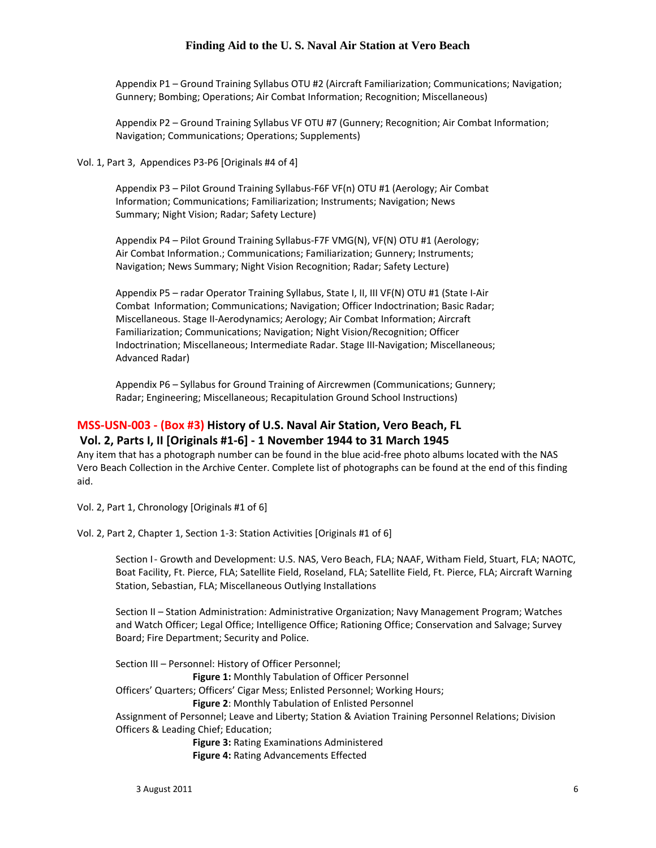Appendix P1 – Ground Training Syllabus OTU #2 (Aircraft Familiarization; Communications; Navigation; Gunnery; Bombing; Operations; Air Combat Information; Recognition; Miscellaneous)

Appendix P2 – Ground Training Syllabus VF OTU #7 (Gunnery; Recognition; Air Combat Information; Navigation; Communications; Operations; Supplements)

Vol. 1, Part 3, Appendices P3‐P6 [Originals #4 of 4]

Appendix P3 – Pilot Ground Training Syllabus‐F6F VF(n) OTU #1 (Aerology; Air Combat Information; Communications; Familiarization; Instruments; Navigation; News Summary; Night Vision; Radar; Safety Lecture)

Appendix P4 – Pilot Ground Training Syllabus‐F7F VMG(N), VF(N) OTU #1 (Aerology; Air Combat Information.; Communications; Familiarization; Gunnery; Instruments; Navigation; News Summary; Night Vision Recognition; Radar; Safety Lecture)

Appendix P5 – radar Operator Training Syllabus, State I, II, III VF(N) OTU #1 (State I‐Air Combat Information; Communications; Navigation; Officer Indoctrination; Basic Radar; Miscellaneous. Stage II‐Aerodynamics; Aerology; Air Combat Information; Aircraft Familiarization; Communications; Navigation; Night Vision/Recognition; Officer Indoctrination; Miscellaneous; Intermediate Radar. Stage III‐Navigation; Miscellaneous; Advanced Radar)

Appendix P6 – Syllabus for Ground Training of Aircrewmen (Communications; Gunnery; Radar; Engineering; Miscellaneous; Recapitulation Ground School Instructions)

# **MSS‐USN‐003 ‐ (Box #3) History of U.S. Naval Air Station, Vero Beach, FL**

#### **Vol. 2, Parts I, II [Originals #1‐6] ‐ 1 November 1944 to 31 March 1945**

Any item that has a photograph number can be found in the blue acid‐free photo albums located with the NAS Vero Beach Collection in the Archive Center. Complete list of photographs can be found at the end of this finding aid.

Vol. 2, Part 1, Chronology [Originals #1 of 6]

Vol. 2, Part 2, Chapter 1, Section 1‐3: Station Activities [Originals #1 of 6]

Section I - Growth and Development: U.S. NAS, Vero Beach, FLA; NAAF, Witham Field, Stuart, FLA; NAOTC, Boat Facility, Ft. Pierce, FLA; Satellite Field, Roseland, FLA; Satellite Field, Ft. Pierce, FLA; Aircraft Warning Station, Sebastian, FLA; Miscellaneous Outlying Installations

Section II – Station Administration: Administrative Organization; Navy Management Program; Watches and Watch Officer; Legal Office; Intelligence Office; Rationing Office; Conservation and Salvage; Survey Board; Fire Department; Security and Police.

Section III – Personnel: History of Officer Personnel; **Figure 1:** Monthly Tabulation of Officer Personnel Officers' Quarters; Officers' Cigar Mess; Enlisted Personnel; Working Hours; **Figure 2: Monthly Tabulation of Enlisted Personnel** Assignment of Personnel; Leave and Liberty; Station & Aviation Training Personnel Relations; Division Officers & Leading Chief; Education; **Figure 3:** Rating Examinations Administered

**Figure 4: Rating Advancements Effected**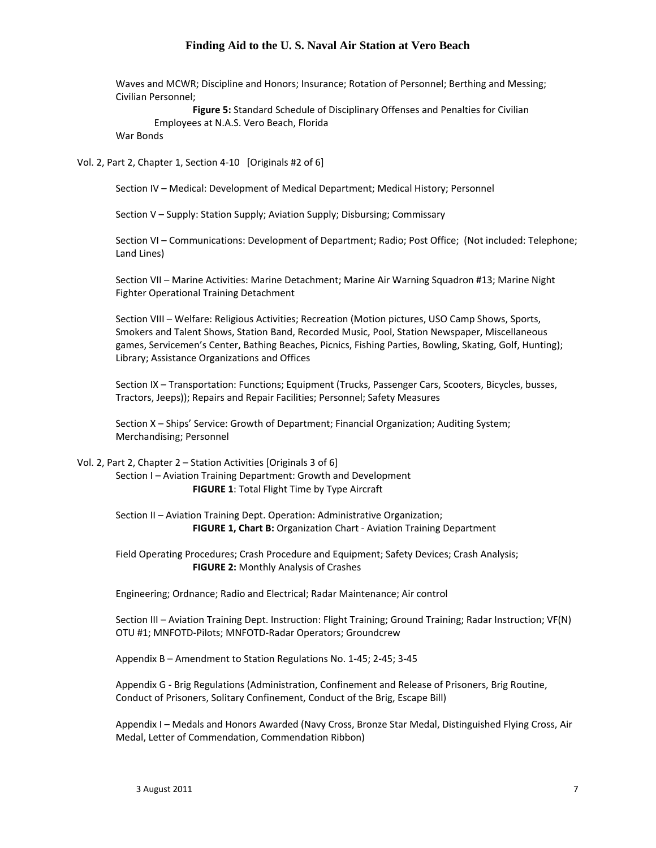Waves and MCWR; Discipline and Honors; Insurance; Rotation of Personnel; Berthing and Messing; Civilian Personnel;

 **Figure 5:** Standard Schedule of Disciplinary Offenses and Penalties for Civilian Employees at N.A.S. Vero Beach, Florida

War Bonds

Vol. 2, Part 2, Chapter 1, Section 4-10 [Originals #2 of 6]

Section IV – Medical: Development of Medical Department; Medical History; Personnel

Section V – Supply: Station Supply; Aviation Supply; Disbursing; Commissary

Section VI – Communications: Development of Department; Radio; Post Office; (Not included: Telephone; Land Lines)

Section VII – Marine Activities: Marine Detachment; Marine Air Warning Squadron #13; Marine Night Fighter Operational Training Detachment

Section VIII – Welfare: Religious Activities; Recreation (Motion pictures, USO Camp Shows, Sports, Smokers and Talent Shows, Station Band, Recorded Music, Pool, Station Newspaper, Miscellaneous games, Servicemen's Center, Bathing Beaches, Picnics, Fishing Parties, Bowling, Skating, Golf, Hunting); Library; Assistance Organizations and Offices

Section IX – Transportation: Functions; Equipment (Trucks, Passenger Cars, Scooters, Bicycles, busses, Tractors, Jeeps)); Repairs and Repair Facilities; Personnel; Safety Measures

Section X – Ships' Service: Growth of Department; Financial Organization; Auditing System; Merchandising; Personnel

#### Vol. 2, Part 2, Chapter 2 – Station Activities [Originals 3 of 6]

Section I – Aviation Training Department: Growth and Development **FIGURE 1**: Total Flight Time by Type Aircraft

Section II – Aviation Training Dept. Operation: Administrative Organization; **FIGURE 1, Chart B:** Organization Chart ‐ Aviation Training Department

Field Operating Procedures; Crash Procedure and Equipment; Safety Devices; Crash Analysis; **FIGURE 2:** Monthly Analysis of Crashes

Engineering; Ordnance; Radio and Electrical; Radar Maintenance; Air control

Section III – Aviation Training Dept. Instruction: Flight Training; Ground Training; Radar Instruction; VF(N) OTU #1; MNFOTD‐Pilots; MNFOTD‐Radar Operators; Groundcrew

Appendix B – Amendment to Station Regulations No. 1‐45; 2‐45; 3‐45

Appendix G ‐ Brig Regulations (Administration, Confinement and Release of Prisoners, Brig Routine, Conduct of Prisoners, Solitary Confinement, Conduct of the Brig, Escape Bill)

Appendix I – Medals and Honors Awarded (Navy Cross, Bronze Star Medal, Distinguished Flying Cross, Air Medal, Letter of Commendation, Commendation Ribbon)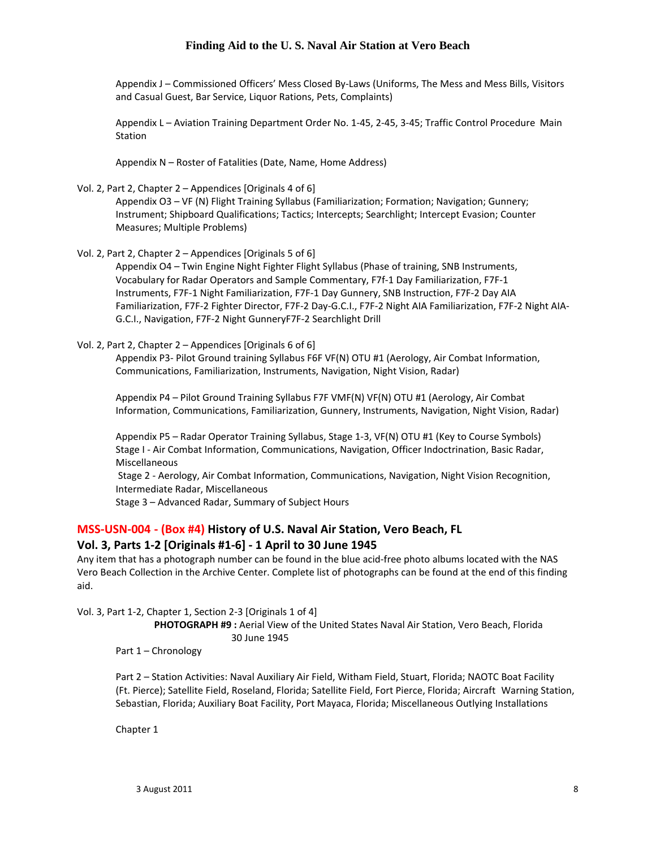Appendix J – Commissioned Officers' Mess Closed By‐Laws (Uniforms, The Mess and Mess Bills, Visitors and Casual Guest, Bar Service, Liquor Rations, Pets, Complaints)

Appendix L – Aviation Training Department Order No. 1‐45, 2‐45, 3‐45; Traffic Control Procedure Main Station

Appendix N – Roster of Fatalities (Date, Name, Home Address)

Vol. 2, Part 2, Chapter 2 – Appendices [Originals 4 of 6]

Appendix O3 – VF (N) Flight Training Syllabus (Familiarization; Formation; Navigation; Gunnery; Instrument; Shipboard Qualifications; Tactics; Intercepts; Searchlight; Intercept Evasion; Counter Measures; Multiple Problems)

Vol. 2, Part 2, Chapter 2 – Appendices [Originals 5 of 6]

Appendix O4 – Twin Engine Night Fighter Flight Syllabus (Phase of training, SNB Instruments, Vocabulary for Radar Operators and Sample Commentary, F7f‐1 Day Familiarization, F7F‐1 Instruments, F7F‐1 Night Familiarization, F7F‐1 Day Gunnery, SNB Instruction, F7F‐2 Day AIA Familiarization, F7F‐2 Fighter Director, F7F‐2 Day‐G.C.I., F7F‐2 Night AIA Familiarization, F7F‐2 Night AIA‐ G.C.I., Navigation, F7F‐2 Night GunneryF7F‐2 Searchlight Drill

#### Vol. 2, Part 2, Chapter 2 – Appendices [Originals 6 of 6]

Appendix P3‐ Pilot Ground training Syllabus F6F VF(N) OTU #1 (Aerology, Air Combat Information, Communications, Familiarization, Instruments, Navigation, Night Vision, Radar)

Appendix P4 – Pilot Ground Training Syllabus F7F VMF(N) VF(N) OTU #1 (Aerology, Air Combat Information, Communications, Familiarization, Gunnery, Instruments, Navigation, Night Vision, Radar)

Appendix P5 – Radar Operator Training Syllabus, Stage 1‐3, VF(N) OTU #1 (Key to Course Symbols) Stage I - Air Combat Information, Communications, Navigation, Officer Indoctrination, Basic Radar, Miscellaneous

Stage 2 - Aerology, Air Combat Information, Communications, Navigation, Night Vision Recognition, Intermediate Radar, Miscellaneous

Stage 3 – Advanced Radar, Summary of Subject Hours

#### **MSS‐USN‐004 ‐ (Box #4) History of U.S. Naval Air Station, Vero Beach, FL Vol. 3, Parts 1‐2 [Originals #1‐6] ‐ 1 April to 30 June 1945**

Any item that has a photograph number can be found in the blue acid‐free photo albums located with the NAS Vero Beach Collection in the Archive Center. Complete list of photographs can be found at the end of this finding aid.

Vol. 3, Part 1‐2, Chapter 1, Section 2‐3 [Originals 1 of 4]

 **PHOTOGRAPH #9 :** Aerial View of the United States Naval Air Station, Vero Beach, Florida 30 June 1945

Part 1 – Chronology

Part 2 – Station Activities: Naval Auxiliary Air Field, Witham Field, Stuart, Florida; NAOTC Boat Facility (Ft. Pierce); Satellite Field, Roseland, Florida; Satellite Field, Fort Pierce, Florida; Aircraft Warning Station, Sebastian, Florida; Auxiliary Boat Facility, Port Mayaca, Florida; Miscellaneous Outlying Installations

Chapter 1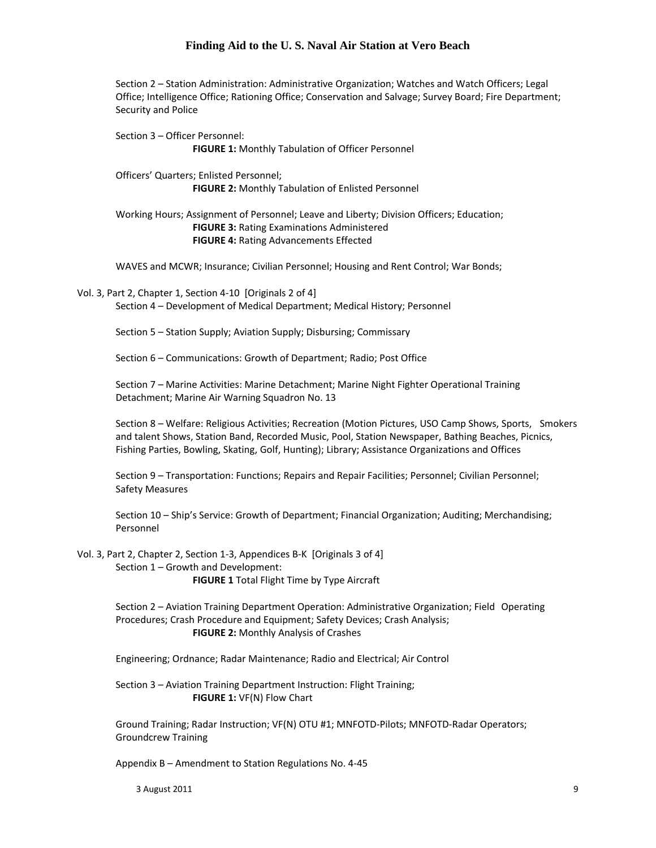Section 2 – Station Administration: Administrative Organization; Watches and Watch Officers; Legal Office; Intelligence Office; Rationing Office; Conservation and Salvage; Survey Board; Fire Department; Security and Police

Section 3 – Officer Personnel: **FIGURE 1:** Monthly Tabulation of Officer Personnel Officers' Quarters; Enlisted Personnel;

**FIGURE 2:** Monthly Tabulation of Enlisted Personnel

Working Hours; Assignment of Personnel; Leave and Liberty; Division Officers; Education; **FIGURE 3:** Rating Examinations Administered **FIGURE 4:** Rating Advancements Effected

WAVES and MCWR; Insurance; Civilian Personnel; Housing and Rent Control; War Bonds;

Vol. 3, Part 2, Chapter 1, Section 4-10 [Originals 2 of 4]

Section 4 – Development of Medical Department; Medical History; Personnel

Section 5 – Station Supply; Aviation Supply; Disbursing; Commissary

Section 6 – Communications: Growth of Department; Radio; Post Office

Section 7 – Marine Activities: Marine Detachment; Marine Night Fighter Operational Training Detachment; Marine Air Warning Squadron No. 13

Section 8 – Welfare: Religious Activities; Recreation (Motion Pictures, USO Camp Shows, Sports, Smokers and talent Shows, Station Band, Recorded Music, Pool, Station Newspaper, Bathing Beaches, Picnics, Fishing Parties, Bowling, Skating, Golf, Hunting); Library; Assistance Organizations and Offices

Section 9 – Transportation: Functions; Repairs and Repair Facilities; Personnel; Civilian Personnel; Safety Measures

Section 10 – Ship's Service: Growth of Department; Financial Organization; Auditing; Merchandising; Personnel

Vol. 3, Part 2, Chapter 2, Section 1‐3, Appendices B‐K [Originals 3 of 4] Section 1 – Growth and Development: **FIGURE 1** Total Flight Time by Type Aircraft

> Section 2 – Aviation Training Department Operation: Administrative Organization; Field Operating Procedures; Crash Procedure and Equipment; Safety Devices; Crash Analysis; **FIGURE 2:** Monthly Analysis of Crashes

Engineering; Ordnance; Radar Maintenance; Radio and Electrical; Air Control

Section 3 – Aviation Training Department Instruction: Flight Training; **FIGURE 1:** VF(N) Flow Chart

Ground Training; Radar Instruction; VF(N) OTU #1; MNFOTD‐Pilots; MNFOTD‐Radar Operators; Groundcrew Training

Appendix B – Amendment to Station Regulations No. 4‐45

 $3$  August 2011  $9$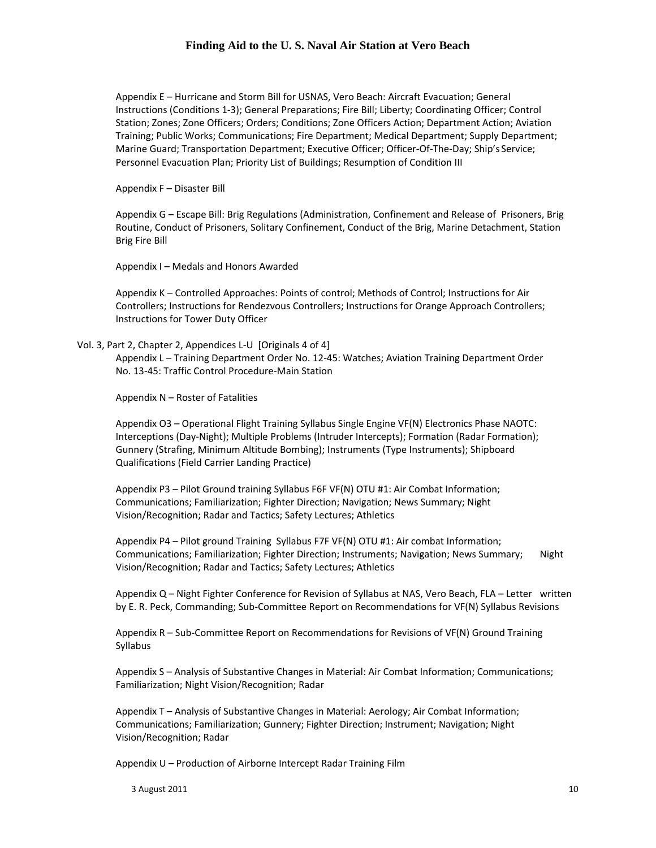Appendix E – Hurricane and Storm Bill for USNAS, Vero Beach: Aircraft Evacuation; General Instructions (Conditions 1‐3); General Preparations; Fire Bill; Liberty; Coordinating Officer; Control Station; Zones; Zone Officers; Orders; Conditions; Zone Officers Action; Department Action; Aviation Training; Public Works; Communications; Fire Department; Medical Department; Supply Department; Marine Guard; Transportation Department; Executive Officer; Officer‐Of‐The‐Day; Ship's Service; Personnel Evacuation Plan; Priority List of Buildings; Resumption of Condition III

Appendix F – Disaster Bill

Appendix G – Escape Bill: Brig Regulations (Administration, Confinement and Release of Prisoners, Brig Routine, Conduct of Prisoners, Solitary Confinement, Conduct of the Brig, Marine Detachment, Station Brig Fire Bill

Appendix I – Medals and Honors Awarded

Appendix K – Controlled Approaches: Points of control; Methods of Control; Instructions for Air Controllers; Instructions for Rendezvous Controllers; Instructions for Orange Approach Controllers; Instructions for Tower Duty Officer

#### Vol. 3, Part 2, Chapter 2, Appendices L‐U [Originals 4 of 4]

Appendix L – Training Department Order No. 12‐45: Watches; Aviation Training Department Order No. 13‐45: Traffic Control Procedure‐Main Station

Appendix N – Roster of Fatalities

Appendix O3 – Operational Flight Training Syllabus Single Engine VF(N) Electronics Phase NAOTC: Interceptions (Day‐Night); Multiple Problems (Intruder Intercepts); Formation (Radar Formation); Gunnery (Strafing, Minimum Altitude Bombing); Instruments (Type Instruments); Shipboard Qualifications (Field Carrier Landing Practice)

Appendix P3 – Pilot Ground training Syllabus F6F VF(N) OTU #1: Air Combat Information; Communications; Familiarization; Fighter Direction; Navigation; News Summary; Night Vision/Recognition; Radar and Tactics; Safety Lectures; Athletics

Appendix P4 – Pilot ground Training Syllabus F7F VF(N) OTU #1: Air combat Information; Communications; Familiarization; Fighter Direction; Instruments; Navigation; News Summary; Night Vision/Recognition; Radar and Tactics; Safety Lectures; Athletics

Appendix Q – Night Fighter Conference for Revision of Syllabus at NAS, Vero Beach, FLA – Letter written by E. R. Peck, Commanding; Sub‐Committee Report on Recommendations for VF(N) Syllabus Revisions

Appendix R – Sub‐Committee Report on Recommendations for Revisions of VF(N) Ground Training Syllabus

Appendix S – Analysis of Substantive Changes in Material: Air Combat Information; Communications; Familiarization; Night Vision/Recognition; Radar

Appendix T – Analysis of Substantive Changes in Material: Aerology; Air Combat Information; Communications; Familiarization; Gunnery; Fighter Direction; Instrument; Navigation; Night Vision/Recognition; Radar

Appendix U – Production of Airborne Intercept Radar Training Film

 $3$  August 2011  $10$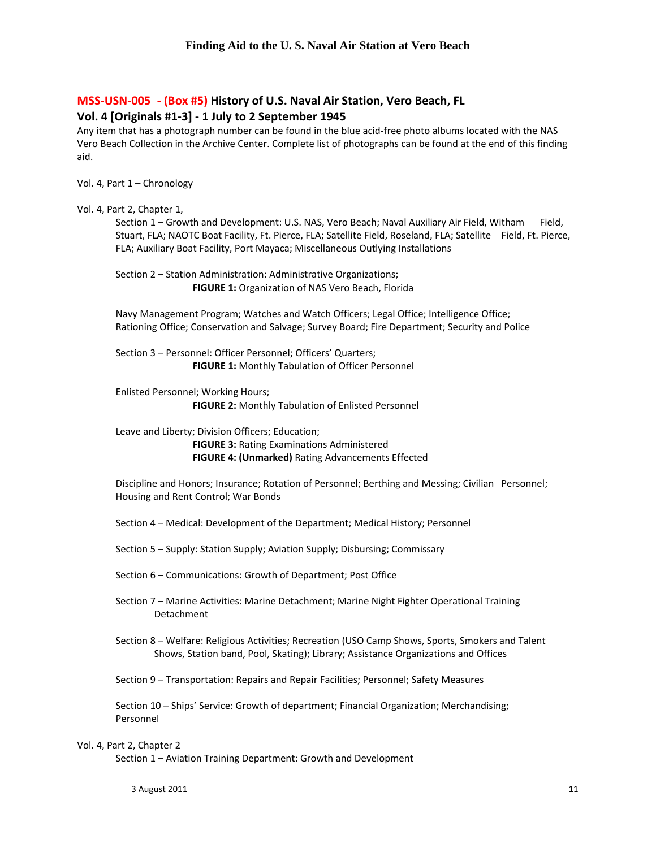### **MSS‐USN‐005 ‐ (Box #5) History of U.S. Naval Air Station, Vero Beach, FL Vol. 4 [Originals #1‐3] ‐ 1 July to 2 September 1945**

Any item that has a photograph number can be found in the blue acid‐free photo albums located with the NAS Vero Beach Collection in the Archive Center. Complete list of photographs can be found at the end of this finding aid.

Vol. 4, Part 1 – Chronology

#### Vol. 4, Part 2, Chapter 1,

Section 1 – Growth and Development: U.S. NAS, Vero Beach; Naval Auxiliary Air Field, Witham Field, Stuart, FLA; NAOTC Boat Facility, Ft. Pierce, FLA; Satellite Field, Roseland, FLA; Satellite Field, Ft. Pierce, FLA; Auxiliary Boat Facility, Port Mayaca; Miscellaneous Outlying Installations

Section 2 – Station Administration: Administrative Organizations; **FIGURE 1:** Organization of NAS Vero Beach, Florida

Navy Management Program; Watches and Watch Officers; Legal Office; Intelligence Office; Rationing Office; Conservation and Salvage; Survey Board; Fire Department; Security and Police

Section 3 – Personnel: Officer Personnel; Officers' Quarters; **FIGURE 1:** Monthly Tabulation of Officer Personnel

Enlisted Personnel; Working Hours; **FIGURE 2:** Monthly Tabulation of Enlisted Personnel

Leave and Liberty; Division Officers; Education;

 **FIGURE 3:** Rating Examinations Administered **FIGURE 4: (Unmarked)** Rating Advancements Effected

Discipline and Honors; Insurance; Rotation of Personnel; Berthing and Messing; Civilian Personnel; Housing and Rent Control; War Bonds

Section 4 – Medical: Development of the Department; Medical History; Personnel

Section 5 – Supply: Station Supply; Aviation Supply; Disbursing; Commissary

Section 6 – Communications: Growth of Department; Post Office

Section 7 – Marine Activities: Marine Detachment; Marine Night Fighter Operational Training Detachment

Section 8 – Welfare: Religious Activities; Recreation (USO Camp Shows, Sports, Smokers and Talent Shows, Station band, Pool, Skating); Library; Assistance Organizations and Offices

Section 9 – Transportation: Repairs and Repair Facilities; Personnel; Safety Measures

Section 10 – Ships' Service: Growth of department; Financial Organization; Merchandising; Personnel

#### Vol. 4, Part 2, Chapter 2

Section 1 – Aviation Training Department: Growth and Development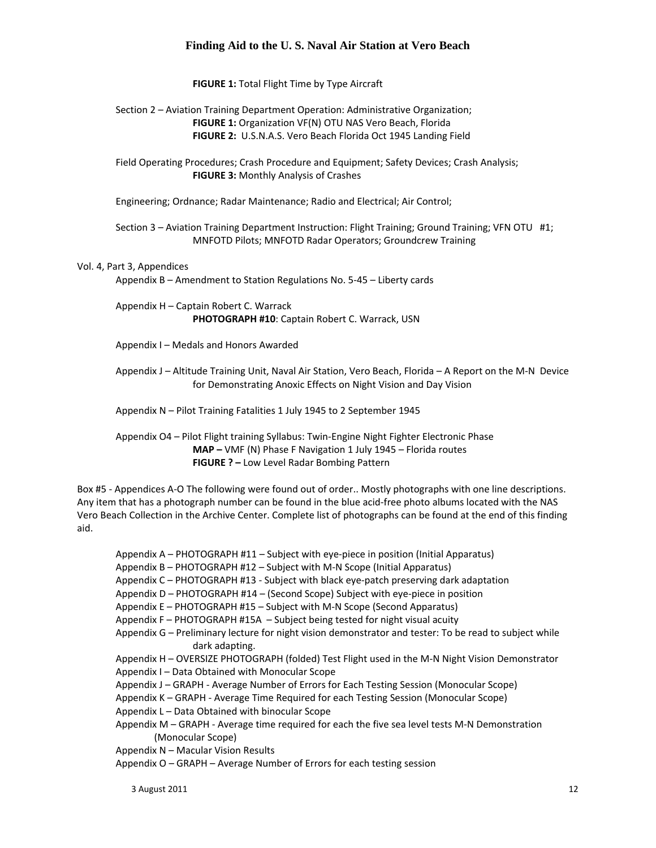**FIGURE 1:** Total Flight Time by Type Aircraft

Section 2 – Aviation Training Department Operation: Administrative Organization; **FIGURE 1:** Organization VF(N) OTU NAS Vero Beach, Florida **FIGURE 2:** U.S.N.A.S. Vero Beach Florida Oct 1945 Landing Field

Field Operating Procedures; Crash Procedure and Equipment; Safety Devices; Crash Analysis; **FIGURE 3:** Monthly Analysis of Crashes

Engineering; Ordnance; Radar Maintenance; Radio and Electrical; Air Control;

Section 3 – Aviation Training Department Instruction: Flight Training; Ground Training; VFN OTU #1; MNFOTD Pilots; MNFOTD Radar Operators; Groundcrew Training

#### Vol. 4, Part 3, Appendices

Appendix B – Amendment to Station Regulations No. 5‐45 – Liberty cards

Appendix H – Captain Robert C. Warrack **PHOTOGRAPH #10**: Captain Robert C. Warrack, USN

Appendix I – Medals and Honors Awarded

Appendix J – Altitude Training Unit, Naval Air Station, Vero Beach, Florida – A Report on the M‐N Device for Demonstrating Anoxic Effects on Night Vision and Day Vision

Appendix N – Pilot Training Fatalities 1 July 1945 to 2 September 1945

Appendix O4 – Pilot Flight training Syllabus: Twin‐Engine Night Fighter Electronic Phase **MAP –** VMF (N) Phase F Navigation 1 July 1945 – Florida routes **FIGURE ? –** Low Level Radar Bombing Pattern

Box #5 - Appendices A-O The following were found out of order.. Mostly photographs with one line descriptions. Any item that has a photograph number can be found in the blue acid‐free photo albums located with the NAS Vero Beach Collection in the Archive Center. Complete list of photographs can be found at the end of this finding aid.

Appendix A – PHOTOGRAPH #11 – Subject with eye‐piece in position (Initial Apparatus)

Appendix B – PHOTOGRAPH #12 – Subject with M‐N Scope (Initial Apparatus)

- Appendix C PHOTOGRAPH #13 ‐ Subject with black eye‐patch preserving dark adaptation
- Appendix D PHOTOGRAPH #14 (Second Scope) Subject with eye‐piece in position

Appendix E – PHOTOGRAPH #15 – Subject with M‐N Scope (Second Apparatus)

- Appendix F PHOTOGRAPH #15A Subject being tested for night visual acuity
- Appendix G Preliminary lecture for night vision demonstrator and tester: To be read to subject while dark adapting.
- Appendix H OVERSIZE PHOTOGRAPH (folded) Test Flight used in the M‐N Night Vision Demonstrator Appendix I – Data Obtained with Monocular Scope
- Appendix J GRAPH ‐ Average Number of Errors for Each Testing Session (Monocular Scope)
- Appendix K GRAPH ‐ Average Time Required for each Testing Session (Monocular Scope)
- Appendix L Data Obtained with binocular Scope
- Appendix M GRAPH Average time required for each the five sea level tests M-N Demonstration (Monocular Scope)
- Appendix N Macular Vision Results
- Appendix O GRAPH Average Number of Errors for each testing session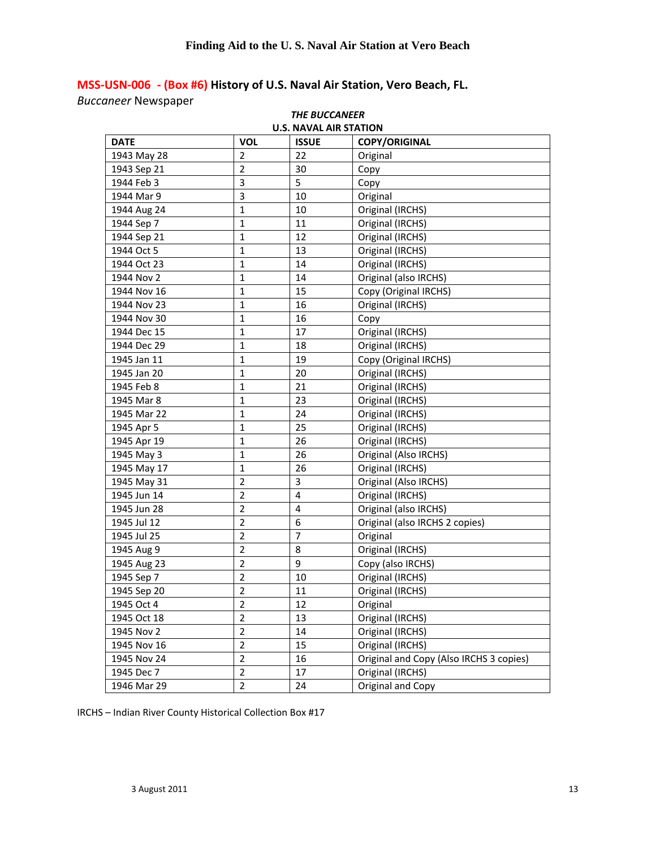## **MSS‐USN‐006 ‐ (Box #6) History of U.S. Naval Air Station, Vero Beach, FL.**

*Buccaneer* Newspaper

| <b>THE BUCCANEER</b>          |                |                |                                         |  |
|-------------------------------|----------------|----------------|-----------------------------------------|--|
| <b>U.S. NAVAL AIR STATION</b> |                |                |                                         |  |
| <b>DATE</b>                   | <b>VOL</b>     | <b>ISSUE</b>   | <b>COPY/ORIGINAL</b>                    |  |
| 1943 May 28                   | 2              | 22             | Original                                |  |
| 1943 Sep 21                   | $\overline{2}$ | 30             | Copy                                    |  |
| 1944 Feb 3                    | 3              | 5              | Copy                                    |  |
| 1944 Mar 9                    | 3              | 10             | Original                                |  |
| 1944 Aug 24                   | $\mathbf{1}$   | 10             | Original (IRCHS)                        |  |
| 1944 Sep 7                    | $\mathbf{1}$   | 11             | Original (IRCHS)                        |  |
| 1944 Sep 21                   | $\mathbf 1$    | 12             | Original (IRCHS)                        |  |
| 1944 Oct 5                    | $\mathbf{1}$   | 13             | Original (IRCHS)                        |  |
| 1944 Oct 23                   | $\mathbf{1}$   | 14             | Original (IRCHS)                        |  |
| 1944 Nov 2                    | $\mathbf{1}$   | 14             | Original (also IRCHS)                   |  |
| 1944 Nov 16                   | $\mathbf{1}$   | 15             | Copy (Original IRCHS)                   |  |
| 1944 Nov 23                   | $\mathbf{1}$   | 16             | Original (IRCHS)                        |  |
| 1944 Nov 30                   | $\mathbf{1}$   | 16             | Copy                                    |  |
| 1944 Dec 15                   | 1              | 17             | Original (IRCHS)                        |  |
| 1944 Dec 29                   | $\mathbf{1}$   | 18             | Original (IRCHS)                        |  |
| 1945 Jan 11                   | 1              | 19             | Copy (Original IRCHS)                   |  |
| 1945 Jan 20                   | $\mathbf{1}$   | 20             | Original (IRCHS)                        |  |
| 1945 Feb 8                    | $\mathbf{1}$   | 21             | Original (IRCHS)                        |  |
| 1945 Mar 8                    | $\mathbf{1}$   | 23             | Original (IRCHS)                        |  |
| 1945 Mar 22                   | $\mathbf{1}$   | 24             | Original (IRCHS)                        |  |
| 1945 Apr 5                    | $\mathbf{1}$   | 25             | Original (IRCHS)                        |  |
| 1945 Apr 19                   | $\mathbf{1}$   | 26             | Original (IRCHS)                        |  |
| 1945 May 3                    | $\mathbf{1}$   | 26             | Original (Also IRCHS)                   |  |
| 1945 May 17                   | $\mathbf{1}$   | 26             | Original (IRCHS)                        |  |
| 1945 May 31                   | $\mathbf 2$    | 3              | Original (Also IRCHS)                   |  |
| 1945 Jun 14                   | $\overline{2}$ | 4              | Original (IRCHS)                        |  |
| 1945 Jun 28                   | $\overline{2}$ | 4              | Original (also IRCHS)                   |  |
| 1945 Jul 12                   | $\overline{2}$ | 6              | Original (also IRCHS 2 copies)          |  |
| 1945 Jul 25                   | $\overline{2}$ | $\overline{7}$ | Original                                |  |
| 1945 Aug 9                    | $\overline{2}$ | 8              | Original (IRCHS)                        |  |
| 1945 Aug 23                   | $\overline{2}$ | 9              | Copy (also IRCHS)                       |  |
| 1945 Sep 7                    | $\overline{2}$ | 10             | Original (IRCHS)                        |  |
| 1945 Sep 20                   | 2              | 11             | Original (IRCHS)                        |  |
| 1945 Oct 4                    | $\overline{2}$ | 12             | Original                                |  |
| 1945 Oct 18                   | $\overline{2}$ | 13             | Original (IRCHS)                        |  |
| 1945 Nov 2                    | $\overline{2}$ | 14             | Original (IRCHS)                        |  |
| 1945 Nov 16                   | $\overline{2}$ | 15             | Original (IRCHS)                        |  |
| 1945 Nov 24                   | $\overline{2}$ | 16             | Original and Copy (Also IRCHS 3 copies) |  |
| 1945 Dec 7                    | $\overline{2}$ | 17             | Original (IRCHS)                        |  |
| 1946 Mar 29                   | $\overline{2}$ | 24             | Original and Copy                       |  |

IRCHS – Indian River County Historical Collection Box #17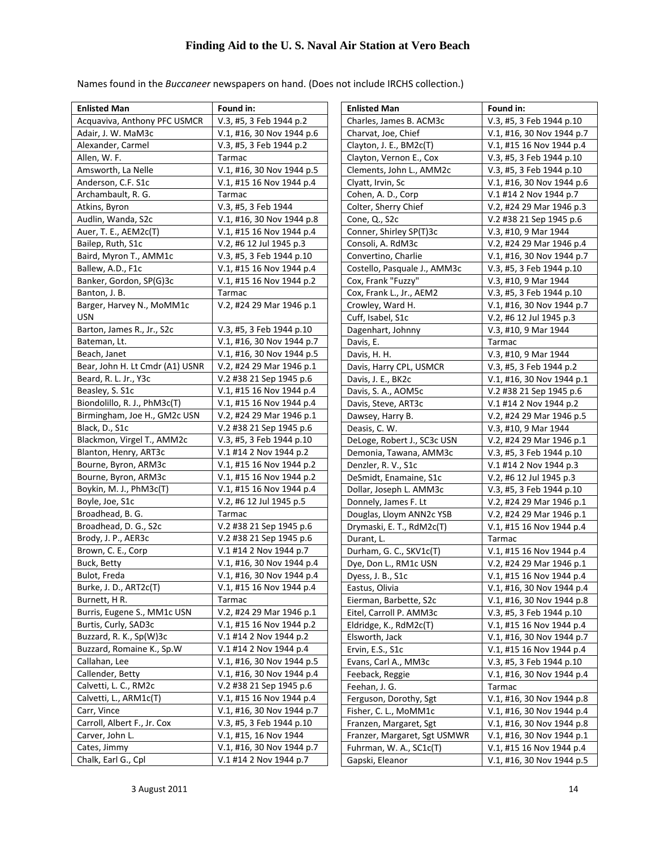| <b>Enlisted Man</b>              | Found in:                 |
|----------------------------------|---------------------------|
| Acquaviva, Anthony PFC USMCR     | V.3, #5, 3 Feb 1944 p.2   |
| Adair, J. W. MaM3c               | V.1, #16, 30 Nov 1944 p.6 |
| Alexander, Carmel                | V.3, #5, 3 Feb 1944 p.2   |
| Allen, W. F.                     | Tarmac                    |
| Amsworth, La Nelle               | V.1, #16, 30 Nov 1944 p.5 |
| Anderson, C.F. S1c               | V.1, #15 16 Nov 1944 p.4  |
| Archambault, R. G.               | Tarmac                    |
| Atkins, Byron                    | V.3, #5, 3 Feb 1944       |
| Audlin, Wanda, S2c               | V.1, #16, 30 Nov 1944 p.8 |
| Auer, T. E., AEM2c(T)            | V.1, #15 16 Nov 1944 p.4  |
| Bailep, Ruth, S1c                | V.2, #6 12 Jul 1945 p.3   |
| Baird, Myron T., AMM1c           | V.3, #5, 3 Feb 1944 p.10  |
| Ballew, A.D., F1c                | V.1, #15 16 Nov 1944 p.4  |
| Banker, Gordon, SP(G)3c          | V.1, #15 16 Nov 1944 p.2  |
| Banton, J. B.                    | Tarmac                    |
| Barger, Harvey N., MoMM1c<br>USN | V.2, #24 29 Mar 1946 p.1  |
| Barton, James R., Jr., S2c       | V.3, #5, 3 Feb 1944 p.10  |
| Bateman, Lt.                     | V.1, #16, 30 Nov 1944 p.7 |
| Beach, Janet                     | V.1, #16, 30 Nov 1944 p.5 |
| Bear, John H. Lt Cmdr (A1) USNR  | V.2, #24 29 Mar 1946 p.1  |
| Beard, R. L. Jr., Y3c            | V.2 #38 21 Sep 1945 p.6   |
| Beasley, S. S1c                  | V.1, #15 16 Nov 1944 p.4  |
| Biondolillo, R. J., PhM3c(T)     | V.1, #15 16 Nov 1944 p.4  |
| Birmingham, Joe H., GM2c USN     | V.2, #24 29 Mar 1946 p.1  |
| Black, D., S1c                   | V.2 #38 21 Sep 1945 p.6   |
| Blackmon, Virgel T., AMM2c       | V.3, #5, 3 Feb 1944 p.10  |
| Blanton, Henry, ART3c            | V.1 #14 2 Nov 1944 p.2    |
| Bourne, Byron, ARM3c             | V.1, #15 16 Nov 1944 p.2  |
| Bourne, Byron, ARM3c             | V.1, #15 16 Nov 1944 p.2  |
| Boykin, M. J., PhM3c(T)          | V.1, #15 16 Nov 1944 p.4  |
| Boyle, Joe, S1c                  | V.2, #6 12 Jul 1945 p.5   |
| Broadhead, B. G.                 | Tarmac                    |
| Broadhead, D. G., S2c            | V.2 #38 21 Sep 1945 p.6   |
| Brody, J. P., AER3c              | V.2 #38 21 Sep 1945 p.6   |
| Brown, C. E., Corp               | V.1 #14 2 Nov 1944 p.7    |
| Buck, Betty                      | V.1, #16, 30 Nov 1944 p.4 |
| Bulot, Freda                     | V.1, #16, 30 Nov 1944 p.4 |
| Burke, J. D., ART2c(T)           | V.1, #15 16 Nov 1944 p.4  |
| Burnett, HR.                     | Tarmac                    |
| Burris, Eugene S., MM1c USN      | V.2, #24 29 Mar 1946 p.1  |
| Burtis, Curly, SAD3c             | V.1, #15 16 Nov 1944 p.2  |
| Buzzard, R. K., Sp(W)3c          | V.1 #14 2 Nov 1944 p.2    |
| Buzzard, Romaine K., Sp.W        | V.1 #14 2 Nov 1944 p.4    |
| Callahan, Lee                    | V.1, #16, 30 Nov 1944 p.5 |
| Callender, Betty                 | V.1, #16, 30 Nov 1944 p.4 |
| Calvetti, L. C., RM2c            | V.2 #38 21 Sep 1945 p.6   |
| Calvetti, L., ARM1c(T)           | V.1, #15 16 Nov 1944 p.4  |
| Carr, Vince                      | V.1, #16, 30 Nov 1944 p.7 |
| Carroll, Albert F., Jr. Cox      | V.3, #5, 3 Feb 1944 p.10  |
| Carver, John L.                  | V.1, #15, 16 Nov 1944     |
| Cates, Jimmy                     | V.1, #16, 30 Nov 1944 p.7 |
| Chalk, Earl G., Cpl              | V.1 #14 2 Nov 1944 p.7    |

| <b>Enlisted Man</b>          | Found in:                 |
|------------------------------|---------------------------|
| Charles, James B. ACM3c      | V.3, #5, 3 Feb 1944 p.10  |
| Charvat, Joe, Chief          | V.1, #16, 30 Nov 1944 p.7 |
| Clayton, J. E., BM2c(T)      | V.1, #15 16 Nov 1944 p.4  |
| Clayton, Vernon E., Cox      | V.3, #5, 3 Feb 1944 p.10  |
| Clements, John L., AMM2c     | V.3, #5, 3 Feb 1944 p.10  |
| Clyatt, Irvin, Sc            | V.1, #16, 30 Nov 1944 p.6 |
| Cohen, A. D., Corp           | V.1 #14 2 Nov 1944 p.7    |
| Colter, Sherry Chief         | V.2, #24 29 Mar 1946 p.3  |
| Cone, Q., S2c                | V.2 #38 21 Sep 1945 p.6   |
| Conner, Shirley SP(T)3c      | V.3, #10, 9 Mar 1944      |
| Consoli, A. RdM3c            | V.2, #24 29 Mar 1946 p.4  |
| Convertino, Charlie          | V.1, #16, 30 Nov 1944 p.7 |
| Costello, Pasquale J., AMM3c | V.3, #5, 3 Feb 1944 p.10  |
| Cox, Frank "Fuzzy"           | V.3, #10, 9 Mar 1944      |
| Cox, Frank L., Jr., AEM2     | V.3, #5, 3 Feb 1944 p.10  |
| Crowley, Ward H.             | V.1, #16, 30 Nov 1944 p.7 |
| Cuff, Isabel, S1c            | V.2, #6 12 Jul 1945 p.3   |
| Dagenhart, Johnny            | V.3, #10, 9 Mar 1944      |
| Davis, E.                    | Tarmac                    |
| Davis, H. H.                 | V.3, #10, 9 Mar 1944      |
| Davis, Harry CPL, USMCR      | V.3, #5, 3 Feb 1944 p.2   |
| Davis, J. E., BK2c           | V.1, #16, 30 Nov 1944 p.1 |
| Davis, S. A., AOM5c          | V.2 #38 21 Sep 1945 p.6   |
| Davis, Steve, ART3c          | V.1 #14 2 Nov 1944 p.2    |
| Dawsey, Harry B.             | V.2, #24 29 Mar 1946 p.5  |
| Deasis, C. W.                | V.3, #10, 9 Mar 1944      |
| DeLoge, Robert J., SC3c USN  | V.2, #24 29 Mar 1946 p.1  |
| Demonia, Tawana, AMM3c       | V.3, #5, 3 Feb 1944 p.10  |
| Denzler, R. V., S1c          | V.1 #14 2 Nov 1944 p.3    |
| DeSmidt, Enamaine, S1c       | V.2, #6 12 Jul 1945 p.3   |
| Dollar, Joseph L. AMM3c      | V.3, #5, 3 Feb 1944 p.10  |
| Donnely, James F. Lt         | V.2, #24 29 Mar 1946 p.1  |
| Douglas, Lloym ANN2c YSB     | V.2, #24 29 Mar 1946 p.1  |
| Drymaski, E. T., RdM2c(T)    | V.1, #15 16 Nov 1944 p.4  |
| Durant, L.                   | Tarmac                    |
| Durham, G. C., SKV1c(T)      | V.1, #15 16 Nov 1944 p.4  |
| Dye, Don L., RM1c USN        | V.2, #24 29 Mar 1946 p.1  |
| Dyess, J. B., S1c            | V.1, #15 16 Nov 1944 p.4  |
| Eastus, Olivia               | V.1, #16, 30 Nov 1944 p.4 |
| Eierman, Barbette, S2c       | V.1, #16, 30 Nov 1944 p.8 |
| Eitel, Carroll P. AMM3c      | V.3, #5, 3 Feb 1944 p.10  |
| Eldridge, K., RdM2c(T)       | V.1, #15 16 Nov 1944 p.4  |
| Elsworth, Jack               | V.1, #16, 30 Nov 1944 p.7 |
| Ervin, E.S., S1c             | V.1, #15 16 Nov 1944 p.4  |
| Evans, Carl A., MM3c         | V.3, #5, 3 Feb 1944 p.10  |
| Feeback, Reggie              | V.1, #16, 30 Nov 1944 p.4 |
| Feehan, J. G.                | Tarmac                    |
| Ferguson, Dorothy, Sgt       | V.1, #16, 30 Nov 1944 p.8 |
| Fisher, C. L., MoMM1c        | V.1, #16, 30 Nov 1944 p.4 |
| Franzen, Margaret, Sgt       | V.1, #16, 30 Nov 1944 p.8 |
| Franzer, Margaret, Sgt USMWR | V.1, #16, 30 Nov 1944 p.1 |
| Fuhrman, W. A., SC1c(T)      | V.1, #15 16 Nov 1944 p.4  |
| Gapski, Eleanor              | V.1, #16, 30 Nov 1944 p.5 |

Names found in the *Buccaneer* newspapers on hand. (Does not include IRCHS collection.)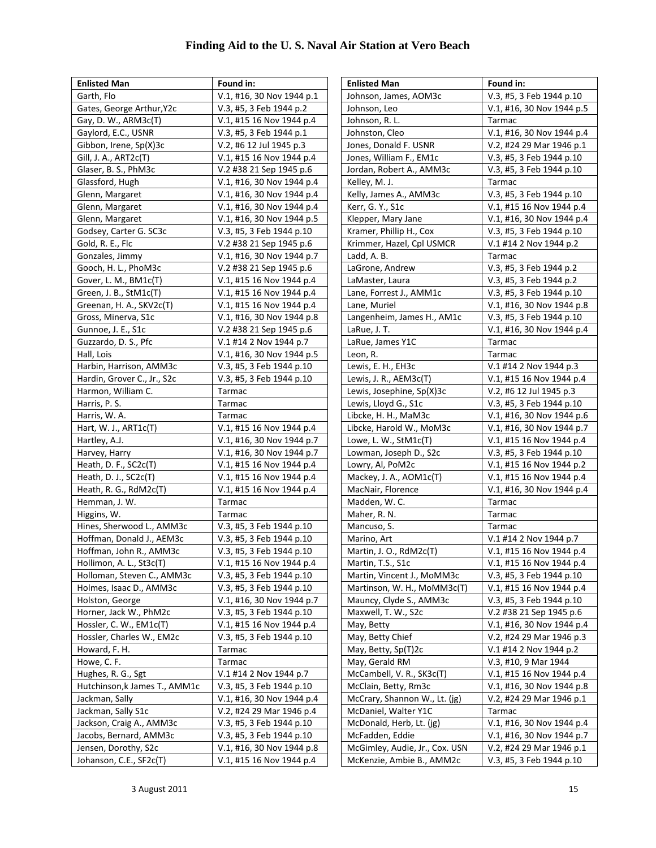| <b>Enlisted Man</b>           | Found in:                 |
|-------------------------------|---------------------------|
| Garth, Flo                    | V.1, #16, 30 Nov 1944 p.1 |
| Gates, George Arthur, Y2c     | V.3, #5, 3 Feb 1944 p.2   |
| Gay, D. W., ARM3c(T)          | V.1, #15 16 Nov 1944 p.4  |
| Gaylord, E.C., USNR           | V.3, #5, 3 Feb 1944 p.1   |
| Gibbon, Irene, Sp(X)3c        | V.2, #6 12 Jul 1945 p.3   |
| Gill, J. A., ART2c(T)         | V.1, #15 16 Nov 1944 p.4  |
| Glaser, B. S., PhM3c          | V.2 #38 21 Sep 1945 p.6   |
| Glassford, Hugh               | V.1, #16, 30 Nov 1944 p.4 |
| Glenn, Margaret               | V.1, #16, 30 Nov 1944 p.4 |
| Glenn, Margaret               | V.1, #16, 30 Nov 1944 p.4 |
| Glenn, Margaret               | V.1, #16, 30 Nov 1944 p.5 |
| Godsey, Carter G. SC3c        | V.3, #5, 3 Feb 1944 p.10  |
| Gold, R. E., Flc              | V.2 #38 21 Sep 1945 p.6   |
| Gonzales, Jimmy               | V.1, #16, 30 Nov 1944 p.7 |
| Gooch, H. L., PhoM3c          | V.2 #38 21 Sep 1945 p.6   |
| Gover, L. M., BM1c(T)         | V.1, #15 16 Nov 1944 p.4  |
| Green, J. B., StM1c(T)        | V.1, #15 16 Nov 1944 p.4  |
| Greenan, H. A., SKV2c(T)      | V.1, #15 16 Nov 1944 p.4  |
| Gross, Minerva, S1c           | V.1, #16, 30 Nov 1944 p.8 |
| Gunnoe, J. E., S1c            | V.2 #38 21 Sep 1945 p.6   |
| Guzzardo, D. S., Pfc          | V.1 #14 2 Nov 1944 p.7    |
| Hall, Lois                    | V.1, #16, 30 Nov 1944 p.5 |
| Harbin, Harrison, AMM3c       | V.3, #5, 3 Feb 1944 p.10  |
| Hardin, Grover C., Jr., S2c   | V.3, #5, 3 Feb 1944 p.10  |
| Harmon, William C.            | Tarmac                    |
| Harris, P. S.                 | Tarmac                    |
| Harris, W. A.                 | Tarmac                    |
| Hart, W. J., $ART1c(T)$       | V.1, #15 16 Nov 1944 p.4  |
| Hartley, A.J.                 | V.1, #16, 30 Nov 1944 p.7 |
| Harvey, Harry                 | V.1, #16, 30 Nov 1944 p.7 |
| Heath, D. F., SC2c(T)         | V.1, #15 16 Nov 1944 p.4  |
| Heath, D. J., $SC2c(T)$       | V.1, #15 16 Nov 1944 p.4  |
| Heath, R. G., RdM2c(T)        | V.1, #15 16 Nov 1944 p.4  |
| Hemman, J. W.                 | Tarmac                    |
| Higgins, W.                   | Tarmac                    |
| Hines, Sherwood L., AMM3c     | V.3, #5, 3 Feb 1944 p.10  |
| Hoffman, Donald J., AEM3c     | V.3, #5, 3 Feb 1944 p.10  |
| Hoffman, John R., AMM3c       | V.3, #5, 3 Feb 1944 p.10  |
| Hollimon, A. L., St3c(T)      | V.1, #15 16 Nov 1944 p.4  |
| Holloman, Steven C., AMM3c    | V.3, #5, 3 Feb 1944 p.10  |
| Holmes, Isaac D., AMM3c       | V.3, #5, 3 Feb 1944 p.10  |
| Holston, George               | V.1, #16, 30 Nov 1944 p.7 |
| Horner, Jack W., PhM2c        | V.3, #5, 3 Feb 1944 p.10  |
| Hossler, C. W., EM1c(T)       | V.1, #15 16 Nov 1944 p.4  |
| Hossler, Charles W., EM2c     | V.3, #5, 3 Feb 1944 p.10  |
| Howard, F. H.                 | Tarmac                    |
| Howe, C. F.                   | Tarmac                    |
| Hughes, R. G., Sgt            | V.1 #14 2 Nov 1944 p.7    |
| Hutchinson, k James T., AMM1c | V.3, #5, 3 Feb 1944 p.10  |
| Jackman, Sally                | V.1, #16, 30 Nov 1944 p.4 |
| Jackman, Sally S1c            | V.2, #24 29 Mar 1946 p.4  |
| Jackson, Craig A., AMM3c      | V.3, #5, 3 Feb 1944 p.10  |
| Jacobs, Bernard, AMM3c        | V.3, #5, 3 Feb 1944 p.10  |
| Jensen, Dorothy, S2c          | V.1, #16, 30 Nov 1944 p.8 |
|                               |                           |
| Johanson, C.E., SF2c(T)       | V.1, #15 16 Nov 1944 p.4  |

| <b>Enlisted Man</b>            | Found in:                 |
|--------------------------------|---------------------------|
| Johnson, James, AOM3c          | V.3, #5, 3 Feb 1944 p.10  |
| Johnson, Leo                   | V.1, #16, 30 Nov 1944 p.5 |
| Johnson, R. L.                 | Tarmac                    |
| Johnston, Cleo                 | V.1, #16, 30 Nov 1944 p.4 |
| Jones, Donald F. USNR          | V.2, #24 29 Mar 1946 p.1  |
| Jones, William F., EM1c        | V.3, #5, 3 Feb 1944 p.10  |
| Jordan, Robert A., AMM3c       | V.3, #5, 3 Feb 1944 p.10  |
| Kelley, M. J.                  | Tarmac                    |
| Kelly, James A., AMM3c         | V.3, #5, 3 Feb 1944 p.10  |
| Kerr, G. Y., S1c               | V.1, #15 16 Nov 1944 p.4  |
| Klepper, Mary Jane             | V.1, #16, 30 Nov 1944 p.4 |
| Kramer, Phillip H., Cox        | V.3, #5, 3 Feb 1944 p.10  |
| Krimmer, Hazel, Cpl USMCR      | V.1 #14 2 Nov 1944 p.2    |
| Ladd, A. B.                    | Tarmac                    |
| LaGrone, Andrew                | V.3, #5, 3 Feb 1944 p.2   |
| LaMaster, Laura                | V.3, #5, 3 Feb 1944 p.2   |
| Lane, Forrest J., AMM1c        | V.3, #5, 3 Feb 1944 p.10  |
| Lane, Muriel                   | V.1, #16, 30 Nov 1944 p.8 |
| Langenheim, James H., AM1c     | V.3, #5, 3 Feb 1944 p.10  |
| LaRue, J. T.                   | V.1, #16, 30 Nov 1944 p.4 |
| LaRue, James Y1C               | Tarmac                    |
| Leon, R.                       | Tarmac                    |
| Lewis, E. H., EH3c             | V.1 #14 2 Nov 1944 p.3    |
| Lewis, J. R., AEM3c(T)         | V.1, #15 16 Nov 1944 p.4  |
| Lewis, Josephine, Sp(X)3c      | V.2, #6 12 Jul 1945 p.3   |
| Lewis, Lloyd G., S1c           | V.3, #5, 3 Feb 1944 p.10  |
| Libcke, H. H., MaM3c           | V.1, #16, 30 Nov 1944 p.6 |
| Libcke, Harold W., MoM3c       | V.1, #16, 30 Nov 1944 p.7 |
| Lowe, L. W., StM1c(T)          | V.1, #15 16 Nov 1944 p.4  |
| Lowman, Joseph D., S2c         | V.3, #5, 3 Feb 1944 p.10  |
| Lowry, Al, PoM2c               | V.1, #15 16 Nov 1944 p.2  |
| Mackey, J. A., AOM1c(T)        | V.1, #15 16 Nov 1944 p.4  |
| MacNair, Florence              | V.1, #16, 30 Nov 1944 p.4 |
| Madden, W. C.                  | Tarmac                    |
| Maher, R. N.                   | Tarmac                    |
| Mancuso, S.                    | Tarmac                    |
| Marino, Art                    | V.1 #14 2 Nov 1944 p.7    |
| Martin, J. O., RdM2c(T)        | V.1, #15 16 Nov 1944 p.4  |
| Martin, T.S., S1c              | V.1, #15 16 Nov 1944 p.4  |
| Martin, Vincent J., MoMM3c     | V.3, #5, 3 Feb 1944 p.10  |
| Martinson, W. H., MoMM3c(T)    | V.1, #15 16 Nov 1944 p.4  |
| Mauncy, Clyde S., AMM3c        | V.3, #5, 3 Feb 1944 p.10  |
| Maxwell, T. W., S2c            | V.2 #38 21 Sep 1945 p.6   |
| May, Betty                     | V.1, #16, 30 Nov 1944 p.4 |
| May, Betty Chief               | V.2, #24 29 Mar 1946 p.3  |
| May, Betty, Sp(T)2c            | V.1 #14 2 Nov 1944 p.2    |
| May, Gerald RM                 | V.3, #10, 9 Mar 1944      |
| McCambell, V. R., SK3c(T)      | V.1, #15 16 Nov 1944 p.4  |
| McClain, Betty, Rm3c           | V.1, #16, 30 Nov 1944 p.8 |
| McCrary, Shannon W., Lt. (jg)  | V.2, #24 29 Mar 1946 p.1  |
| McDaniel, Walter Y1C           | Tarmac                    |
| McDonald, Herb, Lt. (jg)       | V.1, #16, 30 Nov 1944 p.4 |
| McFadden, Eddie                | V.1, #16, 30 Nov 1944 p.7 |
| McGimley, Audie, Jr., Cox. USN | V.2, #24 29 Mar 1946 p.1  |
| McKenzie, Ambie B., AMM2c      | V.3, #5, 3 Feb 1944 p.10  |
|                                |                           |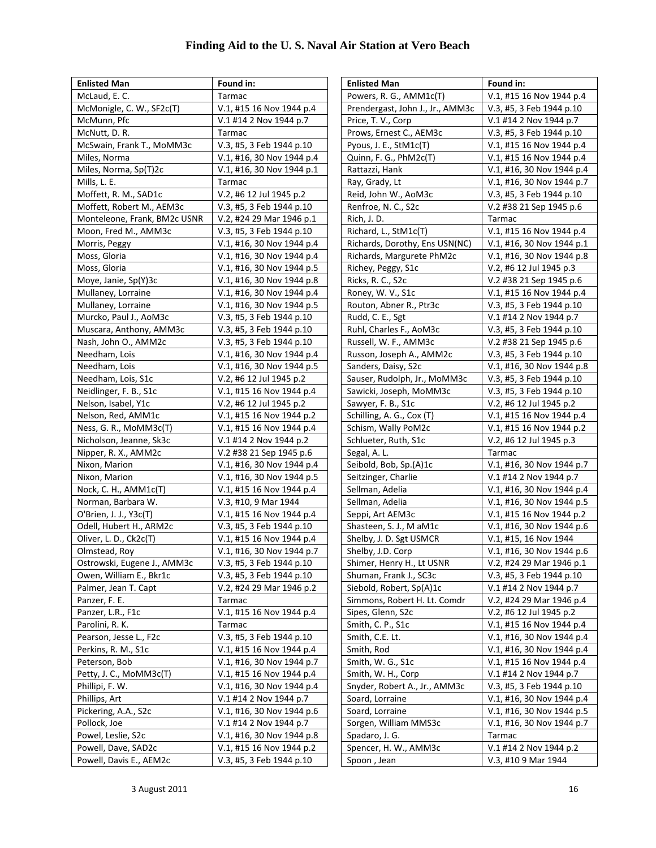| <b>Enlisted Man</b>          | Found in:                 |
|------------------------------|---------------------------|
| McLaud, E. C.                | Tarmac                    |
| McMonigle, C. W., SF2c(T)    | V.1, #15 16 Nov 1944 p.4  |
| McMunn, Pfc                  | V.1 #14 2 Nov 1944 p.7    |
| McNutt, D. R.                | Tarmac                    |
| McSwain, Frank T., MoMM3c    | V.3, #5, 3 Feb 1944 p.10  |
| Miles, Norma                 | V.1, #16, 30 Nov 1944 p.4 |
| Miles, Norma, Sp(T)2c        | V.1, #16, 30 Nov 1944 p.1 |
| Mills, L. E.                 | Tarmac                    |
| Moffett, R. M., SAD1c        | V.2, #6 12 Jul 1945 p.2   |
| Moffett, Robert M., AEM3c    | V.3, #5, 3 Feb 1944 p.10  |
| Monteleone, Frank, BM2c USNR | V.2, #24 29 Mar 1946 p.1  |
| Moon, Fred M., AMM3c         | V.3, #5, 3 Feb 1944 p.10  |
| Morris, Peggy                | V.1, #16, 30 Nov 1944 p.4 |
| Moss, Gloria                 | V.1, #16, 30 Nov 1944 p.4 |
| Moss, Gloria                 | V.1, #16, 30 Nov 1944 p.5 |
| Moye, Janie, Sp(Y)3c         | V.1, #16, 30 Nov 1944 p.8 |
| Mullaney, Lorraine           | V.1, #16, 30 Nov 1944 p.4 |
| Mullaney, Lorraine           | V.1, #16, 30 Nov 1944 p.5 |
| Murcko, Paul J., AoM3c       | V.3, #5, 3 Feb 1944 p.10  |
| Muscara, Anthony, AMM3c      | V.3, #5, 3 Feb 1944 p.10  |
| Nash, John O., AMM2c         | V.3, #5, 3 Feb 1944 p.10  |
| Needham, Lois                | V.1, #16, 30 Nov 1944 p.4 |
| Needham, Lois                | V.1, #16, 30 Nov 1944 p.5 |
| Needham, Lois, S1c           | V.2, #6 12 Jul 1945 p.2   |
| Neidlinger, F. B., S1c       | V.1, #15 16 Nov 1944 p.4  |
| Nelson, Isabel, Y1c          | V.2, #6 12 Jul 1945 p.2   |
| Nelson, Red, AMM1c           | V.1, #15 16 Nov 1944 p.2  |
| Ness, G. R., MoMM3c(T)       | V.1, #15 16 Nov 1944 p.4  |
| Nicholson, Jeanne, Sk3c      | V.1 #14 2 Nov 1944 p.2    |
| Nipper, R. X., AMM2c         | V.2 #38 21 Sep 1945 p.6   |
| Nixon, Marion                | V.1, #16, 30 Nov 1944 p.4 |
| Nixon, Marion                | V.1, #16, 30 Nov 1944 p.5 |
| Nock, C. H., $AMM1c(T)$      | V.1, #15 16 Nov 1944 p.4  |
| Norman, Barbara W.           | V.3, #10, 9 Mar 1944      |
| O'Brien, J. J., Y3c(T)       | V.1, #15 16 Nov 1944 p.4  |
| Odell, Hubert H., ARM2c      | V.3, #5, 3 Feb 1944 p.10  |
| Oliver, L. D., Ck2c(T)       | V.1, #15 16 Nov 1944 p.4  |
| Olmstead, Roy                | V.1, #16, 30 Nov 1944 p.7 |
| Ostrowski, Eugene J., AMM3c  | V.3, #5, 3 Feb 1944 p.10  |
| Owen, William E., Bkr1c      | V.3, #5, 3 Feb 1944 p.10  |
| Palmer, Jean T. Capt         | V.2, #24 29 Mar 1946 p.2  |
| Panzer, F. E.                | Tarmac                    |
| Panzer, L.R., F1c            | V.1, #15 16 Nov 1944 p.4  |
| Parolini, R. K.              | Tarmac                    |
| Pearson, Jesse L., F2c       | V.3, #5, 3 Feb 1944 p.10  |
| Perkins, R. M., S1c          | V.1, #15 16 Nov 1944 p.4  |
| Peterson, Bob                | V.1, #16, 30 Nov 1944 p.7 |
| Petty, J. C., MoMM3c(T)      | V.1, #15 16 Nov 1944 p.4  |
| Phillipi, F. W.              | V.1, #16, 30 Nov 1944 p.4 |
| Phillips, Art                | V.1 #14 2 Nov 1944 p.7    |
| Pickering, A.A., S2c         | V.1, #16, 30 Nov 1944 p.6 |
| Pollock, Joe                 | V.1 #14 2 Nov 1944 p.7    |
| Powel, Leslie, S2c           | V.1, #16, 30 Nov 1944 p.8 |
| Powell, Dave, SAD2c          | V.1, #15 16 Nov 1944 p.2  |
| Powell, Davis E., AEM2c      | V.3, #5, 3 Feb 1944 p.10  |

| <b>Enlisted Man</b>                                 | Found in:                                             |
|-----------------------------------------------------|-------------------------------------------------------|
| Powers, R. G., AMM1c(T)                             | V.1, #15 16 Nov 1944 p.4                              |
| Prendergast, John J., Jr., AMM3c                    | V.3, #5, 3 Feb 1944 p.10                              |
| Price, T. V., Corp                                  | V.1 #14 2 Nov 1944 p.7                                |
| Prows, Ernest C., AEM3c                             | V.3, #5, 3 Feb 1944 p.10                              |
| Pyous, J. E., StM1c(T)                              | V.1, #15 16 Nov 1944 p.4                              |
| Quinn, F. G., PhM2c(T)                              | V.1, #15 16 Nov 1944 p.4                              |
| Rattazzi, Hank                                      | V.1, #16, 30 Nov 1944 p.4                             |
| Ray, Grady, Lt                                      | V.1, #16, 30 Nov 1944 p.7                             |
| Reid, John W., AoM3c                                | V.3, #5, 3 Feb 1944 p.10                              |
| Renfroe, N. C., S2c                                 | V.2 #38 21 Sep 1945 p.6                               |
| Rich, J. D.                                         | Tarmac                                                |
| Richard, L., StM1c(T)                               | V.1, #15 16 Nov 1944 p.4                              |
| Richards, Dorothy, Ens USN(NC)                      | V.1, #16, 30 Nov 1944 p.1                             |
| Richards, Margurete PhM2c                           | V.1, #16, 30 Nov 1944 p.8                             |
| Richey, Peggy, S1c                                  | V.2, #6 12 Jul 1945 p.3                               |
| Ricks, R. C., S2c                                   | V.2 #38 21 Sep 1945 p.6                               |
| Roney, W. V., S1c                                   | V.1, #15 16 Nov 1944 p.4                              |
| Routon, Abner R., Ptr3c                             | V.3, #5, 3 Feb 1944 p.10                              |
| Rudd, C. E., Sgt                                    | V.1 #14 2 Nov 1944 p.7                                |
| Ruhl, Charles F., AoM3c                             | V.3, #5, 3 Feb 1944 p.10                              |
| Russell, W. F., AMM3c                               | V.2 #38 21 Sep 1945 p.6                               |
| Russon, Joseph A., AMM2c                            | V.3, #5, 3 Feb 1944 p.10                              |
| Sanders, Daisy, S2c                                 | V.1, #16, 30 Nov 1944 p.8                             |
| Sauser, Rudolph, Jr., MoMM3c                        | V.3, #5, 3 Feb 1944 p.10                              |
| Sawicki, Joseph, MoMM3c                             | V.3, #5, 3 Feb 1944 p.10                              |
| Sawyer, F. B., S1c                                  | V.2, #6 12 Jul 1945 p.2                               |
| Schilling, A. G., Cox (T)                           | V.1, #15 16 Nov 1944 p.4                              |
| Schism, Wally PoM2c                                 | V.1, #15 16 Nov 1944 p.2                              |
| Schlueter, Ruth, S1c                                | V.2, #6 12 Jul 1945 p.3                               |
| Segal, A. L.                                        | Tarmac                                                |
| Seibold, Bob, Sp.(A)1c                              | V.1, #16, 30 Nov 1944 p.7                             |
| Seitzinger, Charlie                                 | V.1 #14 2 Nov 1944 p.7                                |
| Sellman, Adelia                                     | V.1, #16, 30 Nov 1944 p.4                             |
| Sellman, Adelia                                     | V.1, #16, 30 Nov 1944 p.5                             |
| Seppi, Art AEM3c                                    | V.1, #15 16 Nov 1944 p.2                              |
| Shasteen, S. J., M aM1c                             | V.1, #16, 30 Nov 1944 p.6                             |
| Shelby, J. D. Sgt USMCR                             | V.1, #15, 16 Nov 1944                                 |
| Shelby, J.D. Corp                                   | V.1. #16. 30 Nov 1944 p.6                             |
| Shimer, Henry H., Lt USNR                           | V.2, #24 29 Mar 1946 p.1                              |
| Shuman, Frank J., SC3c                              | V.3, #5, 3 Feb 1944 p.10                              |
| Siebold, Robert, Sp(A)1c                            | V.1 #14 2 Nov 1944 p.7                                |
| Simmons, Robert H. Lt. Comdr                        | V.2, #24 29 Mar 1946 p.4                              |
| Sipes, Glenn, S2c                                   | V.2, #6 12 Jul 1945 p.2                               |
| Smith, C. P., S1c                                   | V.1, #15 16 Nov 1944 p.4                              |
| Smith, C.E. Lt.                                     | V.1, #16, 30 Nov 1944 p.4                             |
| Smith, Rod                                          | V.1, #16, 30 Nov 1944 p.4                             |
| Smith, W. G., S1c                                   | V.1, #15 16 Nov 1944 p.4                              |
| Smith, W. H., Corp<br>Snyder, Robert A., Jr., AMM3c | V.1 #14 2 Nov 1944 p.7                                |
|                                                     | V.3, #5, 3 Feb 1944 p.10<br>V.1, #16, 30 Nov 1944 p.4 |
| Soard, Lorraine<br>Soard, Lorraine                  |                                                       |
|                                                     | V.1, #16, 30 Nov 1944 p.5                             |
| Sorgen, William MMS3c                               | V.1, #16, 30 Nov 1944 p.7                             |
| Spadaro, J. G.                                      | Tarmac<br>V.1 #14 2 Nov 1944 p.2                      |
| Spencer, H. W., AMM3c                               |                                                       |
| Spoon, Jean                                         | V.3, #10 9 Mar 1944                                   |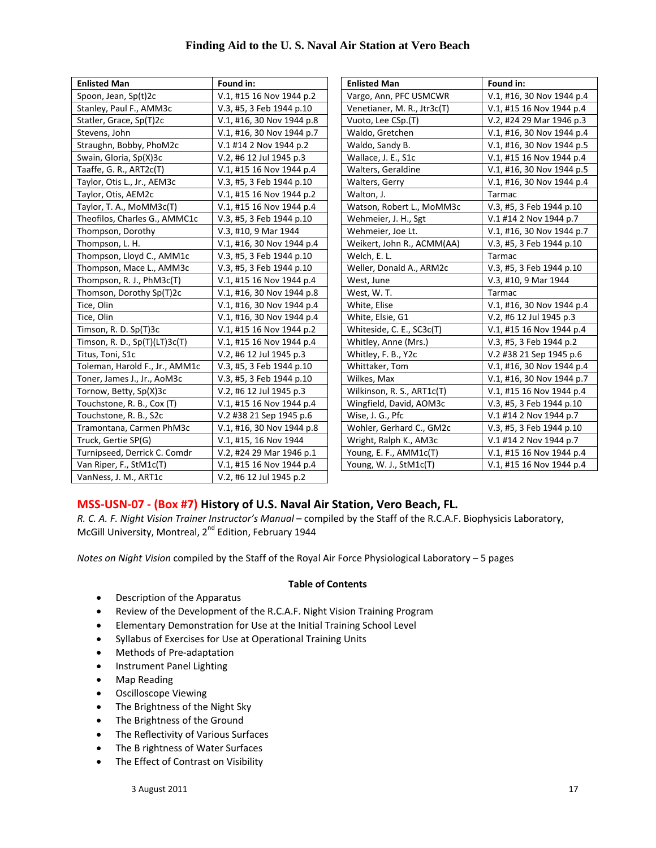| <b>Enlisted Man</b>            | Found in:                 | <b>Enlisted Man</b>         | Found in:                 |
|--------------------------------|---------------------------|-----------------------------|---------------------------|
| Spoon, Jean, Sp(t)2c           | V.1, #15 16 Nov 1944 p.2  | Vargo, Ann, PFC USMCWR      | V.1, #16, 30 Nov 1944 p.4 |
| Stanley, Paul F., AMM3c        | V.3, #5, 3 Feb 1944 p.10  | Venetianer, M. R., Jtr3c(T) | V.1, #15 16 Nov 1944 p.4  |
| Statler, Grace, Sp(T)2c        | V.1, #16, 30 Nov 1944 p.8 | Vuoto, Lee CSp.(T)          | V.2, #24 29 Mar 1946 p.3  |
| Stevens, John                  | V.1, #16, 30 Nov 1944 p.7 | Waldo, Gretchen             | V.1, #16, 30 Nov 1944 p.4 |
| Straughn, Bobby, PhoM2c        | V.1 #14 2 Nov 1944 p.2    | Waldo, Sandy B.             | V.1, #16, 30 Nov 1944 p.5 |
| Swain, Gloria, Sp(X)3c         | V.2, #6 12 Jul 1945 p.3   | Wallace, J. E., S1c         | V.1, #15 16 Nov 1944 p.4  |
| Taaffe, G. R., ART2c(T)        | V.1, #15 16 Nov 1944 p.4  | Walters, Geraldine          | V.1, #16, 30 Nov 1944 p.5 |
| Taylor, Otis L., Jr., AEM3c    | V.3, #5, 3 Feb 1944 p.10  | Walters, Gerry              | V.1, #16, 30 Nov 1944 p.4 |
| Taylor, Otis, AEM2c            | V.1, #15 16 Nov 1944 p.2  | Walton, J.                  | Tarmac                    |
| Taylor, T. A., MoMM3c(T)       | V.1, #15 16 Nov 1944 p.4  | Watson, Robert L., MoMM3c   | V.3, #5, 3 Feb 1944 p.10  |
| Theofilos, Charles G., AMMC1c  | V.3, #5, 3 Feb 1944 p.10  | Wehmeier, J. H., Sgt        | V.1 #14 2 Nov 1944 p.7    |
| Thompson, Dorothy              | V.3, #10, 9 Mar 1944      | Wehmeier, Joe Lt.           | V.1, #16, 30 Nov 1944 p.7 |
| Thompson, L. H.                | V.1, #16, 30 Nov 1944 p.4 | Weikert, John R., ACMM(AA)  | V.3, #5, 3 Feb 1944 p.10  |
| Thompson, Lloyd C., AMM1c      | V.3, #5, 3 Feb 1944 p.10  | Welch, E. L.                | Tarmac                    |
| Thompson, Mace L., AMM3c       | V.3, #5, 3 Feb 1944 p.10  | Weller, Donald A., ARM2c    | V.3, #5, 3 Feb 1944 p.10  |
| Thompson, R. J., PhM3c(T)      | V.1, #15 16 Nov 1944 p.4  | West, June                  | V.3, #10, 9 Mar 1944      |
| Thomson, Dorothy Sp(T)2c       | V.1, #16, 30 Nov 1944 p.8 | West, W.T.                  | Tarmac                    |
| Tice, Olin                     | V.1, #16, 30 Nov 1944 p.4 | White, Elise                | V.1, #16, 30 Nov 1944 p.4 |
| Tice, Olin                     | V.1, #16, 30 Nov 1944 p.4 | White, Elsie, G1            | V.2, #6 12 Jul 1945 p.3   |
| Timson, R. D. Sp(T)3c          | V.1, #15 16 Nov 1944 p.2  | Whiteside, C. E., SC3c(T)   | V.1, #15 16 Nov 1944 p.4  |
| Timson, R. D., Sp(T)(LT)3c(T)  | V.1, #15 16 Nov 1944 p.4  | Whitley, Anne (Mrs.)        | V.3, #5, 3 Feb 1944 p.2   |
| Titus, Toni, S1c               | V.2, #6 12 Jul 1945 p.3   | Whitley, F. B., Y2c         | V.2 #38 21 Sep 1945 p.6   |
| Toleman, Harold F., Jr., AMM1c | V.3, #5, 3 Feb 1944 p.10  | Whittaker, Tom              | V.1, #16, 30 Nov 1944 p.4 |
| Toner, James J., Jr., AoM3c    | V.3, #5, 3 Feb 1944 p.10  | Wilkes, Max                 | V.1, #16, 30 Nov 1944 p.7 |
| Tornow, Betty, Sp(X)3c         | V.2, #6 12 Jul 1945 p.3   | Wilkinson, R. S., ART1c(T)  | V.1, #15 16 Nov 1944 p.4  |
| Touchstone, R. B., Cox (T)     | V.1, #15 16 Nov 1944 p.4  | Wingfield, David, AOM3c     | V.3, #5, 3 Feb 1944 p.10  |
| Touchstone, R. B., S2c         | V.2 #38 21 Sep 1945 p.6   | Wise, J. G., Pfc            | V.1 #14 2 Nov 1944 p.7    |
| Tramontana, Carmen PhM3c       | V.1, #16, 30 Nov 1944 p.8 | Wohler, Gerhard C., GM2c    | V.3, #5, 3 Feb 1944 p.10  |
| Truck, Gertie SP(G)            | V.1, #15, 16 Nov 1944     | Wright, Ralph K., AM3c      | V.1 #14 2 Nov 1944 p.7    |
| Turnipseed, Derrick C. Comdr   | V.2, #24 29 Mar 1946 p.1  | Young, E. F., AMM1c(T)      | V.1, #15 16 Nov 1944 p.4  |
| Van Riper, F., StM1c(T)        | V.1, #15 16 Nov 1944 p.4  | Young, W. J., StM1c(T)      | V.1, #15 16 Nov 1944 p.4  |
| VanNess, J. M., ART1c          | V.2, #6 12 Jul 1945 p.2   |                             |                           |

#### **MSS‐USN‐07 ‐ (Box #7) History of U.S. Naval Air Station, Vero Beach, FL.**

*R. C. A. F. Night Vision Trainer Instructor's Manual* – compiled by the Staff of the R.C.A.F. Biophysicis Laboratory, McGill University, Montreal, 2<sup>nd</sup> Edition, February 1944

*Notes on Night Vision* compiled by the Staff of the Royal Air Force Physiological Laboratory – 5 pages

#### **Table of Contents**

- Description of the Apparatus
- Review of the Development of the R.C.A.F. Night Vision Training Program
- Elementary Demonstration for Use at the Initial Training School Level
- Syllabus of Exercises for Use at Operational Training Units
- Methods of Pre-adaptation
- Instrument Panel Lighting
- Map Reading
- Oscilloscope Viewing
- The Brightness of the Night Sky
- The Brightness of the Ground
- The Reflectivity of Various Surfaces
- The B rightness of Water Surfaces
- The Effect of Contrast on Visibility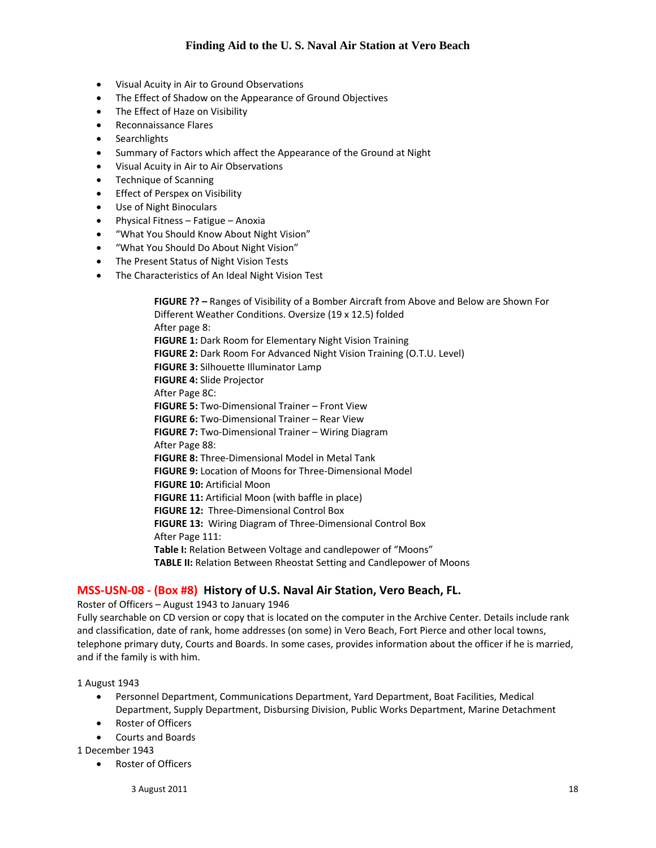- Visual Acuity in Air to Ground Observations
- The Effect of Shadow on the Appearance of Ground Objectives
- The Effect of Haze on Visibility
- Reconnaissance Flares
- **•** Searchlights
- Summary of Factors which affect the Appearance of the Ground at Night
- Visual Acuity in Air to Air Observations
- Technique of Scanning
- **•** Effect of Perspex on Visibility
- Use of Night Binoculars
- Physical Fitness Fatigue Anoxia
- "What You Should Know About Night Vision"
- "What You Should Do About Night Vision"
- The Present Status of Night Vision Tests
- The Characteristics of An Ideal Night Vision Test

 **FIGURE ?? –** Ranges of Visibility of a Bomber Aircraft from Above and Below are Shown For Different Weather Conditions. Oversize (19 x 12.5) folded After page 8: **FIGURE 1:** Dark Room for Elementary Night Vision Training  **FIGURE 2:** Dark Room For Advanced Night Vision Training (O.T.U. Level)  **FIGURE 3:** Silhouette Illuminator Lamp  **FIGURE 4:** Slide Projector After Page 8C: **FIGURE 5:** Two‐Dimensional Trainer – Front View **FIGURE 6:** Two‐Dimensional Trainer – Rear View **FIGURE 7:** Two‐Dimensional Trainer – Wiring Diagram After Page 88: **FIGURE 8:** Three‐Dimensional Model in Metal Tank **FIGURE 9:** Location of Moons for Three‐Dimensional Model **FIGURE 10:** Artificial Moon **FIGURE 11:** Artificial Moon (with baffle in place) **FIGURE 12:** Three‐Dimensional Control Box **FIGURE 13:** Wiring Diagram of Three‐Dimensional Control Box After Page 111:  **Table I:** Relation Between Voltage and candlepower of "Moons" **TABLE II:** Relation Between Rheostat Setting and Candlepower of Moons

#### **MSS‐USN‐08 ‐ (Box #8) History of U.S. Naval Air Station, Vero Beach, FL.**

Roster of Officers – August 1943 to January 1946

Fully searchable on CD version or copy that is located on the computer in the Archive Center. Details include rank and classification, date of rank, home addresses (on some) in Vero Beach, Fort Pierce and other local towns, telephone primary duty, Courts and Boards. In some cases, provides information about the officer if he is married, and if the family is with him.

1 August 1943

- Personnel Department, Communications Department, Yard Department, Boat Facilities, Medical Department, Supply Department, Disbursing Division, Public Works Department, Marine Detachment
- Roster of Officers
- Courts and Boards

1 December 1943

Roster of Officers

 $3$  August 2011  $18$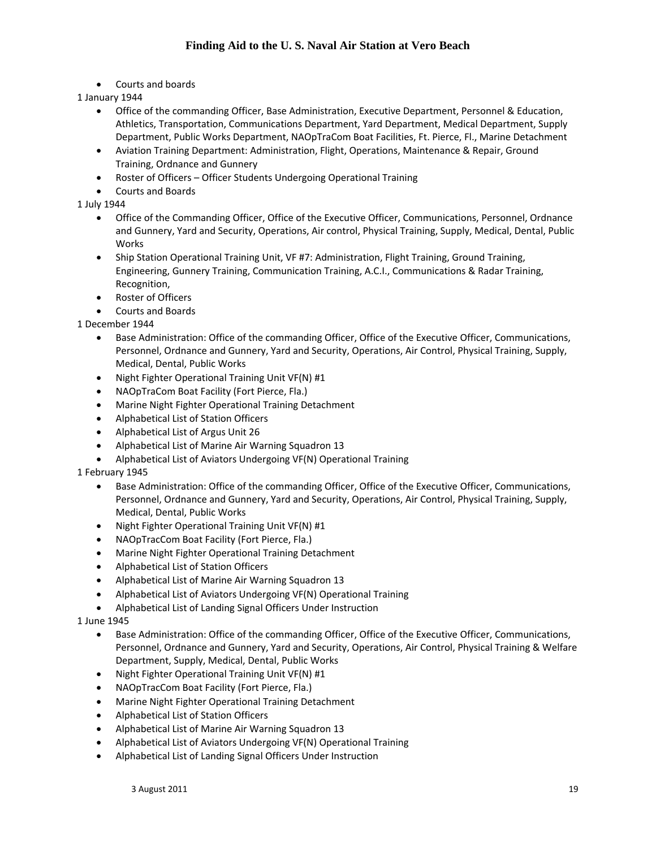Courts and boards

1 January 1944

- Office of the commanding Officer, Base Administration, Executive Department, Personnel & Education, Athletics, Transportation, Communications Department, Yard Department, Medical Department, Supply Department, Public Works Department, NAOpTraCom Boat Facilities, Ft. Pierce, Fl., Marine Detachment
- Aviation Training Department: Administration, Flight, Operations, Maintenance & Repair, Ground Training, Ordnance and Gunnery
- Roster of Officers Officer Students Undergoing Operational Training
- Courts and Boards

1 July 1944

- Office of the Commanding Officer, Office of the Executive Officer, Communications, Personnel, Ordnance and Gunnery, Yard and Security, Operations, Air control, Physical Training, Supply, Medical, Dental, Public Works
- Ship Station Operational Training Unit, VF #7: Administration, Flight Training, Ground Training, Engineering, Gunnery Training, Communication Training, A.C.I., Communications & Radar Training, Recognition,
- Roster of Officers
- Courts and Boards

1 December 1944

- Base Administration: Office of the commanding Officer, Office of the Executive Officer, Communications, Personnel, Ordnance and Gunnery, Yard and Security, Operations, Air Control, Physical Training, Supply, Medical, Dental, Public Works
- Night Fighter Operational Training Unit VF(N) #1
- NAOpTraCom Boat Facility (Fort Pierce, Fla.)
- Marine Night Fighter Operational Training Detachment
- Alphabetical List of Station Officers
- Alphabetical List of Argus Unit 26
- Alphabetical List of Marine Air Warning Squadron 13
- Alphabetical List of Aviators Undergoing VF(N) Operational Training

1 February 1945

- Base Administration: Office of the commanding Officer, Office of the Executive Officer, Communications, Personnel, Ordnance and Gunnery, Yard and Security, Operations, Air Control, Physical Training, Supply, Medical, Dental, Public Works
- Night Fighter Operational Training Unit VF(N) #1
- NAOpTracCom Boat Facility (Fort Pierce, Fla.)
- Marine Night Fighter Operational Training Detachment
- Alphabetical List of Station Officers
- Alphabetical List of Marine Air Warning Squadron 13
- Alphabetical List of Aviators Undergoing VF(N) Operational Training
- Alphabetical List of Landing Signal Officers Under Instruction

1 June 1945

- Base Administration: Office of the commanding Officer, Office of the Executive Officer, Communications, Personnel, Ordnance and Gunnery, Yard and Security, Operations, Air Control, Physical Training & Welfare Department, Supply, Medical, Dental, Public Works
- Night Fighter Operational Training Unit VF(N) #1
- NAOpTracCom Boat Facility (Fort Pierce, Fla.)
- Marine Night Fighter Operational Training Detachment
- Alphabetical List of Station Officers
- Alphabetical List of Marine Air Warning Squadron 13
- Alphabetical List of Aviators Undergoing VF(N) Operational Training
- Alphabetical List of Landing Signal Officers Under Instruction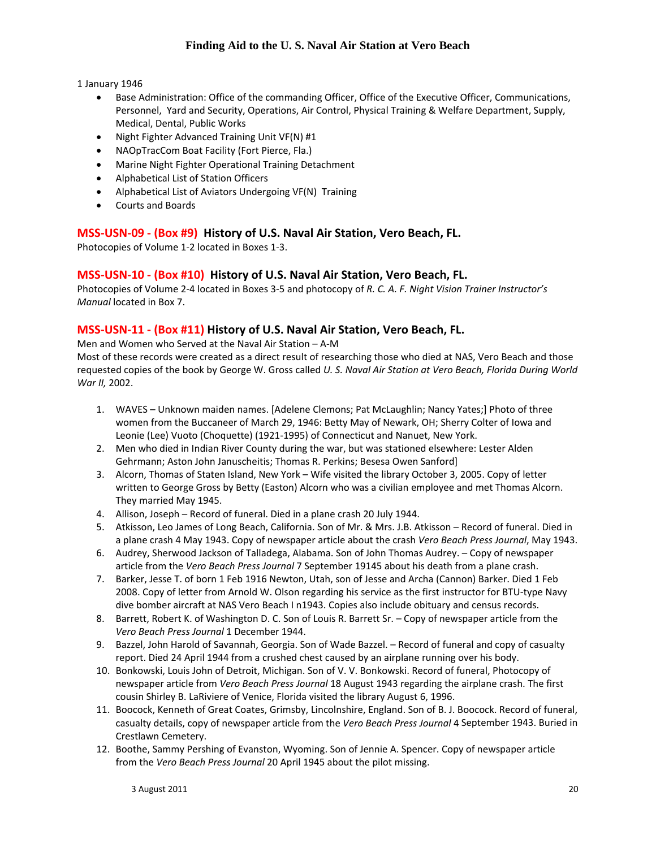1 January 1946

- Base Administration: Office of the commanding Officer, Office of the Executive Officer, Communications, Personnel, Yard and Security, Operations, Air Control, Physical Training & Welfare Department, Supply, Medical, Dental, Public Works
- Night Fighter Advanced Training Unit VF(N) #1
- NAOpTracCom Boat Facility (Fort Pierce, Fla.)
- Marine Night Fighter Operational Training Detachment
- Alphabetical List of Station Officers
- Alphabetical List of Aviators Undergoing VF(N) Training
- Courts and Boards

#### **MSS‐USN‐09 ‐ (Box #9) History of U.S. Naval Air Station, Vero Beach, FL.**

Photocopies of Volume 1‐2 located in Boxes 1‐3.

#### **MSS‐USN‐10 ‐ (Box #10) History of U.S. Naval Air Station, Vero Beach, FL.**

Photocopies of Volume 2‐4 located in Boxes 3‐5 and photocopy of *R. C. A. F. Night Vision Trainer Instructor's Manual* located in Box 7.

#### **MSS‐USN‐11 ‐ (Box #11) History of U.S. Naval Air Station, Vero Beach, FL.**

Men and Women who Served at the Naval Air Station – A‐M Most of these records were created as a direct result of researching those who died at NAS, Vero Beach and those

requested copies of the book by George W. Gross called *U. S. Naval Air Station at Vero Beach, Florida During World War II,* 2002.

- 1. WAVES Unknown maiden names. [Adelene Clemons; Pat McLaughlin; Nancy Yates;] Photo of three women from the Buccaneer of March 29, 1946: Betty May of Newark, OH; Sherry Colter of Iowa and Leonie (Lee) Vuoto (Choquette) (1921‐1995) of Connecticut and Nanuet, New York.
- 2. Men who died in Indian River County during the war, but was stationed elsewhere: Lester Alden Gehrmann; Aston John Januscheitis; Thomas R. Perkins; Besesa Owen Sanford]
- 3. Alcorn, Thomas of Staten Island, New York Wife visited the library October 3, 2005. Copy of letter written to George Gross by Betty (Easton) Alcorn who was a civilian employee and met Thomas Alcorn. They married May 1945.
- 4. Allison, Joseph Record of funeral. Died in a plane crash 20 July 1944.
- 5. Atkisson, Leo James of Long Beach, California. Son of Mr. & Mrs. J.B. Atkisson Record of funeral. Died in a plane crash 4 May 1943. Copy of newspaper article about the crash *Vero Beach Press Journal*, May 1943.
- 6. Audrey, Sherwood Jackson of Talladega, Alabama. Son of John Thomas Audrey. Copy of newspaper article from the *Vero Beach Press Journal* 7 September 19145 about his death from a plane crash.
- 7. Barker, Jesse T. of born 1 Feb 1916 Newton, Utah, son of Jesse and Archa (Cannon) Barker. Died 1 Feb 2008. Copy of letter from Arnold W. Olson regarding his service as the first instructor for BTU‐type Navy dive bomber aircraft at NAS Vero Beach I n1943. Copies also include obituary and census records.
- 8. Barrett, Robert K. of Washington D. C. Son of Louis R. Barrett Sr. Copy of newspaper article from the *Vero Beach Press Journal* 1 December 1944.
- 9. Bazzel, John Harold of Savannah, Georgia. Son of Wade Bazzel. Record of funeral and copy of casualty report. Died 24 April 1944 from a crushed chest caused by an airplane running over his body.
- 10. Bonkowski, Louis John of Detroit, Michigan. Son of V. V. Bonkowski. Record of funeral, Photocopy of newspaper article from *Vero Beach Press Journal* 18 August 1943 regarding the airplane crash. The first cousin Shirley B. LaRiviere of Venice, Florida visited the library August 6, 1996.
- 11. Boocock, Kenneth of Great Coates, Grimsby, Lincolnshire, England. Son of B. J. Boocock. Record of funeral, casualty details, copy of newspaper article from the *Vero Beach Press Journal* 4 September 1943. Buried in Crestlawn Cemetery.
- 12. Boothe, Sammy Pershing of Evanston, Wyoming. Son of Jennie A. Spencer. Copy of newspaper article from the *Vero Beach Press Journal* 20 April 1945 about the pilot missing.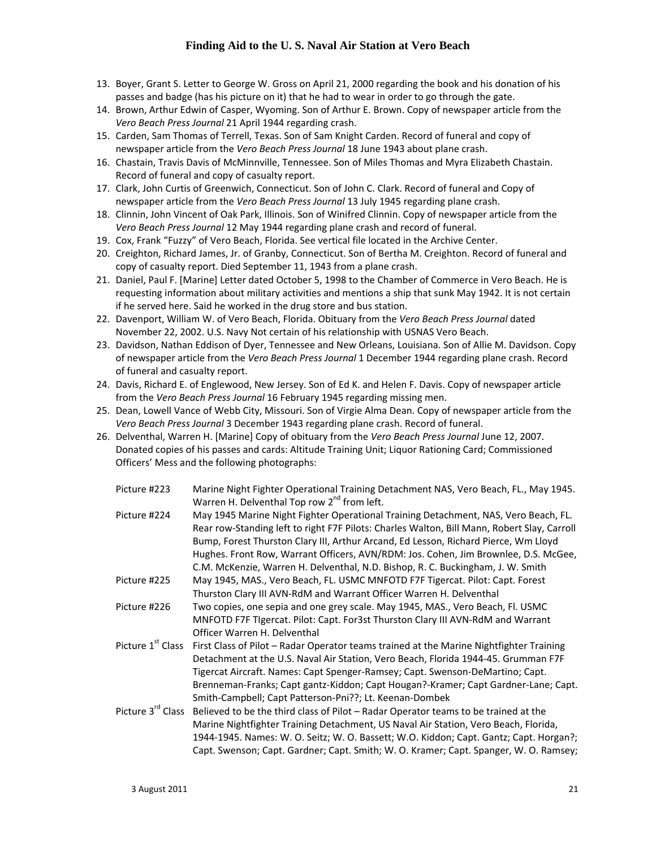- 13. Boyer, Grant S. Letter to George W. Gross on April 21, 2000 regarding the book and his donation of his passes and badge (has his picture on it) that he had to wear in order to go through the gate.
- 14. Brown, Arthur Edwin of Casper, Wyoming. Son of Arthur E. Brown. Copy of newspaper article from the *Vero Beach Press Journal* 21 April 1944 regarding crash.
- 15. Carden, Sam Thomas of Terrell, Texas. Son of Sam Knight Carden. Record of funeral and copy of newspaper article from the *Vero Beach Press Journal* 18 June 1943 about plane crash.
- 16. Chastain, Travis Davis of McMinnville, Tennessee. Son of Miles Thomas and Myra Elizabeth Chastain. Record of funeral and copy of casualty report.
- 17. Clark, John Curtis of Greenwich, Connecticut. Son of John C. Clark. Record of funeral and Copy of newspaper article from the *Vero Beach Press Journal* 13 July 1945 regarding plane crash.
- 18. Clinnin, John Vincent of Oak Park, Illinois. Son of Winifred Clinnin. Copy of newspaper article from the *Vero Beach Press Journal* 12 May 1944 regarding plane crash and record of funeral.
- 19. Cox, Frank "Fuzzy" of Vero Beach, Florida. See vertical file located in the Archive Center.
- 20. Creighton, Richard James, Jr. of Granby, Connecticut. Son of Bertha M. Creighton. Record of funeral and copy of casualty report. Died September 11, 1943 from a plane crash.
- 21. Daniel, Paul F. [Marine] Letter dated October 5, 1998 to the Chamber of Commerce in Vero Beach. He is requesting information about military activities and mentions a ship that sunk May 1942. It is not certain if he served here. Said he worked in the drug store and bus station.
- 22. Davenport, William W. of Vero Beach, Florida. Obituary from the *Vero Beach Press Journal* dated November 22, 2002. U.S. Navy Not certain of his relationship with USNAS Vero Beach.
- 23. Davidson, Nathan Eddison of Dyer, Tennessee and New Orleans, Louisiana. Son of Allie M. Davidson. Copy of newspaper article from the *Vero Beach Press Journal* 1 December 1944 regarding plane crash. Record of funeral and casualty report.
- 24. Davis, Richard E. of Englewood, New Jersey. Son of Ed K. and Helen F. Davis. Copy of newspaper article from the *Vero Beach Press Journal* 16 February 1945 regarding missing men.
- 25. Dean, Lowell Vance of Webb City, Missouri. Son of Virgie Alma Dean. Copy of newspaper article from the *Vero Beach Press Journal* 3 December 1943 regarding plane crash. Record of funeral.
- 26. Delventhal, Warren H. [Marine] Copy of obituary from the *Vero Beach Press Journal* June 12, 2007. Donated copies of his passes and cards: Altitude Training Unit; Liquor Rationing Card; Commissioned Officers' Mess and the following photographs:

| Picture #223                  | Marine Night Fighter Operational Training Detachment NAS, Vero Beach, FL., May 1945.        |
|-------------------------------|---------------------------------------------------------------------------------------------|
|                               | Warren H. Delventhal Top row 2 <sup>nd</sup> from left.                                     |
| Picture #224                  | May 1945 Marine Night Fighter Operational Training Detachment, NAS, Vero Beach, FL.         |
|                               | Rear row-Standing left to right F7F Pilots: Charles Walton, Bill Mann, Robert Slay, Carroll |
|                               | Bump, Forest Thurston Clary III, Arthur Arcand, Ed Lesson, Richard Pierce, Wm Lloyd         |
|                               | Hughes. Front Row, Warrant Officers, AVN/RDM: Jos. Cohen, Jim Brownlee, D.S. McGee,         |
|                               | C.M. McKenzie, Warren H. Delventhal, N.D. Bishop, R. C. Buckingham, J. W. Smith             |
| Picture #225                  | May 1945, MAS., Vero Beach, FL. USMC MNFOTD F7F Tigercat. Pilot: Capt. Forest               |
|                               | Thurston Clary III AVN-RdM and Warrant Officer Warren H. Delventhal                         |
| Picture #226                  | Two copies, one sepia and one grey scale. May 1945, MAS., Vero Beach, Fl. USMC              |
|                               | MNFOTD F7F Tigercat. Pilot: Capt. For3st Thurston Clary III AVN-RdM and Warrant             |
|                               | Officer Warren H. Delventhal                                                                |
| Picture 1 <sup>st</sup> Class | First Class of Pilot – Radar Operator teams trained at the Marine Nightfighter Training     |
|                               | Detachment at the U.S. Naval Air Station, Vero Beach, Florida 1944-45. Grumman F7F          |
|                               | Tigercat Aircraft. Names: Capt Spenger-Ramsey; Capt. Swenson-DeMartino; Capt.               |
|                               | Brenneman-Franks; Capt gantz-Kiddon; Capt Hougan?-Kramer; Capt Gardner-Lane; Capt.          |
|                               | Smith-Campbell; Capt Patterson-Pni??; Lt. Keenan-Dombek                                     |
| Picture 3rd Class             | Believed to be the third class of Pilot – Radar Operator teams to be trained at the         |
|                               | Marine Nightfighter Training Detachment, US Naval Air Station, Vero Beach, Florida,         |
|                               | 1944-1945. Names: W. O. Seitz; W. O. Bassett; W.O. Kiddon; Capt. Gantz; Capt. Horgan?;      |
|                               | Capt. Swenson; Capt. Gardner; Capt. Smith; W. O. Kramer; Capt. Spanger, W. O. Ramsey;       |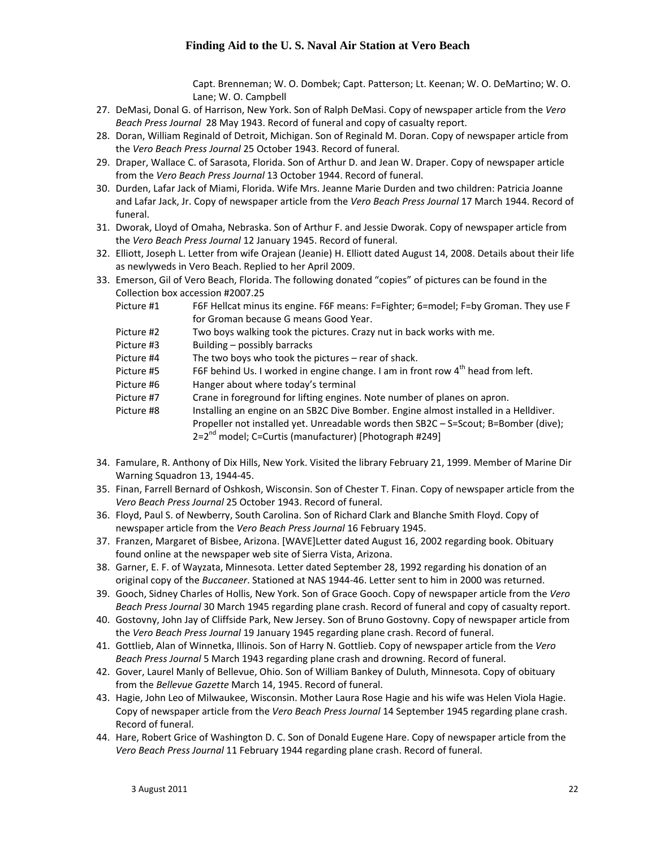Capt. Brenneman; W. O. Dombek; Capt. Patterson; Lt. Keenan; W. O. DeMartino; W. O. Lane; W. O. Campbell

- 27. DeMasi, Donal G. of Harrison, New York. Son of Ralph DeMasi. Copy of newspaper article from the *Vero Beach Press Journal* 28 May 1943. Record of funeral and copy of casualty report.
- 28. Doran, William Reginald of Detroit, Michigan. Son of Reginald M. Doran. Copy of newspaper article from the *Vero Beach Press Journal* 25 October 1943. Record of funeral.
- 29. Draper, Wallace C. of Sarasota, Florida. Son of Arthur D. and Jean W. Draper. Copy of newspaper article from the *Vero Beach Press Journal* 13 October 1944. Record of funeral.
- 30. Durden, Lafar Jack of Miami, Florida. Wife Mrs. Jeanne Marie Durden and two children: Patricia Joanne and Lafar Jack, Jr. Copy of newspaper article from the *Vero Beach Press Journal* 17 March 1944. Record of funeral.
- 31. Dworak, Lloyd of Omaha, Nebraska. Son of Arthur F. and Jessie Dworak. Copy of newspaper article from the *Vero Beach Press Journal* 12 January 1945. Record of funeral.
- 32. Elliott, Joseph L. Letter from wife Orajean (Jeanie) H. Elliott dated August 14, 2008. Details about their life as newlyweds in Vero Beach. Replied to her April 2009.
- 33. Emerson, Gil of Vero Beach, Florida. The following donated "copies" of pictures can be found in the Collection box accession #2007.25
	- Picture #1 F6F Hellcat minus its engine. F6F means: F=Fighter; 6=model; F=by Groman. They use F for Groman because G means Good Year.
	- Picture #2 Two boys walking took the pictures. Crazy nut in back works with me.
	- Picture #3 Building possibly barracks
	- Picture #4 The two boys who took the pictures rear of shack.
	- Picture  $#5$  F6F behind Us. I worked in engine change. I am in front row  $4<sup>th</sup>$  head from left.
	- Picture #6 Hanger about where today's terminal
	- Picture #7 Crane in foreground for lifting engines. Note number of planes on apron.
	- Picture #8 Installing an engine on an SB2C Dive Bomber. Engine almost installed in a Helldiver.
	- Propeller not installed yet. Unreadable words then SB2C S=Scout; B=Bomber (dive); 2=2<sup>nd</sup> model; C=Curtis (manufacturer) [Photograph #249]
- 34. Famulare, R. Anthony of Dix Hills, New York. Visited the library February 21, 1999. Member of Marine Dir Warning Squadron 13, 1944‐45.
- 35. Finan, Farrell Bernard of Oshkosh, Wisconsin. Son of Chester T. Finan. Copy of newspaper article from the *Vero Beach Press Journal* 25 October 1943. Record of funeral.
- 36. Floyd, Paul S. of Newberry, South Carolina. Son of Richard Clark and Blanche Smith Floyd. Copy of newspaper article from the *Vero Beach Press Journal* 16 February 1945.
- 37. Franzen, Margaret of Bisbee, Arizona. [WAVE]Letter dated August 16, 2002 regarding book. Obituary found online at the newspaper web site of Sierra Vista, Arizona.
- 38. Garner, E. F. of Wayzata, Minnesota. Letter dated September 28, 1992 regarding his donation of an original copy of the *Buccaneer*. Stationed at NAS 1944‐46. Letter sent to him in 2000 was returned.
- 39. Gooch, Sidney Charles of Hollis, New York. Son of Grace Gooch. Copy of newspaper article from the *Vero Beach Press Journal* 30 March 1945 regarding plane crash. Record of funeral and copy of casualty report.
- 40. Gostovny, John Jay of Cliffside Park, New Jersey. Son of Bruno Gostovny. Copy of newspaper article from the *Vero Beach Press Journal* 19 January 1945 regarding plane crash. Record of funeral.
- 41. Gottlieb, Alan of Winnetka, Illinois. Son of Harry N. Gottlieb. Copy of newspaper article from the *Vero Beach Press Journal* 5 March 1943 regarding plane crash and drowning. Record of funeral.
- 42. Gover, Laurel Manly of Bellevue, Ohio. Son of William Bankey of Duluth, Minnesota. Copy of obituary from the *Bellevue Gazette* March 14, 1945. Record of funeral.
- 43. Hagie, John Leo of Milwaukee, Wisconsin. Mother Laura Rose Hagie and his wife was Helen Viola Hagie. Copy of newspaper article from the *Vero Beach Press Journal* 14 September 1945 regarding plane crash. Record of funeral.
- 44. Hare, Robert Grice of Washington D. C. Son of Donald Eugene Hare. Copy of newspaper article from the *Vero Beach Press Journal* 11 February 1944 regarding plane crash. Record of funeral.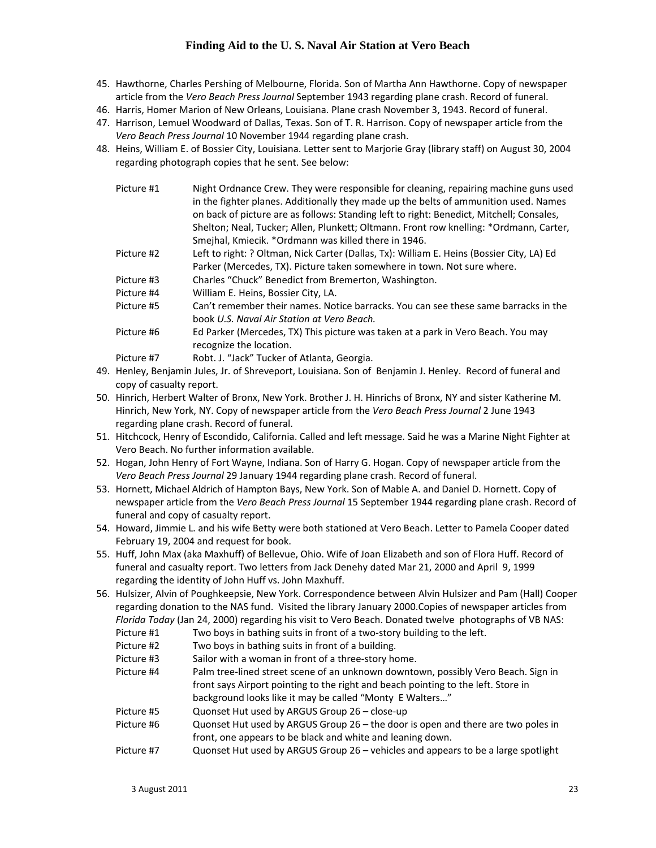- 45. Hawthorne, Charles Pershing of Melbourne, Florida. Son of Martha Ann Hawthorne. Copy of newspaper article from the *Vero Beach Press Journal* September 1943 regarding plane crash. Record of funeral.
- 46. Harris, Homer Marion of New Orleans, Louisiana. Plane crash November 3, 1943. Record of funeral.
- 47. Harrison, Lemuel Woodward of Dallas, Texas. Son of T. R. Harrison. Copy of newspaper article from the *Vero Beach Press Journal* 10 November 1944 regarding plane crash.
- 48. Heins, William E. of Bossier City, Louisiana. Letter sent to Marjorie Gray (library staff) on August 30, 2004 regarding photograph copies that he sent. See below:

| Picture #1 | Night Ordnance Crew. They were responsible for cleaning, repairing machine guns used<br>in the fighter planes. Additionally they made up the belts of ammunition used. Names<br>on back of picture are as follows: Standing left to right: Benedict, Mitchell; Consales,<br>Shelton; Neal, Tucker; Allen, Plunkett; Oltmann. Front row knelling: *Ordmann, Carter,<br>Smejhal, Kmiecik. * Ordmann was killed there in 1946. |
|------------|-----------------------------------------------------------------------------------------------------------------------------------------------------------------------------------------------------------------------------------------------------------------------------------------------------------------------------------------------------------------------------------------------------------------------------|
| Picture #2 |                                                                                                                                                                                                                                                                                                                                                                                                                             |
|            | Left to right: ? Oltman, Nick Carter (Dallas, Tx): William E. Heins (Bossier City, LA) Ed<br>Parker (Mercedes, TX). Picture taken somewhere in town. Not sure where.                                                                                                                                                                                                                                                        |
| Picture #3 | Charles "Chuck" Benedict from Bremerton, Washington.                                                                                                                                                                                                                                                                                                                                                                        |
| Picture #4 | William E. Heins, Bossier City, LA.                                                                                                                                                                                                                                                                                                                                                                                         |
| Picture #5 | Can't remember their names. Notice barracks. You can see these same barracks in the<br>book U.S. Naval Air Station at Vero Beach.                                                                                                                                                                                                                                                                                           |
| Picture #6 | Ed Parker (Mercedes, TX) This picture was taken at a park in Vero Beach. You may<br>recognize the location.                                                                                                                                                                                                                                                                                                                 |
| Picture #7 | Robt. J. "Jack" Tucker of Atlanta, Georgia.                                                                                                                                                                                                                                                                                                                                                                                 |

- 49. Henley, Benjamin Jules, Jr. of Shreveport, Louisiana. Son of Benjamin J. Henley. Record of funeral and copy of casualty report.
- 50. Hinrich, Herbert Walter of Bronx, New York. Brother J. H. Hinrichs of Bronx, NY and sister Katherine M. Hinrich, New York, NY. Copy of newspaper article from the *Vero Beach Press Journal* 2 June 1943 regarding plane crash. Record of funeral.
- 51. Hitchcock, Henry of Escondido, California. Called and left message. Said he was a Marine Night Fighter at Vero Beach. No further information available.
- 52. Hogan, John Henry of Fort Wayne, Indiana. Son of Harry G. Hogan. Copy of newspaper article from the *Vero Beach Press Journal* 29 January 1944 regarding plane crash. Record of funeral.
- 53. Hornett, Michael Aldrich of Hampton Bays, New York. Son of Mable A. and Daniel D. Hornett. Copy of newspaper article from the *Vero Beach Press Journal* 15 September 1944 regarding plane crash. Record of funeral and copy of casualty report.
- 54. Howard, Jimmie L. and his wife Betty were both stationed at Vero Beach. Letter to Pamela Cooper dated February 19, 2004 and request for book.
- 55. Huff, John Max (aka Maxhuff) of Bellevue, Ohio. Wife of Joan Elizabeth and son of Flora Huff. Record of funeral and casualty report. Two letters from Jack Denehy dated Mar 21, 2000 and April 9, 1999 regarding the identity of John Huff vs. John Maxhuff.
- 56. Hulsizer, Alvin of Poughkeepsie, New York. Correspondence between Alvin Hulsizer and Pam (Hall) Cooper regarding donation to the NAS fund. Visited the library January 2000.Copies of newspaper articles from *Florida Today* (Jan 24, 2000) regarding his visit to Vero Beach. Donated twelve photographs of VB NAS:
	- Picture #1 Two boys in bathing suits in front of a two-story building to the left.
	- Picture #2 Two boys in bathing suits in front of a building.
	- Picture #3 Sailor with a woman in front of a three-story home.
	- Picture #4 Palm tree-lined street scene of an unknown downtown, possibly Vero Beach. Sign in front says Airport pointing to the right and beach pointing to the left. Store in background looks like it may be called "Monty E Walters…"
	- Picture #5 Quonset Hut used by ARGUS Group 26 close‐up
	- Picture #6 Quonset Hut used by ARGUS Group 26 the door is open and there are two poles in front, one appears to be black and white and leaning down.
	- Picture #7 Quonset Hut used by ARGUS Group 26 vehicles and appears to be a large spotlight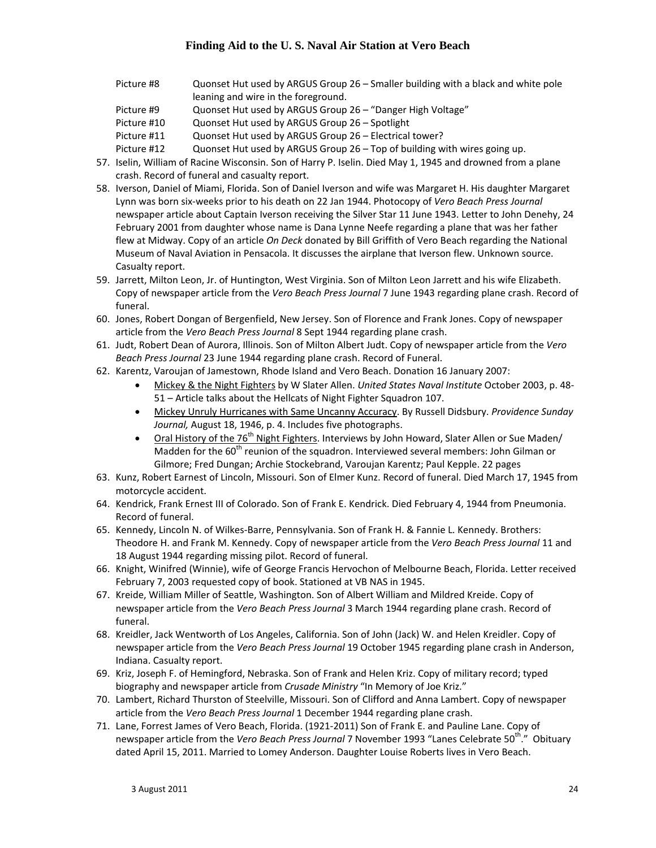| Picture #8  | Quonset Hut used by ARGUS Group 26 – Smaller building with a black and white pole |
|-------------|-----------------------------------------------------------------------------------|
|             | leaning and wire in the foreground.                                               |
| Picture #9  | Quonset Hut used by ARGUS Group 26 – "Danger High Voltage"                        |
| Picture #10 | Quonset Hut used by ARGUS Group 26 – Spotlight                                    |
| Picture #11 | Quonset Hut used by ARGUS Group 26 – Electrical tower?                            |
| Picture #12 | Quonset Hut used by ARGUS Group 26 - Top of building with wires going up.         |

- 57. Iselin, William of Racine Wisconsin. Son of Harry P. Iselin. Died May 1, 1945 and drowned from a plane crash. Record of funeral and casualty report.
- 58. Iverson, Daniel of Miami, Florida. Son of Daniel Iverson and wife was Margaret H. His daughter Margaret Lynn was born six‐weeks prior to his death on 22 Jan 1944. Photocopy of *Vero Beach Press Journal* newspaper article about Captain Iverson receiving the Silver Star 11 June 1943. Letter to John Denehy, 24 February 2001 from daughter whose name is Dana Lynne Neefe regarding a plane that was her father flew at Midway. Copy of an article *On Deck* donated by Bill Griffith of Vero Beach regarding the National Museum of Naval Aviation in Pensacola. It discusses the airplane that Iverson flew. Unknown source. Casualty report.
- 59. Jarrett, Milton Leon, Jr. of Huntington, West Virginia. Son of Milton Leon Jarrett and his wife Elizabeth. Copy of newspaper article from the *Vero Beach Press Journal* 7 June 1943 regarding plane crash. Record of funeral.
- 60. Jones, Robert Dongan of Bergenfield, New Jersey. Son of Florence and Frank Jones. Copy of newspaper article from the *Vero Beach Press Journal* 8 Sept 1944 regarding plane crash.
- 61. Judt, Robert Dean of Aurora, Illinois. Son of Milton Albert Judt. Copy of newspaper article from the *Vero Beach Press Journal* 23 June 1944 regarding plane crash. Record of Funeral.
- 62. Karentz, Varoujan of Jamestown, Rhode Island and Vero Beach. Donation 16 January 2007:
	- Mickey & the Night Fighters by W Slater Allen. *United States Naval Institute* October 2003, p. 48‐ 51 – Article talks about the Hellcats of Night Fighter Squadron 107.
	- Mickey Unruly Hurricanes with Same Uncanny Accuracy. By Russell Didsbury. *Providence Sunday Journal,* August 18, 1946, p. 4. Includes five photographs.
	- Oral History of the 76<sup>th</sup> Night Fighters. Interviews by John Howard, Slater Allen or Sue Maden/ Madden for the 60<sup>th</sup> reunion of the squadron. Interviewed several members: John Gilman or Gilmore; Fred Dungan; Archie Stockebrand, Varoujan Karentz; Paul Kepple. 22 pages
- 63. Kunz, Robert Earnest of Lincoln, Missouri. Son of Elmer Kunz. Record of funeral. Died March 17, 1945 from motorcycle accident.
- 64. Kendrick, Frank Ernest III of Colorado. Son of Frank E. Kendrick. Died February 4, 1944 from Pneumonia. Record of funeral.
- 65. Kennedy, Lincoln N. of Wilkes‐Barre, Pennsylvania. Son of Frank H. & Fannie L. Kennedy. Brothers: Theodore H. and Frank M. Kennedy. Copy of newspaper article from the *Vero Beach Press Journal* 11 and 18 August 1944 regarding missing pilot. Record of funeral.
- 66. Knight, Winifred (Winnie), wife of George Francis Hervochon of Melbourne Beach, Florida. Letter received February 7, 2003 requested copy of book. Stationed at VB NAS in 1945.
- 67. Kreide, William Miller of Seattle, Washington. Son of Albert William and Mildred Kreide. Copy of newspaper article from the *Vero Beach Press Journal* 3 March 1944 regarding plane crash. Record of funeral.
- 68. Kreidler, Jack Wentworth of Los Angeles, California. Son of John (Jack) W. and Helen Kreidler. Copy of newspaper article from the *Vero Beach Press Journal* 19 October 1945 regarding plane crash in Anderson, Indiana. Casualty report.
- 69. Kriz, Joseph F. of Hemingford, Nebraska. Son of Frank and Helen Kriz. Copy of military record; typed biography and newspaper article from *Crusade Ministry* "In Memory of Joe Kriz."
- 70. Lambert, Richard Thurston of Steelville, Missouri. Son of Clifford and Anna Lambert. Copy of newspaper article from the *Vero Beach Press Journal* 1 December 1944 regarding plane crash.
- 71. Lane, Forrest James of Vero Beach, Florida. (1921‐2011) Son of Frank E. and Pauline Lane. Copy of newspaper article from the *Vero Beach Press Journal* 7 November 1993 "Lanes Celebrate 50th." Obituary dated April 15, 2011. Married to Lomey Anderson. Daughter Louise Roberts lives in Vero Beach.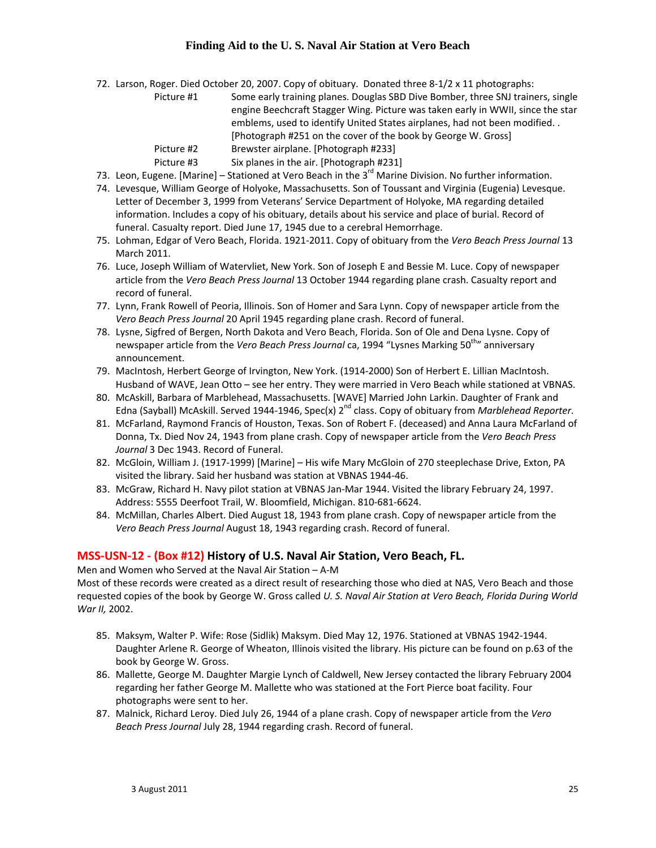72. Larson, Roger. Died October 20, 2007. Copy of obituary. Donated three 8‐1/2 x 11 photographs:

| Picture #1 | Some early training planes. Douglas SBD Dive Bomber, three SNJ trainers, single |
|------------|---------------------------------------------------------------------------------|
|            | engine Beechcraft Stagger Wing. Picture was taken early in WWII, since the star |
|            | emblems, used to identify United States airplanes, had not been modified        |
|            | [Photograph #251 on the cover of the book by George W. Gross]                   |
| Picture #2 | Brewster airplane. [Photograph #233]                                            |
| Picture #3 | Six planes in the air. [Photograph #231]                                        |

- 73. Leon, Eugene. [Marine] Stationed at Vero Beach in the 3<sup>rd</sup> Marine Division. No further information.
- 74. Levesque, William George of Holyoke, Massachusetts. Son of Toussant and Virginia (Eugenia) Levesque. Letter of December 3, 1999 from Veterans' Service Department of Holyoke, MA regarding detailed information. Includes a copy of his obituary, details about his service and place of burial. Record of funeral. Casualty report. Died June 17, 1945 due to a cerebral Hemorrhage.
- 75. Lohman, Edgar of Vero Beach, Florida. 1921‐2011. Copy of obituary from the *Vero Beach Press Journal* 13 March 2011.
- 76. Luce, Joseph William of Watervliet, New York. Son of Joseph E and Bessie M. Luce. Copy of newspaper article from the *Vero Beach Press Journal* 13 October 1944 regarding plane crash. Casualty report and record of funeral.
- 77. Lynn, Frank Rowell of Peoria, Illinois. Son of Homer and Sara Lynn. Copy of newspaper article from the *Vero Beach Press Journal* 20 April 1945 regarding plane crash. Record of funeral.
- 78. Lysne, Sigfred of Bergen, North Dakota and Vero Beach, Florida. Son of Ole and Dena Lysne. Copy of newspaper article from the *Vero Beach Press Journal* ca, 1994 "Lysnes Marking 50th" anniversary announcement.
- 79. MacIntosh, Herbert George of Irvington, New York. (1914‐2000) Son of Herbert E. Lillian MacIntosh. Husband of WAVE, Jean Otto – see her entry. They were married in Vero Beach while stationed at VBNAS.
- 80. McAskill, Barbara of Marblehead, Massachusetts. [WAVE] Married John Larkin. Daughter of Frank and Edna (Sayball) McAskill. Served 1944‐1946, Spec(x) 2nd class. Copy of obituary from *Marblehead Reporter*.
- 81. McFarland, Raymond Francis of Houston, Texas. Son of Robert F. (deceased) and Anna Laura McFarland of Donna, Tx. Died Nov 24, 1943 from plane crash. Copy of newspaper article from the *Vero Beach Press Journal* 3 Dec 1943. Record of Funeral.
- 82. McGloin, William J. (1917‐1999) [Marine] His wife Mary McGloin of 270 steeplechase Drive, Exton, PA visited the library. Said her husband was station at VBNAS 1944‐46.
- 83. McGraw, Richard H. Navy pilot station at VBNAS Jan-Mar 1944. Visited the library February 24, 1997. Address: 5555 Deerfoot Trail, W. Bloomfield, Michigan. 810‐681‐6624.
- 84. McMillan, Charles Albert. Died August 18, 1943 from plane crash. Copy of newspaper article from the *Vero Beach Press Journal* August 18, 1943 regarding crash. Record of funeral.

#### **MSS‐USN‐12 ‐ (Box #12) History of U.S. Naval Air Station, Vero Beach, FL.**

Men and Women who Served at the Naval Air Station – A‐M

Most of these records were created as a direct result of researching those who died at NAS, Vero Beach and those requested copies of the book by George W. Gross called *U. S. Naval Air Station at Vero Beach, Florida During World War II,* 2002.

- 85. Maksym, Walter P. Wife: Rose (Sidlik) Maksym. Died May 12, 1976. Stationed at VBNAS 1942‐1944. Daughter Arlene R. George of Wheaton, Illinois visited the library. His picture can be found on p.63 of the book by George W. Gross.
- 86. Mallette, George M. Daughter Margie Lynch of Caldwell, New Jersey contacted the library February 2004 regarding her father George M. Mallette who was stationed at the Fort Pierce boat facility. Four photographs were sent to her.
- 87. Malnick, Richard Leroy. Died July 26, 1944 of a plane crash. Copy of newspaper article from the *Vero Beach Press Journal* July 28, 1944 regarding crash. Record of funeral.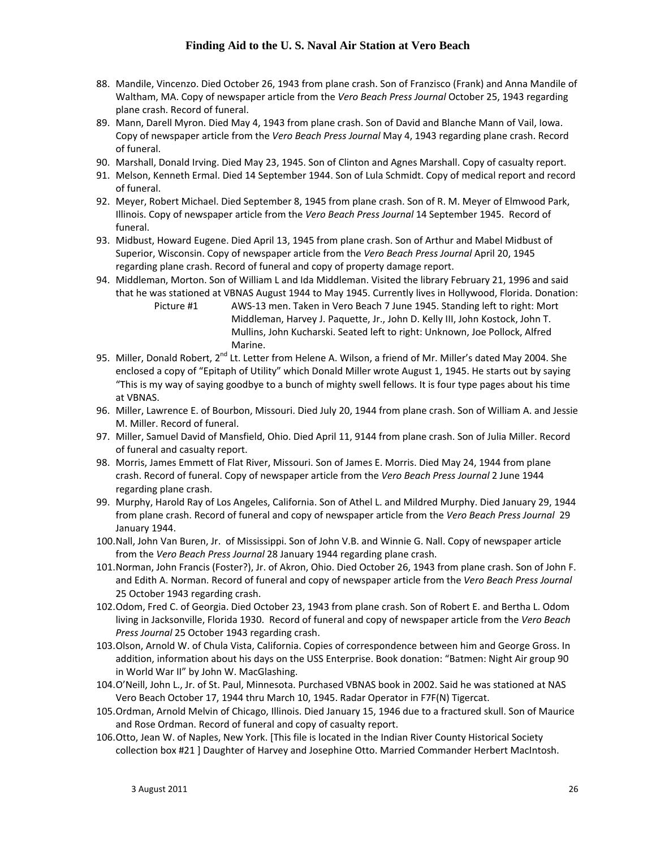- 88. Mandile, Vincenzo. Died October 26, 1943 from plane crash. Son of Franzisco (Frank) and Anna Mandile of Waltham, MA. Copy of newspaper article from the *Vero Beach Press Journal* October 25, 1943 regarding plane crash. Record of funeral.
- 89. Mann, Darell Myron. Died May 4, 1943 from plane crash. Son of David and Blanche Mann of Vail, Iowa. Copy of newspaper article from the *Vero Beach Press Journal* May 4, 1943 regarding plane crash. Record of funeral.
- 90. Marshall, Donald Irving. Died May 23, 1945. Son of Clinton and Agnes Marshall. Copy of casualty report.
- 91. Melson, Kenneth Ermal. Died 14 September 1944. Son of Lula Schmidt. Copy of medical report and record of funeral.
- 92. Meyer, Robert Michael. Died September 8, 1945 from plane crash. Son of R. M. Meyer of Elmwood Park, Illinois. Copy of newspaper article from the *Vero Beach Press Journal* 14 September 1945. Record of funeral.
- 93. Midbust, Howard Eugene. Died April 13, 1945 from plane crash. Son of Arthur and Mabel Midbust of Superior, Wisconsin. Copy of newspaper article from the *Vero Beach Press Journal* April 20, 1945 regarding plane crash. Record of funeral and copy of property damage report.
- 94. Middleman, Morton. Son of William L and Ida Middleman. Visited the library February 21, 1996 and said that he was stationed at VBNAS August 1944 to May 1945. Currently lives in Hollywood, Florida. Donation: Picture #1 AWS‐13 men. Taken in Vero Beach 7 June 1945. Standing left to right: Mort Middleman, Harvey J. Paquette, Jr., John D. Kelly III, John Kostock, John T. Mullins, John Kucharski. Seated left to right: Unknown, Joe Pollock, Alfred
- Marine. 95. Miller, Donald Robert, 2<sup>nd</sup> Lt. Letter from Helene A. Wilson, a friend of Mr. Miller's dated May 2004. She enclosed a copy of "Epitaph of Utility" which Donald Miller wrote August 1, 1945. He starts out by saying "This is my way of saying goodbye to a bunch of mighty swell fellows. It is four type pages about his time at VBNAS.
- 96. Miller, Lawrence E. of Bourbon, Missouri. Died July 20, 1944 from plane crash. Son of William A. and Jessie M. Miller. Record of funeral.
- 97. Miller, Samuel David of Mansfield, Ohio. Died April 11, 9144 from plane crash. Son of Julia Miller. Record of funeral and casualty report.
- 98. Morris, James Emmett of Flat River, Missouri. Son of James E. Morris. Died May 24, 1944 from plane crash. Record of funeral. Copy of newspaper article from the *Vero Beach Press Journal* 2 June 1944 regarding plane crash.
- 99. Murphy, Harold Ray of Los Angeles, California. Son of Athel L. and Mildred Murphy. Died January 29, 1944 from plane crash. Record of funeral and copy of newspaper article from the *Vero Beach Press Journal* 29 January 1944.
- 100.Nall, John Van Buren, Jr. of Mississippi. Son of John V.B. and Winnie G. Nall. Copy of newspaper article from the *Vero Beach Press Journal* 28 January 1944 regarding plane crash.
- 101.Norman, John Francis (Foster?), Jr. of Akron, Ohio. Died October 26, 1943 from plane crash. Son of John F. and Edith A. Norman. Record of funeral and copy of newspaper article from the *Vero Beach Press Journal* 25 October 1943 regarding crash.
- 102.Odom, Fred C. of Georgia. Died October 23, 1943 from plane crash. Son of Robert E. and Bertha L. Odom living in Jacksonville, Florida 1930. Record of funeral and copy of newspaper article from the *Vero Beach Press Journal* 25 October 1943 regarding crash.
- 103.Olson, Arnold W. of Chula Vista, California. Copies of correspondence between him and George Gross. In addition, information about his days on the USS Enterprise. Book donation: "Batmen: Night Air group 90 in World War II" by John W. MacGlashing.
- 104.O'Neill, John L., Jr. of St. Paul, Minnesota. Purchased VBNAS book in 2002. Said he was stationed at NAS Vero Beach October 17, 1944 thru March 10, 1945. Radar Operator in F7F(N) Tigercat.
- 105.Ordman, Arnold Melvin of Chicago, Illinois. Died January 15, 1946 due to a fractured skull. Son of Maurice and Rose Ordman. Record of funeral and copy of casualty report.
- 106.Otto, Jean W. of Naples, New York. [This file is located in the Indian River County Historical Society collection box #21 ] Daughter of Harvey and Josephine Otto. Married Commander Herbert MacIntosh.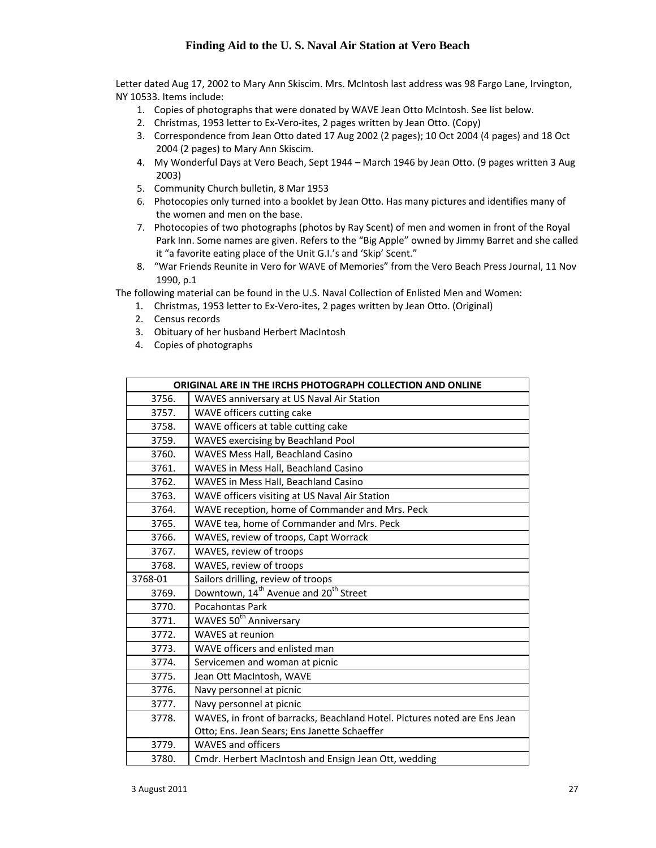Letter dated Aug 17, 2002 to Mary Ann Skiscim. Mrs. McIntosh last address was 98 Fargo Lane, Irvington, NY 10533. Items include:

- 1. Copies of photographs that were donated by WAVE Jean Otto McIntosh. See list below.
- 2. Christmas, 1953 letter to Ex-Vero-ites, 2 pages written by Jean Otto. (Copy)
- 3. Correspondence from Jean Otto dated 17 Aug 2002 (2 pages); 10 Oct 2004 (4 pages) and 18 Oct 2004 (2 pages) to Mary Ann Skiscim.
- 4. My Wonderful Days at Vero Beach, Sept 1944 March 1946 by Jean Otto. (9 pages written 3 Aug 2003)
- 5. Community Church bulletin, 8 Mar 1953
- 6. Photocopies only turned into a booklet by Jean Otto. Has many pictures and identifies many of the women and men on the base.
- 7. Photocopies of two photographs (photos by Ray Scent) of men and women in front of the Royal Park Inn. Some names are given. Refers to the "Big Apple" owned by Jimmy Barret and she called it "a favorite eating place of the Unit G.I.'s and 'Skip' Scent."
- 8. "War Friends Reunite in Vero for WAVE of Memories" from the Vero Beach Press Journal, 11 Nov 1990, p.1

The following material can be found in the U.S. Naval Collection of Enlisted Men and Women:

- 1. Christmas, 1953 letter to Ex‐Vero‐ites, 2 pages written by Jean Otto. (Original)
- 2. Census records
- 3. Obituary of her husband Herbert MacIntosh
- 4. Copies of photographs

|         | ORIGINAL ARE IN THE IRCHS PHOTOGRAPH COLLECTION AND ONLINE                |
|---------|---------------------------------------------------------------------------|
| 3756.   | WAVES anniversary at US Naval Air Station                                 |
| 3757.   | WAVE officers cutting cake                                                |
| 3758.   | WAVE officers at table cutting cake                                       |
| 3759.   | WAVES exercising by Beachland Pool                                        |
| 3760.   | WAVES Mess Hall, Beachland Casino                                         |
| 3761.   | WAVES in Mess Hall, Beachland Casino                                      |
| 3762.   | WAVES in Mess Hall, Beachland Casino                                      |
| 3763.   | WAVE officers visiting at US Naval Air Station                            |
| 3764.   | WAVE reception, home of Commander and Mrs. Peck                           |
| 3765.   | WAVE tea, home of Commander and Mrs. Peck                                 |
| 3766.   | WAVES, review of troops, Capt Worrack                                     |
| 3767.   | WAVES, review of troops                                                   |
| 3768.   | WAVES, review of troops                                                   |
| 3768-01 | Sailors drilling, review of troops                                        |
| 3769.   | Downtown, 14 <sup>th</sup> Avenue and 20 <sup>th</sup> Street             |
| 3770.   | Pocahontas Park                                                           |
| 3771.   | WAVES 50 <sup>th</sup> Anniversary                                        |
| 3772.   | <b>WAVES at reunion</b>                                                   |
| 3773.   | WAVE officers and enlisted man                                            |
| 3774.   | Servicemen and woman at picnic                                            |
| 3775.   | Jean Ott MacIntosh, WAVE                                                  |
| 3776.   | Navy personnel at picnic                                                  |
| 3777.   | Navy personnel at picnic                                                  |
| 3778.   | WAVES, in front of barracks, Beachland Hotel. Pictures noted are Ens Jean |
|         | Otto; Ens. Jean Sears; Ens Janette Schaeffer                              |
| 3779.   | <b>WAVES and officers</b>                                                 |
| 3780.   | Cmdr. Herbert MacIntosh and Ensign Jean Ott, wedding                      |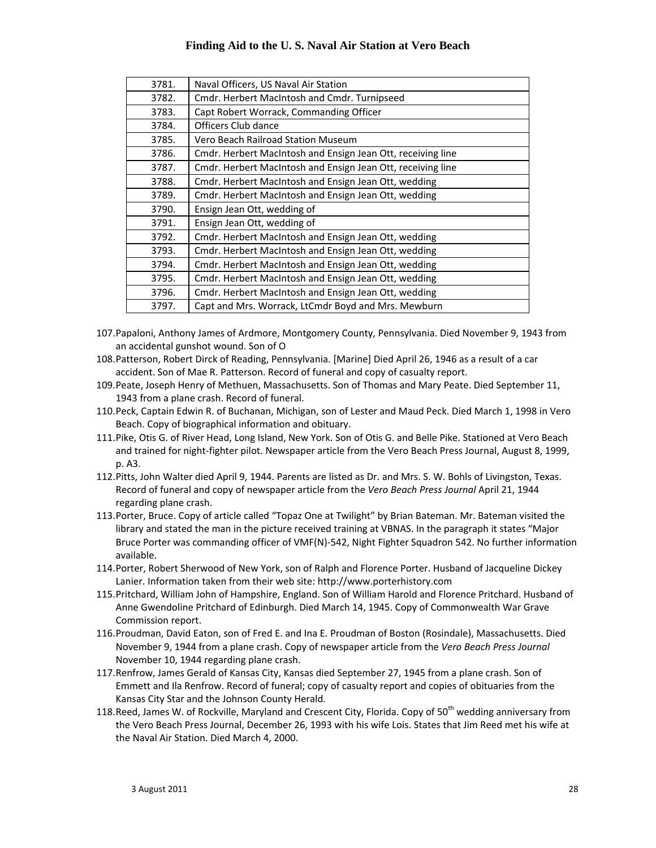| 3781. | Naval Officers, US Naval Air Station                        |
|-------|-------------------------------------------------------------|
| 3782. | Cmdr. Herbert MacIntosh and Cmdr. Turnipseed                |
| 3783. | Capt Robert Worrack, Commanding Officer                     |
| 3784. | Officers Club dance                                         |
| 3785. | Vero Beach Railroad Station Museum                          |
| 3786. | Cmdr. Herbert MacIntosh and Ensign Jean Ott, receiving line |
| 3787. | Cmdr. Herbert MacIntosh and Ensign Jean Ott, receiving line |
| 3788. | Cmdr. Herbert MacIntosh and Ensign Jean Ott, wedding        |
| 3789. | Cmdr. Herbert MacIntosh and Ensign Jean Ott, wedding        |
| 3790. | Ensign Jean Ott, wedding of                                 |
| 3791. | Ensign Jean Ott, wedding of                                 |
| 3792. | Cmdr. Herbert MacIntosh and Ensign Jean Ott, wedding        |
| 3793. | Cmdr. Herbert MacIntosh and Ensign Jean Ott, wedding        |
| 3794. | Cmdr. Herbert MacIntosh and Ensign Jean Ott, wedding        |
| 3795. | Cmdr. Herbert MacIntosh and Ensign Jean Ott, wedding        |
| 3796. | Cmdr. Herbert MacIntosh and Ensign Jean Ott, wedding        |
| 3797. | Capt and Mrs. Worrack, LtCmdr Boyd and Mrs. Mewburn         |
|       |                                                             |

- 107.Papaloni, Anthony James of Ardmore, Montgomery County, Pennsylvania. Died November 9, 1943 from an accidental gunshot wound. Son of O
- 108.Patterson, Robert Dirck of Reading, Pennsylvania. [Marine] Died April 26, 1946 as a result of a car accident. Son of Mae R. Patterson. Record of funeral and copy of casualty report.
- 109.Peate, Joseph Henry of Methuen, Massachusetts. Son of Thomas and Mary Peate. Died September 11, 1943 from a plane crash. Record of funeral.
- 110.Peck, Captain Edwin R. of Buchanan, Michigan, son of Lester and Maud Peck. Died March 1, 1998 in Vero Beach. Copy of biographical information and obituary.
- 111.Pike, Otis G. of River Head, Long Island, New York. Son of Otis G. and Belle Pike. Stationed at Vero Beach and trained for night-fighter pilot. Newspaper article from the Vero Beach Press Journal, August 8, 1999, p. A3.
- 112.Pitts, John Walter died April 9, 1944. Parents are listed as Dr. and Mrs. S. W. Bohls of Livingston, Texas. Record of funeral and copy of newspaper article from the *Vero Beach Press Journal* April 21, 1944 regarding plane crash.
- 113.Porter, Bruce. Copy of article called "Topaz One at Twilight" by Brian Bateman. Mr. Bateman visited the library and stated the man in the picture received training at VBNAS. In the paragraph it states "Major Bruce Porter was commanding officer of VMF(N)‐542, Night Fighter Squadron 542. No further information available.
- 114.Porter, Robert Sherwood of New York, son of Ralph and Florence Porter. Husband of Jacqueline Dickey Lanier. Information taken from their web site: http://www.porterhistory.com
- 115.Pritchard, William John of Hampshire, England. Son of William Harold and Florence Pritchard. Husband of Anne Gwendoline Pritchard of Edinburgh. Died March 14, 1945. Copy of Commonwealth War Grave Commission report.
- 116.Proudman, David Eaton, son of Fred E. and Ina E. Proudman of Boston (Rosindale), Massachusetts. Died November 9, 1944 from a plane crash. Copy of newspaper article from the *Vero Beach Press Journal* November 10, 1944 regarding plane crash.
- 117.Renfrow, James Gerald of Kansas City, Kansas died September 27, 1945 from a plane crash. Son of Emmett and Ila Renfrow. Record of funeral; copy of casualty report and copies of obituaries from the Kansas City Star and the Johnson County Herald.
- 118.Reed, James W. of Rockville, Maryland and Crescent City, Florida. Copy of 50<sup>th</sup> wedding anniversary from the Vero Beach Press Journal, December 26, 1993 with his wife Lois. States that Jim Reed met his wife at the Naval Air Station. Died March 4, 2000.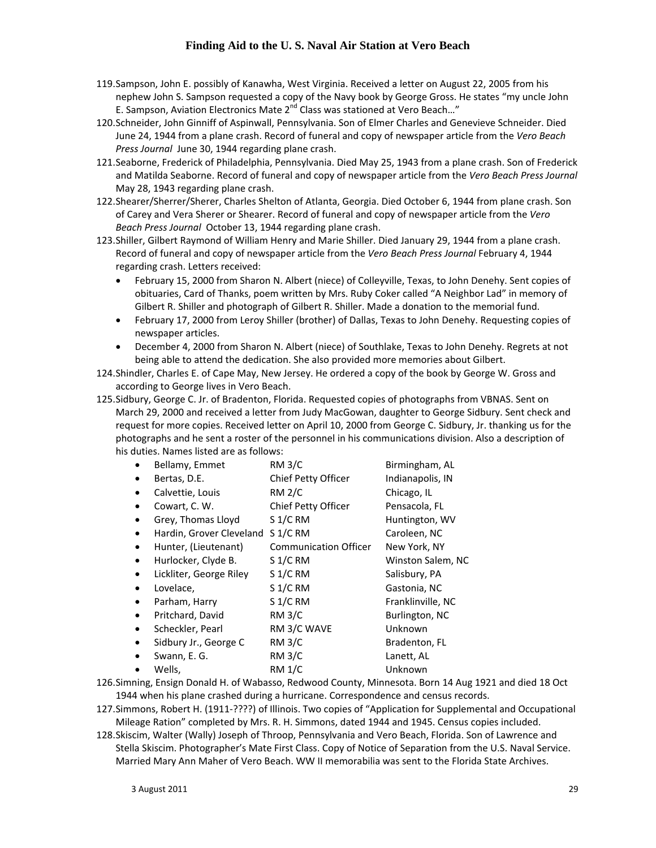- 119.Sampson, John E. possibly of Kanawha, West Virginia. Received a letter on August 22, 2005 from his nephew John S. Sampson requested a copy of the Navy book by George Gross. He states "my uncle John E. Sampson, Aviation Electronics Mate 2<sup>nd</sup> Class was stationed at Vero Beach..."
- 120.Schneider, John Ginniff of Aspinwall, Pennsylvania. Son of Elmer Charles and Genevieve Schneider. Died June 24, 1944 from a plane crash. Record of funeral and copy of newspaper article from the *Vero Beach Press Journal* June 30, 1944 regarding plane crash.
- 121.Seaborne, Frederick of Philadelphia, Pennsylvania. Died May 25, 1943 from a plane crash. Son of Frederick and Matilda Seaborne. Record of funeral and copy of newspaper article from the *Vero Beach Press Journal* May 28, 1943 regarding plane crash.
- 122.Shearer/Sherrer/Sherer, Charles Shelton of Atlanta, Georgia. Died October 6, 1944 from plane crash. Son of Carey and Vera Sherer or Shearer. Record of funeral and copy of newspaper article from the *Vero Beach Press Journal* October 13, 1944 regarding plane crash.
- 123.Shiller, Gilbert Raymond of William Henry and Marie Shiller. Died January 29, 1944 from a plane crash. Record of funeral and copy of newspaper article from the *Vero Beach Press Journal* February 4, 1944 regarding crash. Letters received:
	- February 15, 2000 from Sharon N. Albert (niece) of Colleyville, Texas, to John Denehy. Sent copies of obituaries, Card of Thanks, poem written by Mrs. Ruby Coker called "A Neighbor Lad" in memory of Gilbert R. Shiller and photograph of Gilbert R. Shiller. Made a donation to the memorial fund.
	- February 17, 2000 from Leroy Shiller (brother) of Dallas, Texas to John Denehy. Requesting copies of newspaper articles.
	- December 4, 2000 from Sharon N. Albert (niece) of Southlake, Texas to John Denehy. Regrets at not being able to attend the dedication. She also provided more memories about Gilbert.
- 124.Shindler, Charles E. of Cape May, New Jersey. He ordered a copy of the book by George W. Gross and according to George lives in Vero Beach.
- 125.Sidbury, George C. Jr. of Bradenton, Florida. Requested copies of photographs from VBNAS. Sent on March 29, 2000 and received a letter from Judy MacGowan, daughter to George Sidbury. Sent check and request for more copies. Received letter on April 10, 2000 from George C. Sidbury, Jr. thanking us for the photographs and he sent a roster of the personnel in his communications division. Also a description of his duties. Names listed are as follows:

|           | Bellamy, Emmet           | <b>RM 3/C</b>                | Birmingham, AL    |
|-----------|--------------------------|------------------------------|-------------------|
|           | Bertas, D.E.             | Chief Petty Officer          | Indianapolis, IN  |
|           | Calvettie, Louis         | <b>RM 2/C</b>                | Chicago, IL       |
|           | Cowart, C. W.            | Chief Petty Officer          | Pensacola, FL     |
|           | Grey, Thomas Lloyd       | $S$ 1/C RM                   | Huntington, WV    |
| $\bullet$ | Hardin, Grover Cleveland | $S$ 1/C RM                   | Caroleen, NC      |
|           | Hunter, (Lieutenant)     | <b>Communication Officer</b> | New York, NY      |
|           | Hurlocker, Clyde B.      | $S$ 1/C RM                   | Winston Salem, NC |
|           | Lickliter, George Riley  | $S$ 1/C RM                   | Salisbury, PA     |
|           | Lovelace,                | $S$ 1/C RM                   | Gastonia, NC      |
|           | Parham, Harry            | $S$ 1/C RM                   | Franklinville, NC |
|           | Pritchard, David         | <b>RM 3/C</b>                | Burlington, NC    |
| ٠         | Scheckler, Pearl         | RM 3/C WAVE                  | Unknown           |
|           | Sidbury Jr., George C    | <b>RM 3/C</b>                | Bradenton, FL     |
|           | Swann, E. G.             | <b>RM 3/C</b>                | Lanett, AL        |
|           | Wells,                   | <b>RM 1/C</b>                | Unknown           |
|           |                          |                              |                   |

126.Simning, Ensign Donald H. of Wabasso, Redwood County, Minnesota. Born 14 Aug 1921 and died 18 Oct 1944 when his plane crashed during a hurricane. Correspondence and census records.

127.Simmons, Robert H. (1911‐????) of Illinois. Two copies of "Application for Supplemental and Occupational Mileage Ration" completed by Mrs. R. H. Simmons, dated 1944 and 1945. Census copies included.

128.Skiscim, Walter (Wally) Joseph of Throop, Pennsylvania and Vero Beach, Florida. Son of Lawrence and Stella Skiscim. Photographer's Mate First Class. Copy of Notice of Separation from the U.S. Naval Service. Married Mary Ann Maher of Vero Beach. WW II memorabilia was sent to the Florida State Archives.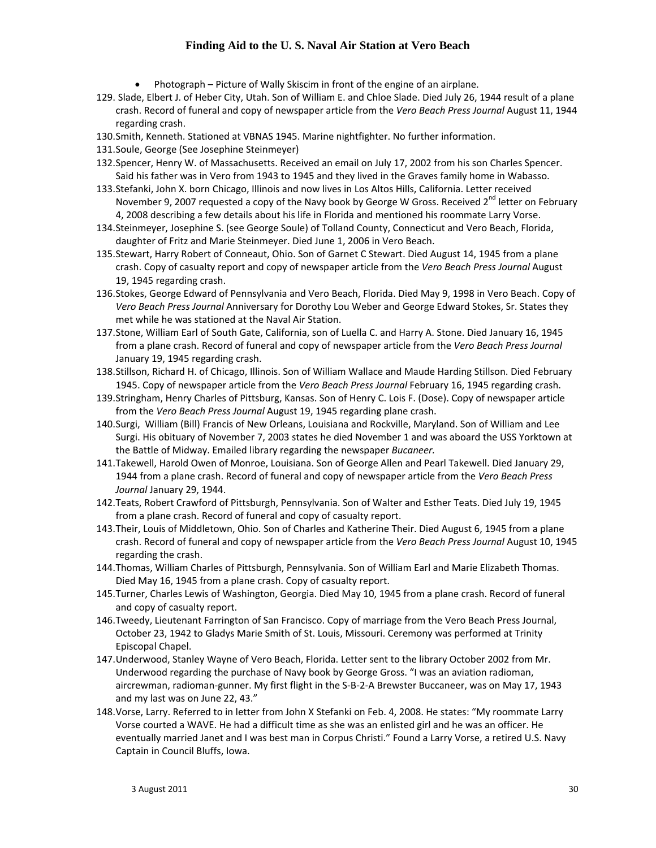- Photograph Picture of Wally Skiscim in front of the engine of an airplane.
- 129. Slade, Elbert J. of Heber City, Utah. Son of William E. and Chloe Slade. Died July 26, 1944 result of a plane crash. Record of funeral and copy of newspaper article from the *Vero Beach Press Journal* August 11, 1944 regarding crash.
- 130.Smith, Kenneth. Stationed at VBNAS 1945. Marine nightfighter. No further information.
- 131.Soule, George (See Josephine Steinmeyer)
- 132.Spencer, Henry W. of Massachusetts. Received an email on July 17, 2002 from his son Charles Spencer. Said his father was in Vero from 1943 to 1945 and they lived in the Graves family home in Wabasso.
- 133.Stefanki, John X. born Chicago, Illinois and now lives in Los Altos Hills, California. Letter received November 9, 2007 requested a copy of the Navy book by George W Gross. Received  $2^{nd}$  letter on February 4, 2008 describing a few details about his life in Florida and mentioned his roommate Larry Vorse.
- 134.Steinmeyer, Josephine S. (see George Soule) of Tolland County, Connecticut and Vero Beach, Florida, daughter of Fritz and Marie Steinmeyer. Died June 1, 2006 in Vero Beach.
- 135.Stewart, Harry Robert of Conneaut, Ohio. Son of Garnet C Stewart. Died August 14, 1945 from a plane crash. Copy of casualty report and copy of newspaper article from the *Vero Beach Press Journal* August 19, 1945 regarding crash.
- 136.Stokes, George Edward of Pennsylvania and Vero Beach, Florida. Died May 9, 1998 in Vero Beach. Copy of *Vero Beach Press Journal* Anniversary for Dorothy Lou Weber and George Edward Stokes, Sr. States they met while he was stationed at the Naval Air Station.
- 137.Stone, William Earl of South Gate, California, son of Luella C. and Harry A. Stone. Died January 16, 1945 from a plane crash. Record of funeral and copy of newspaper article from the *Vero Beach Press Journal* January 19, 1945 regarding crash.
- 138.Stillson, Richard H. of Chicago, Illinois. Son of William Wallace and Maude Harding Stillson. Died February 1945. Copy of newspaper article from the *Vero Beach Press Journal* February 16, 1945 regarding crash.
- 139.Stringham, Henry Charles of Pittsburg, Kansas. Son of Henry C. Lois F. (Dose). Copy of newspaper article from the *Vero Beach Press Journal* August 19, 1945 regarding plane crash.
- 140.Surgi, William (Bill) Francis of New Orleans, Louisiana and Rockville, Maryland. Son of William and Lee Surgi. His obituary of November 7, 2003 states he died November 1 and was aboard the USS Yorktown at the Battle of Midway. Emailed library regarding the newspaper *Bucaneer.*
- 141.Takewell, Harold Owen of Monroe, Louisiana. Son of George Allen and Pearl Takewell. Died January 29, 1944 from a plane crash. Record of funeral and copy of newspaper article from the *Vero Beach Press Journal* January 29, 1944.
- 142.Teats, Robert Crawford of Pittsburgh, Pennsylvania. Son of Walter and Esther Teats. Died July 19, 1945 from a plane crash. Record of funeral and copy of casualty report.
- 143.Their, Louis of Middletown, Ohio. Son of Charles and Katherine Their. Died August 6, 1945 from a plane crash. Record of funeral and copy of newspaper article from the *Vero Beach Press Journal* August 10, 1945 regarding the crash.
- 144.Thomas, William Charles of Pittsburgh, Pennsylvania. Son of William Earl and Marie Elizabeth Thomas. Died May 16, 1945 from a plane crash. Copy of casualty report.
- 145.Turner, Charles Lewis of Washington, Georgia. Died May 10, 1945 from a plane crash. Record of funeral and copy of casualty report.
- 146.Tweedy, Lieutenant Farrington of San Francisco. Copy of marriage from the Vero Beach Press Journal, October 23, 1942 to Gladys Marie Smith of St. Louis, Missouri. Ceremony was performed at Trinity Episcopal Chapel.
- 147.Underwood, Stanley Wayne of Vero Beach, Florida. Letter sent to the library October 2002 from Mr. Underwood regarding the purchase of Navy book by George Gross. "I was an aviation radioman, aircrewman, radioman‐gunner. My first flight in the S‐B‐2‐A Brewster Buccaneer, was on May 17, 1943 and my last was on June 22, 43."
- 148.Vorse, Larry. Referred to in letter from John X Stefanki on Feb. 4, 2008. He states: "My roommate Larry Vorse courted a WAVE. He had a difficult time as she was an enlisted girl and he was an officer. He eventually married Janet and I was best man in Corpus Christi." Found a Larry Vorse, a retired U.S. Navy Captain in Council Bluffs, Iowa.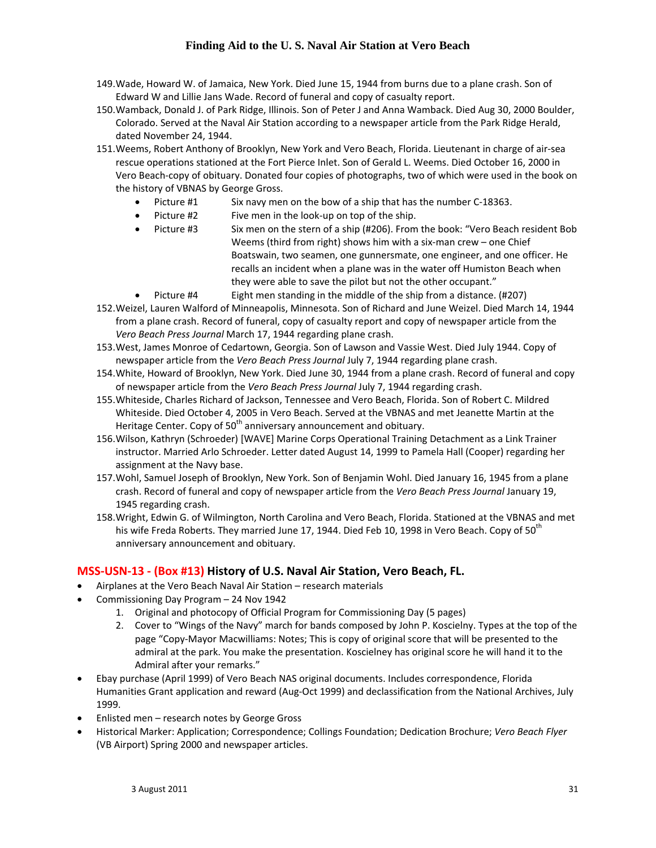- 149.Wade, Howard W. of Jamaica, New York. Died June 15, 1944 from burns due to a plane crash. Son of Edward W and Lillie Jans Wade. Record of funeral and copy of casualty report.
- 150.Wamback, Donald J. of Park Ridge, Illinois. Son of Peter J and Anna Wamback. Died Aug 30, 2000 Boulder, Colorado. Served at the Naval Air Station according to a newspaper article from the Park Ridge Herald, dated November 24, 1944.
- 151.Weems, Robert Anthony of Brooklyn, New York and Vero Beach, Florida. Lieutenant in charge of air‐sea rescue operations stationed at the Fort Pierce Inlet. Son of Gerald L. Weems. Died October 16, 2000 in Vero Beach‐copy of obituary. Donated four copies of photographs, two of which were used in the book on the history of VBNAS by George Gross.
	- Picture #1 Six navy men on the bow of a ship that has the number C-18363.
	- Picture #2 Five men in the look-up on top of the ship.
	- Picture #3 Six men on the stern of a ship (#206). From the book: "Vero Beach resident Bob Weems (third from right) shows him with a six-man crew – one Chief Boatswain, two seamen, one gunnersmate, one engineer, and one officer. He recalls an incident when a plane was in the water off Humiston Beach when they were able to save the pilot but not the other occupant."
- Picture #4 Eight men standing in the middle of the ship from a distance. (#207) 152.Weizel, Lauren Walford of Minneapolis, Minnesota. Son of Richard and June Weizel. Died March 14, 1944 from a plane crash. Record of funeral, copy of casualty report and copy of newspaper article from the *Vero Beach Press Journal* March 17, 1944 regarding plane crash.
- 153.West, James Monroe of Cedartown, Georgia. Son of Lawson and Vassie West. Died July 1944. Copy of newspaper article from the *Vero Beach Press Journal* July 7, 1944 regarding plane crash.
- 154.White, Howard of Brooklyn, New York. Died June 30, 1944 from a plane crash. Record of funeral and copy of newspaper article from the *Vero Beach Press Journal* July 7, 1944 regarding crash.
- 155.Whiteside, Charles Richard of Jackson, Tennessee and Vero Beach, Florida. Son of Robert C. Mildred Whiteside. Died October 4, 2005 in Vero Beach. Served at the VBNAS and met Jeanette Martin at the Heritage Center. Copy of  $50<sup>th</sup>$  anniversary announcement and obituary.
- 156.Wilson, Kathryn (Schroeder) [WAVE] Marine Corps Operational Training Detachment as a Link Trainer instructor. Married Arlo Schroeder. Letter dated August 14, 1999 to Pamela Hall (Cooper) regarding her assignment at the Navy base.
- 157.Wohl, Samuel Joseph of Brooklyn, New York. Son of Benjamin Wohl. Died January 16, 1945 from a plane crash. Record of funeral and copy of newspaper article from the *Vero Beach Press Journal* January 19, 1945 regarding crash.
- 158.Wright, Edwin G. of Wilmington, North Carolina and Vero Beach, Florida. Stationed at the VBNAS and met his wife Freda Roberts. They married June 17, 1944. Died Feb 10, 1998 in Vero Beach. Copy of  $50<sup>th</sup>$ anniversary announcement and obituary.

### **MSS‐USN‐13 ‐ (Box #13) History of U.S. Naval Air Station, Vero Beach, FL.**

- Airplanes at the Vero Beach Naval Air Station research materials
- Commissioning Day Program 24 Nov 1942
	- 1. Original and photocopy of Official Program for Commissioning Day (5 pages)
	- 2. Cover to "Wings of the Navy" march for bands composed by John P. Koscielny. Types at the top of the page "Copy‐Mayor Macwilliams: Notes; This is copy of original score that will be presented to the admiral at the park. You make the presentation. Koscielney has original score he will hand it to the Admiral after your remarks."
- Ebay purchase (April 1999) of Vero Beach NAS original documents. Includes correspondence, Florida Humanities Grant application and reward (Aug‐Oct 1999) and declassification from the National Archives, July 1999.
- Enlisted men research notes by George Gross
- Historical Marker: Application; Correspondence; Collings Foundation; Dedication Brochure; *Vero Beach Flyer* (VB Airport) Spring 2000 and newspaper articles.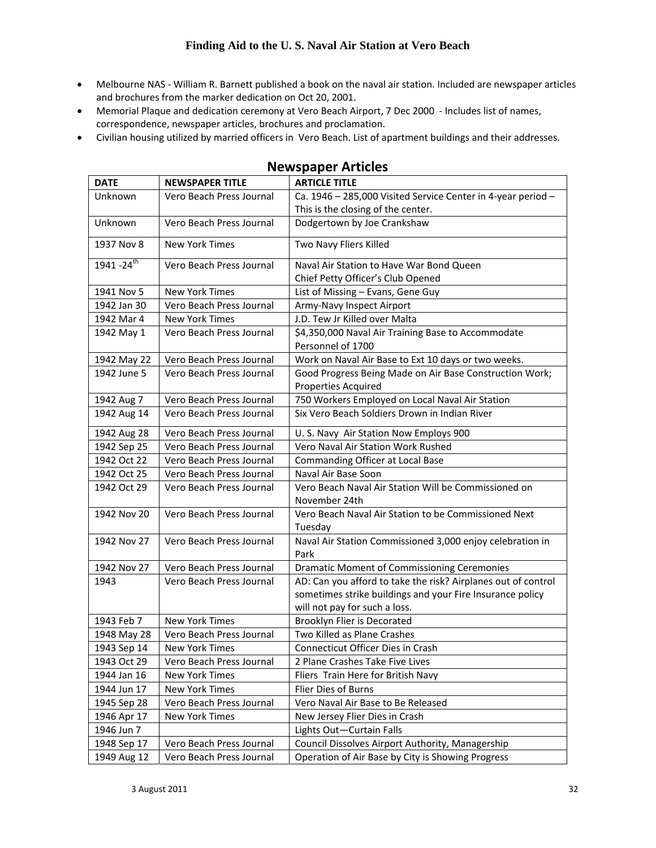- Melbourne NAS ‐ William R. Barnett published a book on the naval air station. Included are newspaper articles and brochures from the marker dedication on Oct 20, 2001.
- Memorial Plaque and dedication ceremony at Vero Beach Airport, 7 Dec 2000 ‐ Includes list of names, correspondence, newspaper articles, brochures and proclamation.
- Civilian housing utilized by married officers in Vero Beach. List of apartment buildings and their addresses.

| <b>DATE</b>               | <b>NEWSPAPER TITLE</b>   | <b>ARTICLE TITLE</b>                                                                  |
|---------------------------|--------------------------|---------------------------------------------------------------------------------------|
| Unknown                   | Vero Beach Press Journal | Ca. 1946 - 285,000 Visited Service Center in 4-year period -                          |
|                           |                          | This is the closing of the center.                                                    |
| Unknown                   | Vero Beach Press Journal | Dodgertown by Joe Crankshaw                                                           |
| 1937 Nov 8                | <b>New York Times</b>    | Two Navy Fliers Killed                                                                |
| $1941 - 24$ <sup>th</sup> | Vero Beach Press Journal | Naval Air Station to Have War Bond Queen                                              |
|                           |                          | Chief Petty Officer's Club Opened                                                     |
| 1941 Nov 5                | <b>New York Times</b>    | List of Missing - Evans, Gene Guy                                                     |
| 1942 Jan 30               | Vero Beach Press Journal | Army-Navy Inspect Airport                                                             |
| 1942 Mar 4                | <b>New York Times</b>    | J.D. Tew Jr Killed over Malta                                                         |
| 1942 May 1                | Vero Beach Press Journal | \$4,350,000 Naval Air Training Base to Accommodate<br>Personnel of 1700               |
| 1942 May 22               | Vero Beach Press Journal | Work on Naval Air Base to Ext 10 days or two weeks.                                   |
| 1942 June 5               | Vero Beach Press Journal | Good Progress Being Made on Air Base Construction Work;<br><b>Properties Acquired</b> |
| 1942 Aug 7                | Vero Beach Press Journal | 750 Workers Employed on Local Naval Air Station                                       |
| 1942 Aug 14               | Vero Beach Press Journal | Six Vero Beach Soldiers Drown in Indian River                                         |
| 1942 Aug 28               | Vero Beach Press Journal | U. S. Navy Air Station Now Employs 900                                                |
| 1942 Sep 25               | Vero Beach Press Journal | Vero Naval Air Station Work Rushed                                                    |
| 1942 Oct 22               | Vero Beach Press Journal | Commanding Officer at Local Base                                                      |
| 1942 Oct 25               | Vero Beach Press Journal | Naval Air Base Soon                                                                   |
| 1942 Oct 29               | Vero Beach Press Journal | Vero Beach Naval Air Station Will be Commissioned on                                  |
|                           |                          | November 24th                                                                         |
| 1942 Nov 20               | Vero Beach Press Journal | Vero Beach Naval Air Station to be Commissioned Next                                  |
|                           |                          | Tuesday                                                                               |
| 1942 Nov 27               | Vero Beach Press Journal | Naval Air Station Commissioned 3,000 enjoy celebration in<br>Park                     |
| 1942 Nov 27               | Vero Beach Press Journal | Dramatic Moment of Commissioning Ceremonies                                           |
| 1943                      | Vero Beach Press Journal | AD: Can you afford to take the risk? Airplanes out of control                         |
|                           |                          | sometimes strike buildings and your Fire Insurance policy                             |
|                           |                          | will not pay for such a loss.                                                         |
| 1943 Feb 7                | <b>New York Times</b>    | Brooklyn Flier is Decorated                                                           |
| 1948 May 28               | Vero Beach Press Journal | Two Killed as Plane Crashes                                                           |
| 1943 Sep 14               | New York Times           | Connecticut Officer Dies in Crash                                                     |
| 1943 Oct 29               | Vero Beach Press Journal | 2 Plane Crashes Take Five Lives                                                       |
| 1944 Jan 16               | New York Times           | Fliers Train Here for British Navy                                                    |
| 1944 Jun 17               | New York Times           | Flier Dies of Burns                                                                   |
| 1945 Sep 28               | Vero Beach Press Journal | Vero Naval Air Base to Be Released                                                    |
| 1946 Apr 17               | <b>New York Times</b>    | New Jersey Flier Dies in Crash                                                        |
| 1946 Jun 7                |                          | Lights Out-Curtain Falls                                                              |
| 1948 Sep 17               | Vero Beach Press Journal | Council Dissolves Airport Authority, Managership                                      |
| 1949 Aug 12               | Vero Beach Press Journal | Operation of Air Base by City is Showing Progress                                     |

### **Newspaper Articles**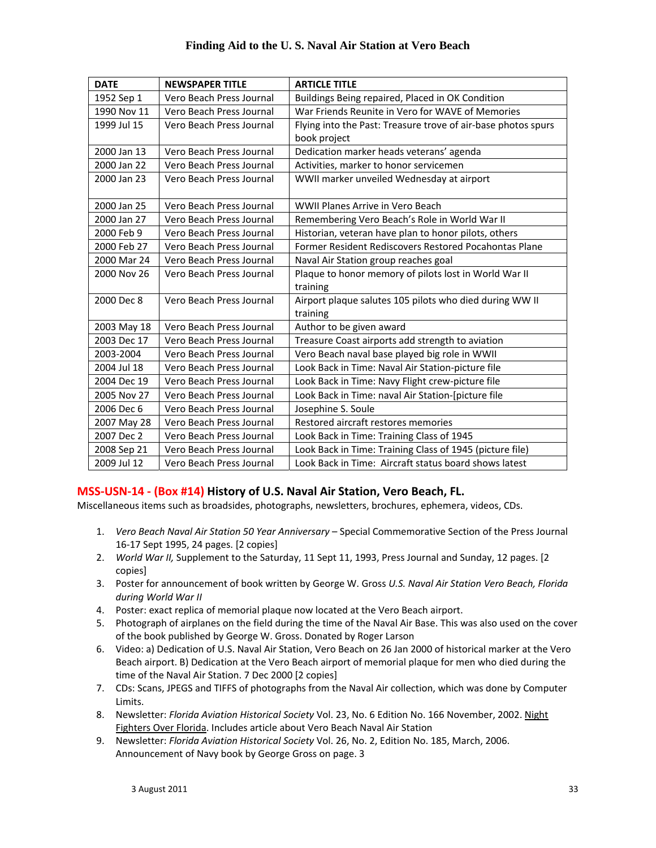| <b>DATE</b> | <b>NEWSPAPER TITLE</b>   | <b>ARTICLE TITLE</b>                                          |
|-------------|--------------------------|---------------------------------------------------------------|
| 1952 Sep 1  | Vero Beach Press Journal | Buildings Being repaired, Placed in OK Condition              |
| 1990 Nov 11 | Vero Beach Press Journal | War Friends Reunite in Vero for WAVE of Memories              |
| 1999 Jul 15 | Vero Beach Press Journal | Flying into the Past: Treasure trove of air-base photos spurs |
|             |                          | book project                                                  |
| 2000 Jan 13 | Vero Beach Press Journal | Dedication marker heads veterans' agenda                      |
| 2000 Jan 22 | Vero Beach Press Journal | Activities, marker to honor servicemen                        |
| 2000 Jan 23 | Vero Beach Press Journal | WWII marker unveiled Wednesday at airport                     |
|             |                          |                                                               |
| 2000 Jan 25 | Vero Beach Press Journal | WWII Planes Arrive in Vero Beach                              |
| 2000 Jan 27 | Vero Beach Press Journal | Remembering Vero Beach's Role in World War II                 |
| 2000 Feb 9  | Vero Beach Press Journal | Historian, veteran have plan to honor pilots, others          |
| 2000 Feb 27 | Vero Beach Press Journal | Former Resident Rediscovers Restored Pocahontas Plane         |
| 2000 Mar 24 | Vero Beach Press Journal | Naval Air Station group reaches goal                          |
| 2000 Nov 26 | Vero Beach Press Journal | Plaque to honor memory of pilots lost in World War II         |
|             |                          | training                                                      |
| 2000 Dec 8  | Vero Beach Press Journal | Airport plaque salutes 105 pilots who died during WW II       |
|             |                          | training                                                      |
| 2003 May 18 | Vero Beach Press Journal | Author to be given award                                      |
| 2003 Dec 17 | Vero Beach Press Journal | Treasure Coast airports add strength to aviation              |
| 2003-2004   | Vero Beach Press Journal | Vero Beach naval base played big role in WWII                 |
| 2004 Jul 18 | Vero Beach Press Journal | Look Back in Time: Naval Air Station-picture file             |
| 2004 Dec 19 | Vero Beach Press Journal | Look Back in Time: Navy Flight crew-picture file              |
| 2005 Nov 27 | Vero Beach Press Journal | Look Back in Time: naval Air Station-[picture file            |
| 2006 Dec 6  | Vero Beach Press Journal | Josephine S. Soule                                            |
| 2007 May 28 | Vero Beach Press Journal | Restored aircraft restores memories                           |
| 2007 Dec 2  | Vero Beach Press Journal | Look Back in Time: Training Class of 1945                     |
| 2008 Sep 21 | Vero Beach Press Journal | Look Back in Time: Training Class of 1945 (picture file)      |
| 2009 Jul 12 | Vero Beach Press Journal | Look Back in Time: Aircraft status board shows latest         |

#### **MSS‐USN‐14 ‐ (Box #14) History of U.S. Naval Air Station, Vero Beach, FL.**

Miscellaneous items such as broadsides, photographs, newsletters, brochures, ephemera, videos, CDs.

- 1. *Vero Beach Naval Air Station 50 Year Anniversary* Special Commemorative Section of the Press Journal 16‐17 Sept 1995, 24 pages. [2 copies]
- 2. *World War II,* Supplement to the Saturday, 11 Sept 11, 1993, Press Journal and Sunday, 12 pages. [2 copies]
- 3. Poster for announcement of book written by George W. Gross *U.S. Naval Air Station Vero Beach, Florida during World War II*
- 4. Poster: exact replica of memorial plaque now located at the Vero Beach airport.
- 5. Photograph of airplanes on the field during the time of the Naval Air Base. This was also used on the cover of the book published by George W. Gross. Donated by Roger Larson
- 6. Video: a) Dedication of U.S. Naval Air Station, Vero Beach on 26 Jan 2000 of historical marker at the Vero Beach airport. B) Dedication at the Vero Beach airport of memorial plaque for men who died during the time of the Naval Air Station. 7 Dec 2000 [2 copies]
- 7. CDs: Scans, JPEGS and TIFFS of photographs from the Naval Air collection, which was done by Computer Limits.
- 8. Newsletter: *Florida Aviation Historical Society* Vol. 23, No. 6 Edition No. 166 November, 2002. Night Fighters Over Florida. Includes article about Vero Beach Naval Air Station
- 9. Newsletter: *Florida Aviation Historical Society* Vol. 26, No. 2, Edition No. 185, March, 2006. Announcement of Navy book by George Gross on page. 3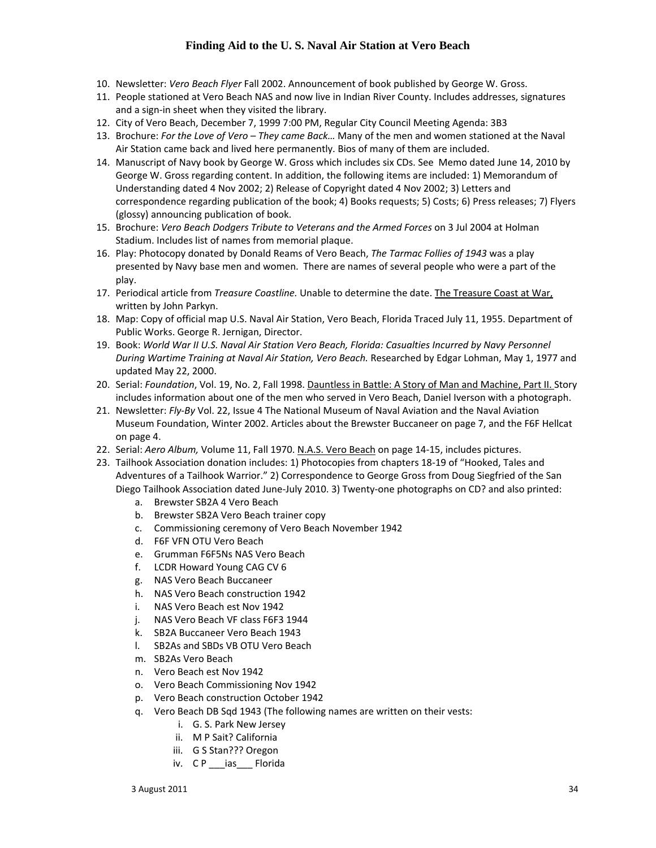- 10. Newsletter: *Vero Beach Flyer* Fall 2002. Announcement of book published by George W. Gross.
- 11. People stationed at Vero Beach NAS and now live in Indian River County. Includes addresses, signatures and a sign‐in sheet when they visited the library.
- 12. City of Vero Beach, December 7, 1999 7:00 PM, Regular City Council Meeting Agenda: 3B3
- 13. Brochure: *For the Love of Vero – They came Back…* Many of the men and women stationed at the Naval Air Station came back and lived here permanently. Bios of many of them are included.
- 14. Manuscript of Navy book by George W. Gross which includes six CDs. See Memo dated June 14, 2010 by George W. Gross regarding content. In addition, the following items are included: 1) Memorandum of Understanding dated 4 Nov 2002; 2) Release of Copyright dated 4 Nov 2002; 3) Letters and correspondence regarding publication of the book; 4) Books requests; 5) Costs; 6) Press releases; 7) Flyers (glossy) announcing publication of book.
- 15. Brochure: *Vero Beach Dodgers Tribute to Veterans and the Armed Forces* on 3 Jul 2004 at Holman Stadium. Includes list of names from memorial plaque.
- 16. Play: Photocopy donated by Donald Reams of Vero Beach, *The Tarmac Follies of 1943* was a play presented by Navy base men and women. There are names of several people who were a part of the play.
- 17. Periodical article from *Treasure Coastline.* Unable to determine the date. The Treasure Coast at War, written by John Parkyn.
- 18. Map: Copy of official map U.S. Naval Air Station, Vero Beach, Florida Traced July 11, 1955. Department of Public Works. George R. Jernigan, Director.
- 19. Book: *World War II U.S. Naval Air Station Vero Beach, Florida: Casualties Incurred by Navy Personnel During Wartime Training at Naval Air Station, Vero Beach.* Researched by Edgar Lohman, May 1, 1977 and updated May 22, 2000.
- 20. Serial: *Foundation*, Vol. 19, No. 2, Fall 1998. Dauntless in Battle: A Story of Man and Machine, Part II. Story includes information about one of the men who served in Vero Beach, Daniel Iverson with a photograph.
- 21. Newsletter: *Fly‐By* Vol. 22, Issue 4 The National Museum of Naval Aviation and the Naval Aviation Museum Foundation, Winter 2002. Articles about the Brewster Buccaneer on page 7, and the F6F Hellcat on page 4.
- 22. Serial: *Aero Album,* Volume 11, Fall 1970. N.A.S. Vero Beach on page 14‐15, includes pictures.
- 23. Tailhook Association donation includes: 1) Photocopies from chapters 18‐19 of "Hooked, Tales and Adventures of a Tailhook Warrior." 2) Correspondence to George Gross from Doug Siegfried of the San Diego Tailhook Association dated June‐July 2010. 3) Twenty‐one photographs on CD? and also printed:
	- a. Brewster SB2A 4 Vero Beach
	- b. Brewster SB2A Vero Beach trainer copy
	- c. Commissioning ceremony of Vero Beach November 1942
	- d. F6F VFN OTU Vero Beach
	- e. Grumman F6F5Ns NAS Vero Beach
	- f. LCDR Howard Young CAG CV 6
	- g. NAS Vero Beach Buccaneer
	- h. NAS Vero Beach construction 1942
	- i. NAS Vero Beach est Nov 1942
	- j. NAS Vero Beach VF class F6F3 1944
	- k. SB2A Buccaneer Vero Beach 1943
	- l. SB2As and SBDs VB OTU Vero Beach
	- m. SB2As Vero Beach
	- n. Vero Beach est Nov 1942
	- o. Vero Beach Commissioning Nov 1942
	- p. Vero Beach construction October 1942
	- q. Vero Beach DB Sqd 1943 (The following names are written on their vests:
		- i. G. S. Park New Jersey
		- ii. M P Sait? California
		- iii. G S Stan??? Oregon
		- iv. CP \_\_\_ ias \_\_\_ Florida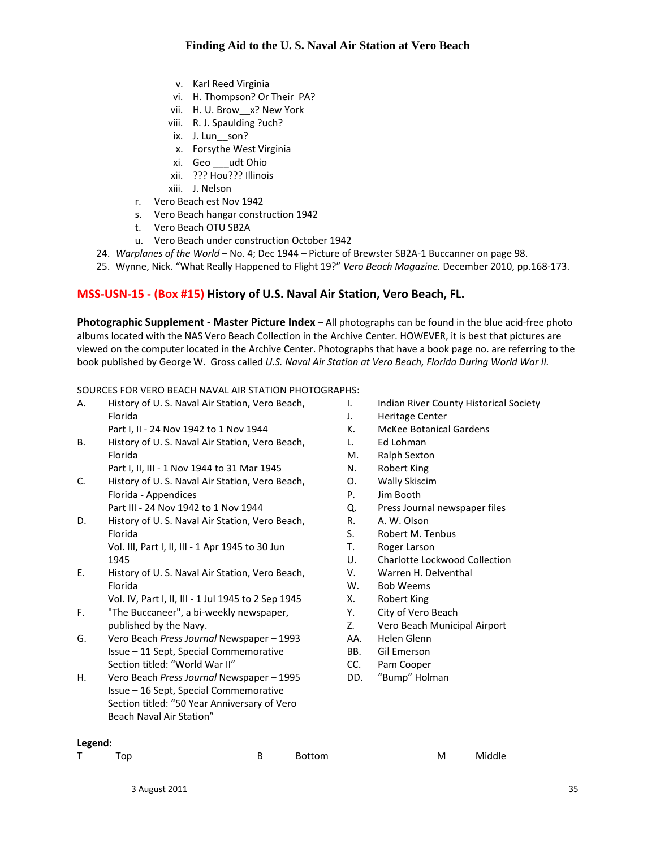- v. Karl Reed Virginia
- vi. H. Thompson? Or Their PA?
- vii. H. U. Brow\_\_x? New York
- viii. R. J. Spaulding ?uch?
- ix. J. Lun son?
- x. Forsythe West Virginia
- xi. Geo \_\_\_udt Ohio
- xii. ??? Hou??? Illinois
- xiii. J. Nelson
- r. Vero Beach est Nov 1942
- s. Vero Beach hangar construction 1942
- t. Vero Beach OTU SB2A
- u. Vero Beach under construction October 1942
- 24. *Warplanes of the World* No. 4; Dec 1944 Picture of Brewster SB2A‐1 Buccanner on page 98.
- 25. Wynne, Nick. "What Really Happened to Flight 19?" *Vero Beach Magazine.* December 2010, pp.168‐173.

#### **MSS‐USN‐15 ‐ (Box #15) History of U.S. Naval Air Station, Vero Beach, FL.**

**Photographic Supplement ‐ Master Picture Index** – All photographs can be found in the blue acid‐free photo albums located with the NAS Vero Beach Collection in the Archive Center. HOWEVER, it is best that pictures are viewed on the computer located in the Archive Center. Photographs that have a book page no. are referring to the book published by George W. Gross called *U.S. Naval Air Station at Vero Beach, Florida During World War II.*

#### SOURCES FOR VERO BEACH NAVAL AIR STATION PHOTOGRAPHS:

- A. History of U. S. Naval Air Station, Vero Beach, Florida Part I, II ‐ 24 Nov 1942 to 1 Nov 1944
- B. History of U. S. Naval Air Station, Vero Beach, Florida
	- Part I, II, III ‐ 1 Nov 1944 to 31 Mar 1945
- C. History of U. S. Naval Air Station, Vero Beach, Florida ‐ Appendices Part III ‐ 24 Nov 1942 to 1 Nov 1944
- D. History of U. S. Naval Air Station, Vero Beach, Florida Vol. III, Part I, II, III ‐ 1 Apr 1945 to 30 Jun 1945
- E. History of U. S. Naval Air Station, Vero Beach, Florida
	- Vol. IV, Part I, II, III ‐ 1 Jul 1945 to 2 Sep 1945
- F. "The Buccaneer", a bi‐weekly newspaper, published by the Navy.
- G. Vero Beach *Press Journal* Newspaper 1993 Issue – 11 Sept, Special Commemorative Section titled: "World War II"
- H. Vero Beach *Press Journal* Newspaper 1995 Issue – 16 Sept, Special Commemorative Section titled: "50 Year Anniversary of Vero Beach Naval Air Station"
- I. Indian River County Historical Society
- J. Heritage Center
- K. McKee Botanical Gardens
- L. Ed Lohman
- M. Ralph Sexton
- N. Robert King
- O. Wally Skiscim
- P. Jim Booth
- Q. Press Journal newspaper files
- R. A. W. Olson
- S. Robert M. Tenbus
- T. Roger Larson
- U. Charlotte Lockwood Collection
- V. Warren H. Delventhal
- W. Bob Weems
- X. Robert King
- Y. City of Vero Beach
- Z. Vero Beach Municipal Airport
- AA. Helen Glenn
- BB. Gil Emerson
- CC. Pam Cooper
- DD. "Bump" Holman

| enı<br>۰.<br>۰ |  |  |  |  |  |  |  |
|----------------|--|--|--|--|--|--|--|
|----------------|--|--|--|--|--|--|--|

| -------                   |          |          |
|---------------------------|----------|----------|
| $\mathsf T$<br><b>Top</b> | B Bottom | M Middle |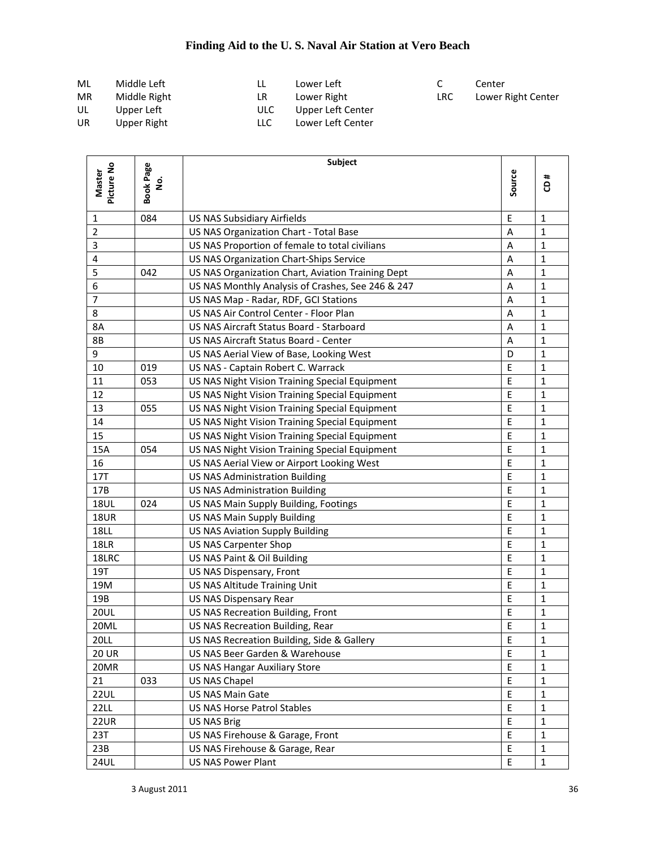| ML        | Middle Left  |      | Lower Left        |            | Center             |
|-----------|--------------|------|-------------------|------------|--------------------|
| MR        | Middle Right | LR   | Lower Right       | <b>LRC</b> | Lower Right Center |
| UL        | Upper Left   | ULC. | Upper Left Center |            |                    |
| <b>UR</b> | Upper Right  | LLC  | Lower Left Center |            |                    |

|                      |                       | Subject                                           |             |              |
|----------------------|-----------------------|---------------------------------------------------|-------------|--------------|
| Picture No<br>Master | <b>Book Page</b><br>ġ |                                                   | Source      | #<br>8       |
| 1                    | 084                   | <b>US NAS Subsidiary Airfields</b>                | E           | $\mathbf{1}$ |
| $\overline{2}$       |                       | US NAS Organization Chart - Total Base            | Α           | $\mathbf{1}$ |
| 3                    |                       | US NAS Proportion of female to total civilians    | Α           | 1            |
| 4                    |                       | US NAS Organization Chart-Ships Service           | A           | $\mathbf{1}$ |
| 5                    | 042                   | US NAS Organization Chart, Aviation Training Dept | A           | 1            |
| 6                    |                       | US NAS Monthly Analysis of Crashes, See 246 & 247 | A           | 1            |
| 7                    |                       | US NAS Map - Radar, RDF, GCI Stations             | Α           | 1            |
| 8                    |                       | US NAS Air Control Center - Floor Plan            | Α           | $\mathbf{1}$ |
| 8A                   |                       | US NAS Aircraft Status Board - Starboard          | Α           | 1            |
| 8B                   |                       | US NAS Aircraft Status Board - Center             | Α           | 1            |
| 9                    |                       | US NAS Aerial View of Base, Looking West          | D           | 1            |
| 10                   | 019                   | US NAS - Captain Robert C. Warrack                | E           | $\mathbf{1}$ |
| 11                   | 053                   | US NAS Night Vision Training Special Equipment    | E           | 1            |
| 12                   |                       | US NAS Night Vision Training Special Equipment    | E           | $\mathbf{1}$ |
| 13                   | 055                   | US NAS Night Vision Training Special Equipment    | $\mathsf E$ | 1            |
| 14                   |                       | US NAS Night Vision Training Special Equipment    | E           | 1            |
| 15                   |                       | US NAS Night Vision Training Special Equipment    | E           | 1            |
| 15A                  | 054                   | US NAS Night Vision Training Special Equipment    | E           | $\mathbf{1}$ |
| 16                   |                       | US NAS Aerial View or Airport Looking West        | E           | $\mathbf{1}$ |
| 17T                  |                       | <b>US NAS Administration Building</b>             | E           | 1            |
| 17B                  |                       | <b>US NAS Administration Building</b>             | E           | $\mathbf{1}$ |
| <b>18UL</b>          | 024                   | US NAS Main Supply Building, Footings             | E           | $\mathbf{1}$ |
| <b>18UR</b>          |                       | <b>US NAS Main Supply Building</b>                | E           | 1            |
| <b>18LL</b>          |                       | <b>US NAS Aviation Supply Building</b>            | E           | 1            |
| 18LR                 |                       | <b>US NAS Carpenter Shop</b>                      | E           | 1            |
| 18LRC                |                       | US NAS Paint & Oil Building                       | Ε           | 1            |
| 19T                  |                       | US NAS Dispensary, Front                          | E           | 1            |
| 19M                  |                       | US NAS Altitude Training Unit                     | E           | 1            |
| 19B                  |                       | US NAS Dispensary Rear                            | E           | 1            |
| <b>20UL</b>          |                       | US NAS Recreation Building, Front                 | E           | $\mathbf{1}$ |
| 20ML                 |                       | US NAS Recreation Building, Rear                  | E           | $\mathbf 1$  |
| <b>20LL</b>          |                       | US NAS Recreation Building, Side & Gallery        | Þ,          | 1            |
| <b>20 UR</b>         |                       | US NAS Beer Garden & Warehouse                    | $\mathsf E$ | 1            |
| 20MR                 |                       | <b>US NAS Hangar Auxiliary Store</b>              | E           | 1            |
| 21                   | 033                   | <b>US NAS Chapel</b>                              | E           | $\mathbf{1}$ |
| <b>22UL</b>          |                       | US NAS Main Gate                                  | E           | $\mathbf{1}$ |
| 22LL                 |                       | <b>US NAS Horse Patrol Stables</b>                | E           | $\mathbf{1}$ |
| 22UR                 |                       | <b>US NAS Brig</b>                                | E           | $\mathbf{1}$ |
| 23T                  |                       | US NAS Firehouse & Garage, Front                  | $\mathsf E$ | $\mathbf{1}$ |
| 23B                  |                       | US NAS Firehouse & Garage, Rear                   | $\sf E$     | $\mathbf{1}$ |
| <b>24UL</b>          |                       | <b>US NAS Power Plant</b>                         | E           | $\mathbf{1}$ |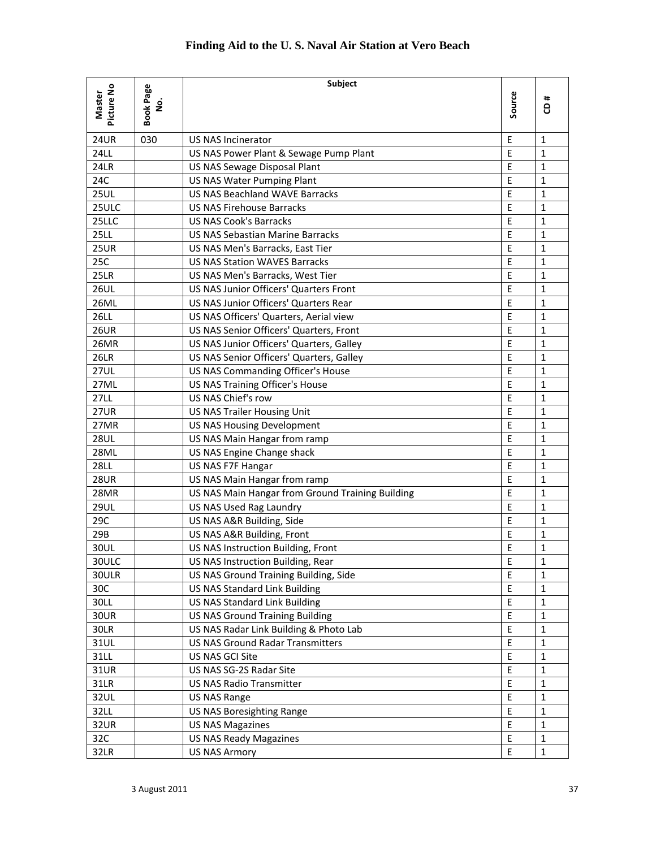|               |                  | <b>Subject</b>                                   |              |              |
|---------------|------------------|--------------------------------------------------|--------------|--------------|
| Picture No    | <b>Book Page</b> |                                                  |              | ٠.           |
| <b>Master</b> | غ<br>2           |                                                  | Source       | 8            |
|               |                  |                                                  |              |              |
| <b>24UR</b>   | 030              | <b>US NAS Incinerator</b>                        | $\mathsf E$  | $\mathbf{1}$ |
| <b>24LL</b>   |                  | US NAS Power Plant & Sewage Pump Plant           | E            | $\mathbf{1}$ |
| 24LR          |                  | US NAS Sewage Disposal Plant                     | E            | $\mathbf{1}$ |
| 24C           |                  | <b>US NAS Water Pumping Plant</b>                | E            | $\mathbf{1}$ |
| <b>25UL</b>   |                  | <b>US NAS Beachland WAVE Barracks</b>            | E            | $\mathbf{1}$ |
| 25ULC         |                  | <b>US NAS Firehouse Barracks</b>                 | E            | $\mathbf{1}$ |
| 25LLC         |                  | <b>US NAS Cook's Barracks</b>                    | E            | $\mathbf{1}$ |
| <b>25LL</b>   |                  | <b>US NAS Sebastian Marine Barracks</b>          | E            | $\mathbf{1}$ |
| <b>25UR</b>   |                  | US NAS Men's Barracks, East Tier                 | E            | $\mathbf{1}$ |
| 25C           |                  | <b>US NAS Station WAVES Barracks</b>             | $\mathsf E$  | $\mathbf{1}$ |
| 25LR          |                  | US NAS Men's Barracks, West Tier                 | $\mathsf E$  | $\mathbf{1}$ |
| <b>26UL</b>   |                  | <b>US NAS Junior Officers' Quarters Front</b>    | E            | $\mathbf{1}$ |
| <b>26ML</b>   |                  | <b>US NAS Junior Officers' Quarters Rear</b>     | E            | $\mathbf{1}$ |
| <b>26LL</b>   |                  | US NAS Officers' Quarters, Aerial view           | E            | $\mathbf{1}$ |
| <b>26UR</b>   |                  | US NAS Senior Officers' Quarters, Front          | E            | $\mathbf{1}$ |
| 26MR          |                  | US NAS Junior Officers' Quarters, Galley         | E            | $\mathbf{1}$ |
| <b>26LR</b>   |                  | US NAS Senior Officers' Quarters, Galley         | $\mathsf{E}$ | $\mathbf{1}$ |
| <b>27UL</b>   |                  | US NAS Commanding Officer's House                | $\mathsf E$  | $\mathbf{1}$ |
| 27ML          |                  | US NAS Training Officer's House                  | $\mathsf E$  | $\mathbf{1}$ |
| <b>27LL</b>   |                  | US NAS Chief's row                               | E            | $\mathbf{1}$ |
| <b>27UR</b>   |                  | <b>US NAS Trailer Housing Unit</b>               | E            | $\mathbf{1}$ |
| 27MR          |                  | <b>US NAS Housing Development</b>                | E            | $\mathbf{1}$ |
| <b>28UL</b>   |                  | US NAS Main Hangar from ramp                     | E            | $\mathbf{1}$ |
| 28ML          |                  | US NAS Engine Change shack                       | E            | $\mathbf{1}$ |
| <b>28LL</b>   |                  | US NAS F7F Hangar                                | E            | $\mathbf{1}$ |
| <b>28UR</b>   |                  | US NAS Main Hangar from ramp                     | E            | $\mathbf{1}$ |
| 28MR          |                  | US NAS Main Hangar from Ground Training Building | $\mathsf E$  | $\mathbf{1}$ |
| <b>29UL</b>   |                  | US NAS Used Rag Laundry                          | E            | $\mathbf{1}$ |
| 29C           |                  | US NAS A&R Building, Side                        | E            | $\mathbf{1}$ |
| 29B           |                  | US NAS A&R Building, Front                       | E            | $\mathbf{1}$ |
| 30UL          |                  | US NAS Instruction Building, Front               | E            | $\mathbf{1}$ |
| 30ULC         |                  | US NAS Instruction Building, Rear                | $\mathsf E$  | $\mathbf{1}$ |
| 30ULR         |                  | US NAS Ground Training Building, Side            | E            | $\mathbf{1}$ |
| 30C           |                  | <b>US NAS Standard Link Building</b>             | E            | $\mathbf{1}$ |
| 30LL          |                  | <b>US NAS Standard Link Building</b>             | $\mathsf E$  | $\mathbf{1}$ |
| <b>30UR</b>   |                  | <b>US NAS Ground Training Building</b>           | Ε            | $\mathbf{1}$ |
| 30LR          |                  | US NAS Radar Link Building & Photo Lab           | $\mathsf E$  | $\mathbf{1}$ |
| 31UL          |                  | <b>US NAS Ground Radar Transmitters</b>          | $\mathsf E$  | $\mathbf{1}$ |
| 31LL          |                  | US NAS GCI Site                                  | E            | $\mathbf{1}$ |
| 31UR          |                  | US NAS SG-2S Radar Site                          | $\mathsf E$  | $\mathbf{1}$ |
| 31LR          |                  | <b>US NAS Radio Transmitter</b>                  | $\mathsf E$  | $\mathbf{1}$ |
| 32UL          |                  | <b>US NAS Range</b>                              | $\mathsf E$  | $\mathbf{1}$ |
| 32LL          |                  | <b>US NAS Boresighting Range</b>                 | $\mathsf E$  | $\mathbf{1}$ |
| 32UR          |                  | <b>US NAS Magazines</b>                          | $\mathsf E$  | $\mathbf{1}$ |
| 32C           |                  | <b>US NAS Ready Magazines</b>                    | $\mathsf E$  | $\mathbf{1}$ |
| 32LR          |                  | <b>US NAS Armory</b>                             | E            | $\mathbf{1}$ |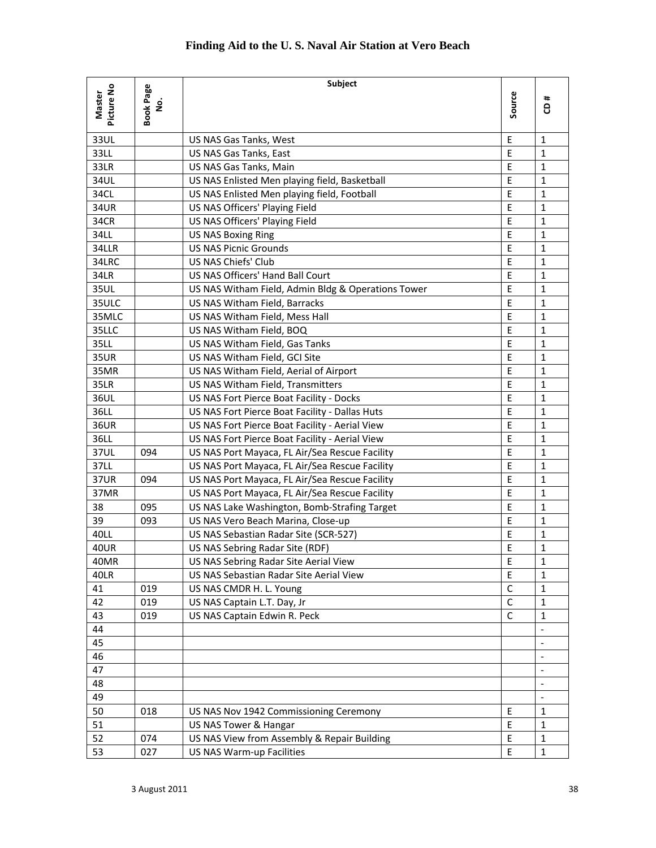|                             |                                   | <b>Subject</b>                                     |             |                              |
|-----------------------------|-----------------------------------|----------------------------------------------------|-------------|------------------------------|
| Picture No<br><b>Master</b> | <b>Book Page</b><br>$\frac{1}{2}$ |                                                    | Source      | #<br>ë                       |
| 33UL                        |                                   | US NAS Gas Tanks, West                             | E           | $\mathbf{1}$                 |
| 33LL                        |                                   | US NAS Gas Tanks, East                             | E           | $\mathbf{1}$                 |
| 33LR                        |                                   | US NAS Gas Tanks, Main                             | E           | $\mathbf{1}$                 |
| 34UL                        |                                   | US NAS Enlisted Men playing field, Basketball      | E           | $\mathbf{1}$                 |
| 34CL                        |                                   | US NAS Enlisted Men playing field, Football        | E           | $\mathbf{1}$                 |
| 34UR                        |                                   | US NAS Officers' Playing Field                     | E           | $\mathbf{1}$                 |
| 34CR                        |                                   | US NAS Officers' Playing Field                     | E           | $\mathbf{1}$                 |
| 34LL                        |                                   | <b>US NAS Boxing Ring</b>                          | E           | $\mathbf{1}$                 |
| 34LLR                       |                                   | <b>US NAS Picnic Grounds</b>                       | E           | $\mathbf{1}$                 |
| 34LRC                       |                                   | US NAS Chiefs' Club                                | E           | $\mathbf{1}$                 |
| 34LR                        |                                   | US NAS Officers' Hand Ball Court                   | E           | $\mathbf{1}$                 |
| 35UL                        |                                   | US NAS Witham Field, Admin Bldg & Operations Tower | E           | $\mathbf{1}$                 |
| 35ULC                       |                                   | US NAS Witham Field, Barracks                      | E           | 1                            |
| 35MLC                       |                                   | US NAS Witham Field, Mess Hall                     | E           | $\mathbf{1}$                 |
| 35LLC                       |                                   | US NAS Witham Field, BOQ                           | E           | $\mathbf{1}$                 |
| 35LL                        |                                   | US NAS Witham Field, Gas Tanks                     | E           | $\mathbf{1}$                 |
| <b>35UR</b>                 |                                   | US NAS Witham Field, GCI Site                      | E           | $\mathbf 1$                  |
| 35MR                        |                                   | US NAS Witham Field, Aerial of Airport             | E           | $\mathbf{1}$                 |
| <b>35LR</b>                 |                                   | US NAS Witham Field, Transmitters                  | E           | $\mathbf{1}$                 |
| 36UL                        |                                   | US NAS Fort Pierce Boat Facility - Docks           | E           | $\mathbf{1}$                 |
| 36LL                        |                                   | US NAS Fort Pierce Boat Facility - Dallas Huts     | E           | $\mathbf{1}$                 |
| <b>36UR</b>                 |                                   | US NAS Fort Pierce Boat Facility - Aerial View     | E           | $\mathbf{1}$                 |
| 36LL                        |                                   | US NAS Fort Pierce Boat Facility - Aerial View     | E           | $\mathbf{1}$                 |
| 37UL                        | 094                               | US NAS Port Mayaca, FL Air/Sea Rescue Facility     | E           | $\mathbf{1}$                 |
| 37LL                        |                                   | US NAS Port Mayaca, FL Air/Sea Rescue Facility     | E           | $\mathbf{1}$                 |
| <b>37UR</b>                 | 094                               | US NAS Port Mayaca, FL Air/Sea Rescue Facility     | E           | $\mathbf{1}$                 |
| 37MR                        |                                   | US NAS Port Mayaca, FL Air/Sea Rescue Facility     | E           | $\mathbf{1}$                 |
| 38                          | 095                               | US NAS Lake Washington, Bomb-Strafing Target       | E           | $\mathbf{1}$                 |
| 39                          | 093                               | US NAS Vero Beach Marina, Close-up                 | E           | $\mathbf{1}$                 |
| 40LL                        |                                   | US NAS Sebastian Radar Site (SCR-527)              | E           | 1                            |
| <b>40UR</b>                 |                                   | US NAS Sebring Radar Site (RDF)                    | $\mathsf E$ | $\mathbf{1}$                 |
| 40MR                        |                                   | US NAS Sebring Radar Site Aerial View              | $\mathsf E$ | $\mathbf{1}$                 |
| 40LR                        |                                   | US NAS Sebastian Radar Site Aerial View            | E           | 1                            |
| 41                          | 019                               | US NAS CMDR H. L. Young                            | $\mathsf C$ | $\mathbf 1$                  |
| 42                          | 019                               | US NAS Captain L.T. Day, Jr                        | C           | 1                            |
| 43                          | 019                               | US NAS Captain Edwin R. Peck                       | C           | $\mathbf{1}$                 |
| 44                          |                                   |                                                    |             | $\overline{\phantom{a}}$     |
| 45                          |                                   |                                                    |             | $\overline{\phantom{a}}$     |
| 46                          |                                   |                                                    |             |                              |
| 47                          |                                   |                                                    |             | $\qquad \qquad \blacksquare$ |
| 48                          |                                   |                                                    |             |                              |
| 49                          |                                   |                                                    |             |                              |
| 50                          | 018                               | US NAS Nov 1942 Commissioning Ceremony             | E           | $\mathbf{1}$                 |
| 51                          |                                   | US NAS Tower & Hangar                              | E           | $\mathbf{1}$                 |
| 52                          | 074                               | US NAS View from Assembly & Repair Building        | $\mathsf E$ | $\mathbf{1}$                 |
| 53                          | 027                               | <b>US NAS Warm-up Facilities</b>                   | $\mathsf E$ | $\mathbf{1}$                 |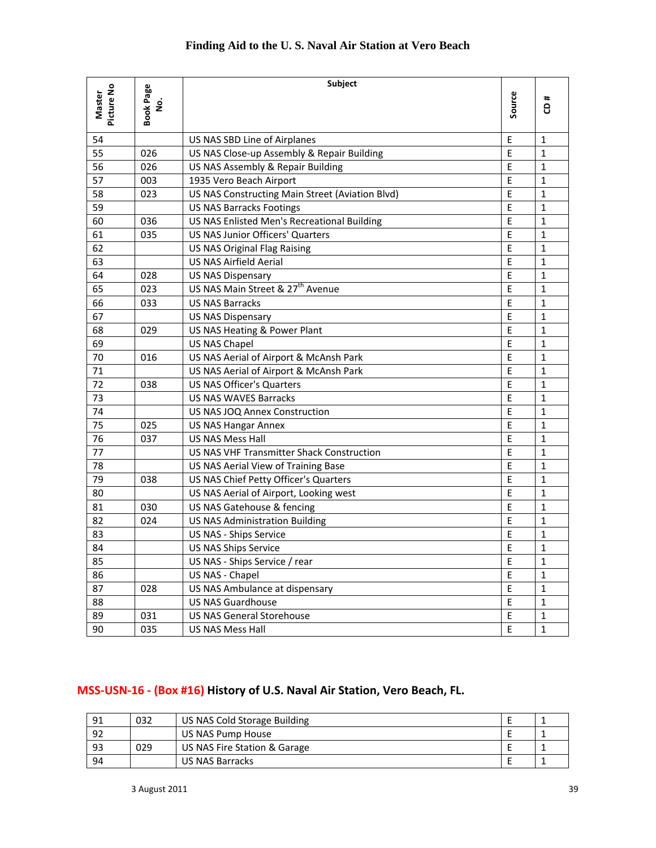|                      |                | Subject                                         |              |              |
|----------------------|----------------|-------------------------------------------------|--------------|--------------|
| Picture No<br>Master | Book Page<br>ġ |                                                 | Source       | #<br>8       |
| 54                   |                | US NAS SBD Line of Airplanes                    | E            | $\mathbf{1}$ |
| 55                   | 026            | US NAS Close-up Assembly & Repair Building      | E            | $\mathbf{1}$ |
| 56                   | 026            | US NAS Assembly & Repair Building               | E            | $\mathbf{1}$ |
| 57                   | 003            | 1935 Vero Beach Airport                         | E            | $\mathbf{1}$ |
| 58                   | 023            | US NAS Constructing Main Street (Aviation Blvd) | E            | $\mathbf{1}$ |
| 59                   |                | <b>US NAS Barracks Footings</b>                 | E            | $\mathbf{1}$ |
| 60                   | 036            | US NAS Enlisted Men's Recreational Building     | E            | $\mathbf{1}$ |
| 61                   | 035            | <b>US NAS Junior Officers' Quarters</b>         | $\mathsf E$  | $\mathbf{1}$ |
| 62                   |                | <b>US NAS Original Flag Raising</b>             | E            | $\mathbf{1}$ |
| 63                   |                | <b>US NAS Airfield Aerial</b>                   | E            | 1            |
| 64                   | 028            | <b>US NAS Dispensary</b>                        | E            | $\mathbf{1}$ |
| 65                   | 023            | US NAS Main Street & 27 <sup>th</sup> Avenue    | E            | $\mathbf{1}$ |
| 66                   | 033            | <b>US NAS Barracks</b>                          | E            | $\mathbf{1}$ |
| 67                   |                | <b>US NAS Dispensary</b>                        | E            | $\mathbf{1}$ |
| 68                   | 029            | US NAS Heating & Power Plant                    | E            | $\mathbf{1}$ |
| 69                   |                | E<br><b>US NAS Chapel</b>                       |              | $\mathbf{1}$ |
| 70                   | 016            | US NAS Aerial of Airport & McAnsh Park          | E            | $\mathbf{1}$ |
| 71                   |                | US NAS Aerial of Airport & McAnsh Park          | E            | $\mathbf{1}$ |
| 72                   | 038            | <b>US NAS Officer's Quarters</b>                | E            | $\mathbf{1}$ |
| 73                   |                | <b>US NAS WAVES Barracks</b>                    | E            | $\mathbf{1}$ |
| 74                   |                | E<br>US NAS JOQ Annex Construction              |              | $\mathbf{1}$ |
| 75                   | 025            | US NAS Hangar Annex                             |              | $\mathbf{1}$ |
| 76                   | 037            | <b>US NAS Mess Hall</b>                         | E            | $\mathbf{1}$ |
| 77                   |                | US NAS VHF Transmitter Shack Construction       | E            | $\mathbf{1}$ |
| 78                   |                | US NAS Aerial View of Training Base             | $\mathsf E$  | $\mathbf{1}$ |
| 79                   | 038            | US NAS Chief Petty Officer's Quarters           | E            | $\mathbf{1}$ |
| 80                   |                | US NAS Aerial of Airport, Looking west          | E            | $\mathbf{1}$ |
| 81                   | 030            | US NAS Gatehouse & fencing                      | E            | $\mathbf{1}$ |
| 82                   | 024            | <b>US NAS Administration Building</b>           | E            | $\mathbf{1}$ |
| 83                   |                | US NAS - Ships Service                          | $\mathsf E$  | $\mathbf 1$  |
| 84                   |                | <b>US NAS Ships Service</b>                     | $\mathsf{E}$ | $\mathbf{1}$ |
| 85                   |                | US NAS - Ships Service / rear                   | $\sf E$      | $\mathbf 1$  |
| 86                   |                | US NAS - Chapel                                 | $\mathsf E$  | $\mathbf{1}$ |
| 87                   | 028            | US NAS Ambulance at dispensary                  | $\mathsf E$  | $\mathbf{1}$ |
| 88                   |                | <b>US NAS Guardhouse</b>                        | E            | $\mathbf{1}$ |
| 89                   | 031            | <b>US NAS General Storehouse</b>                | $\mathsf E$  | $\mathbf{1}$ |
| 90                   | 035            | US NAS Mess Hall<br>$\mathsf E$                 |              | $\mathbf{1}$ |

## **MSS‐USN‐16 ‐ (Box #16) History of U.S. Naval Air Station, Vero Beach, FL.**

| 91 | 032 | US NAS Cold Storage Building |  |  |
|----|-----|------------------------------|--|--|
| 92 |     | US NAS Pump House            |  |  |
| 93 | 029 | US NAS Fire Station & Garage |  |  |
| 94 |     | US NAS Barracks              |  |  |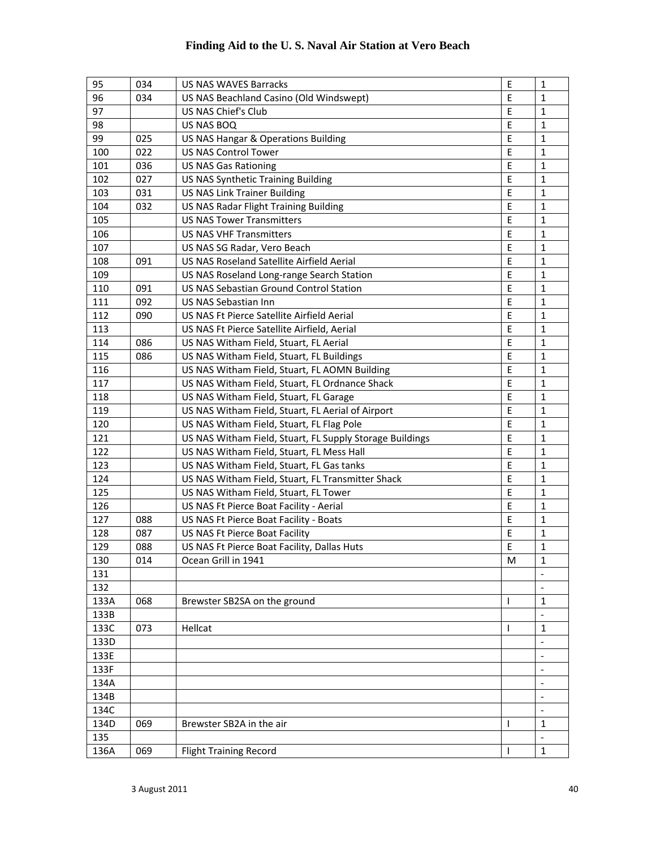| 95   | 034 | <b>US NAS WAVES Barracks</b>                             | E            | 1                        |
|------|-----|----------------------------------------------------------|--------------|--------------------------|
| 96   | 034 | US NAS Beachland Casino (Old Windswept)                  |              | 1                        |
| 97   |     | US NAS Chief's Club                                      | E            | $\mathbf{1}$             |
| 98   |     | US NAS BOQ                                               | E            | $\mathbf{1}$             |
| 99   | 025 | US NAS Hangar & Operations Building                      | E            | $\mathbf{1}$             |
| 100  | 022 | <b>US NAS Control Tower</b>                              | E            | $\mathbf{1}$             |
| 101  | 036 | <b>US NAS Gas Rationing</b>                              | E            | $\mathbf{1}$             |
| 102  | 027 | US NAS Synthetic Training Building                       | E            | $\mathbf{1}$             |
| 103  | 031 | <b>US NAS Link Trainer Building</b>                      | $\mathsf E$  | $\mathbf{1}$             |
| 104  | 032 | US NAS Radar Flight Training Building                    | E            | 1                        |
| 105  |     | <b>US NAS Tower Transmitters</b>                         |              | 1                        |
| 106  |     | <b>US NAS VHF Transmitters</b>                           | E            | 1                        |
| 107  |     | US NAS SG Radar, Vero Beach                              | Ε            | 1                        |
| 108  | 091 | US NAS Roseland Satellite Airfield Aerial                | E            | 1                        |
| 109  |     | US NAS Roseland Long-range Search Station                | E            | $\mathbf{1}$             |
| 110  | 091 | <b>US NAS Sebastian Ground Control Station</b>           | E            | 1                        |
| 111  | 092 | US NAS Sebastian Inn                                     | E            | 1                        |
| 112  | 090 | US NAS Ft Pierce Satellite Airfield Aerial               | E            | 1                        |
| 113  |     | US NAS Ft Pierce Satellite Airfield, Aerial              | E            | 1                        |
| 114  | 086 | US NAS Witham Field, Stuart, FL Aerial                   | E            | 1                        |
| 115  | 086 | US NAS Witham Field, Stuart, FL Buildings                | E            | 1                        |
| 116  |     | US NAS Witham Field, Stuart, FL AOMN Building            | E            | $\mathbf{1}$             |
| 117  |     | US NAS Witham Field, Stuart, FL Ordnance Shack           | E            | $\mathbf{1}$             |
| 118  |     | US NAS Witham Field, Stuart, FL Garage                   | E            | $\mathbf{1}$             |
| 119  |     | E<br>US NAS Witham Field, Stuart, FL Aerial of Airport   |              | $\mathbf{1}$             |
| 120  |     | US NAS Witham Field, Stuart, FL Flag Pole                | $\mathsf E$  | $\mathbf{1}$             |
| 121  |     | US NAS Witham Field, Stuart, FL Supply Storage Buildings | E            | 1                        |
| 122  |     | US NAS Witham Field, Stuart, FL Mess Hall                | $\mathsf E$  | 1                        |
| 123  |     | US NAS Witham Field, Stuart, FL Gas tanks                | E            | $\mathbf{1}$             |
| 124  |     | US NAS Witham Field, Stuart, FL Transmitter Shack        |              | 1                        |
| 125  |     | US NAS Witham Field, Stuart, FL Tower                    |              | 1                        |
| 126  |     | US NAS Ft Pierce Boat Facility - Aerial                  |              | $\mathbf{1}$             |
| 127  | 088 | US NAS Ft Pierce Boat Facility - Boats                   |              | 1                        |
| 128  | 087 | US NAS Ft Pierce Boat Facility                           | E            | 1                        |
| 129  | 088 | US NAS Ft Pierce Boat Facility, Dallas Huts              | E            | 1                        |
| 130  | 014 | Ocean Grill in 1941                                      | M            | 1                        |
| 131  |     |                                                          |              | $\overline{\phantom{a}}$ |
| 132  |     |                                                          |              | $\overline{\phantom{a}}$ |
| 133A | 068 | Brewster SB2SA on the ground                             | $\mathbf{I}$ | 1                        |
| 133B |     |                                                          |              |                          |
| 133C | 073 | Hellcat                                                  | T            | $\mathbf{1}$             |
| 133D |     |                                                          |              | $\overline{\phantom{a}}$ |
| 133E |     |                                                          |              | $\overline{\phantom{a}}$ |
| 133F |     |                                                          |              | $\overline{\phantom{a}}$ |
| 134A |     |                                                          |              | $\overline{\phantom{a}}$ |
| 134B |     |                                                          |              | $\overline{\phantom{a}}$ |
| 134C |     |                                                          |              | $\overline{\phantom{m}}$ |
| 134D | 069 | Brewster SB2A in the air                                 | ı            | 1                        |
| 135  |     |                                                          |              |                          |
| 136A | 069 | <b>Flight Training Record</b>                            | T            | $\mathbf{1}$             |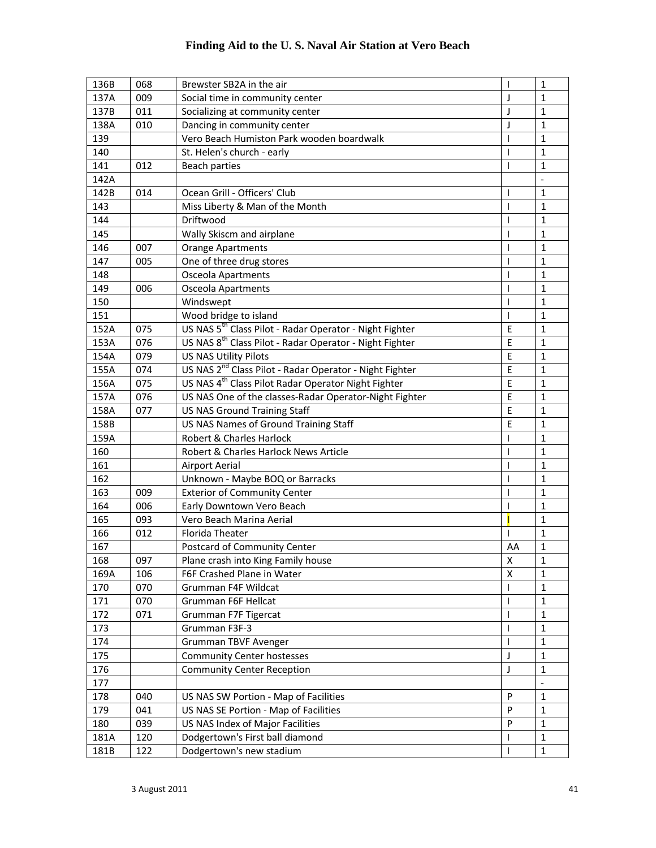| 136B | 068 | Brewster SB2A in the air                                            | I                             | $\mathbf{1}$             |
|------|-----|---------------------------------------------------------------------|-------------------------------|--------------------------|
| 137A | 009 | Social time in community center                                     |                               | 1                        |
| 137B | 011 | Socializing at community center                                     | J<br>J                        | $\mathbf{1}$             |
| 138A | 010 | Dancing in community center                                         | J                             | 1                        |
| 139  |     | Vero Beach Humiston Park wooden boardwalk                           | ı                             | 1                        |
| 140  |     | St. Helen's church - early                                          |                               | $\mathbf{1}$             |
| 141  | 012 | <b>Beach parties</b>                                                | ı                             | $\mathbf{1}$             |
| 142A |     |                                                                     |                               |                          |
| 142B | 014 | Ocean Grill - Officers' Club                                        | J.                            | $\mathbf{1}$             |
| 143  |     | Miss Liberty & Man of the Month                                     | I                             | 1                        |
| 144  |     | Driftwood                                                           | J                             | 1                        |
| 145  |     | Wally Skiscm and airplane                                           | T                             | $\mathbf{1}$             |
| 146  | 007 | <b>Orange Apartments</b>                                            |                               | $\mathbf{1}$             |
| 147  | 005 | One of three drug stores                                            | T<br>$\overline{\phantom{a}}$ | $\mathbf{1}$             |
| 148  |     | Osceola Apartments                                                  | T                             | $\mathbf{1}$             |
| 149  | 006 | <b>Osceola Apartments</b>                                           | ı                             | $\mathbf{1}$             |
| 150  |     | Windswept                                                           | $\overline{\phantom{a}}$      | $\mathbf{1}$             |
| 151  |     | Wood bridge to island                                               | 1                             | 1                        |
| 152A | 075 | US NAS 5 <sup>th</sup> Class Pilot - Radar Operator - Night Fighter | E                             | $\mathbf{1}$             |
| 153A | 076 | US NAS 8 <sup>th</sup> Class Pilot - Radar Operator - Night Fighter | E                             | 1                        |
| 154A | 079 | <b>US NAS Utility Pilots</b>                                        | E                             | 1                        |
| 155A | 074 | US NAS 2 <sup>nd</sup> Class Pilot - Radar Operator - Night Fighter | E                             | 1                        |
| 156A | 075 | US NAS 4 <sup>th</sup> Class Pilot Radar Operator Night Fighter     | E                             | $\mathbf{1}$             |
| 157A | 076 | US NAS One of the classes-Radar Operator-Night Fighter              | E                             | $\mathbf{1}$             |
| 158A | 077 | <b>US NAS Ground Training Staff</b>                                 |                               | $\mathbf{1}$             |
| 158B |     | US NAS Names of Ground Training Staff                               |                               | 1                        |
| 159A |     | Robert & Charles Harlock                                            | E                             | 1                        |
| 160  |     | Robert & Charles Harlock News Article                               | ı                             | 1                        |
| 161  |     | <b>Airport Aerial</b>                                               | T                             | $\mathbf{1}$             |
| 162  |     | Unknown - Maybe BOQ or Barracks                                     | T                             | $\mathbf{1}$             |
| 163  | 009 | <b>Exterior of Community Center</b>                                 | $\overline{\phantom{a}}$      | $\mathbf{1}$             |
| 164  | 006 | Early Downtown Vero Beach                                           |                               | $\mathbf{1}$             |
| 165  | 093 | Vero Beach Marina Aerial                                            |                               | $\mathbf{1}$             |
| 166  | 012 | Florida Theater                                                     | T                             | $\mathbf{1}$             |
| 167  |     | Postcard of Community Center                                        | AA                            | 1                        |
| 168  | 097 | Plane crash into King Family house                                  | Χ                             | $\mathbf{1}$             |
| 169A | 106 | F6F Crashed Plane in Water                                          | x                             | 1                        |
| 170  | 070 | Grumman F4F Wildcat                                                 |                               | $\mathbf{1}$             |
| 171  | 070 | Grumman F6F Hellcat                                                 |                               | $\mathbf{1}$             |
| 172  | 071 | Grumman F7F Tigercat                                                | ı                             | 1                        |
| 173  |     | Grumman F3F-3                                                       | ı                             | 1                        |
| 174  |     | <b>Grumman TBVF Avenger</b>                                         |                               | 1                        |
| 175  |     | <b>Community Center hostesses</b>                                   | J                             | 1                        |
| 176  |     | <b>Community Center Reception</b>                                   | J                             | $\mathbf{1}$             |
| 177  |     |                                                                     |                               | $\overline{\phantom{a}}$ |
| 178  | 040 | US NAS SW Portion - Map of Facilities                               | P                             | 1                        |
| 179  | 041 | US NAS SE Portion - Map of Facilities                               | P                             | $\mathbf{1}$             |
| 180  | 039 | US NAS Index of Major Facilities                                    | P                             | $\mathbf{1}$             |
| 181A | 120 | Dodgertown's First ball diamond                                     | T                             | $\mathbf{1}$             |
| 181B | 122 | Dodgertown's new stadium                                            | T                             | $\mathbf{1}$             |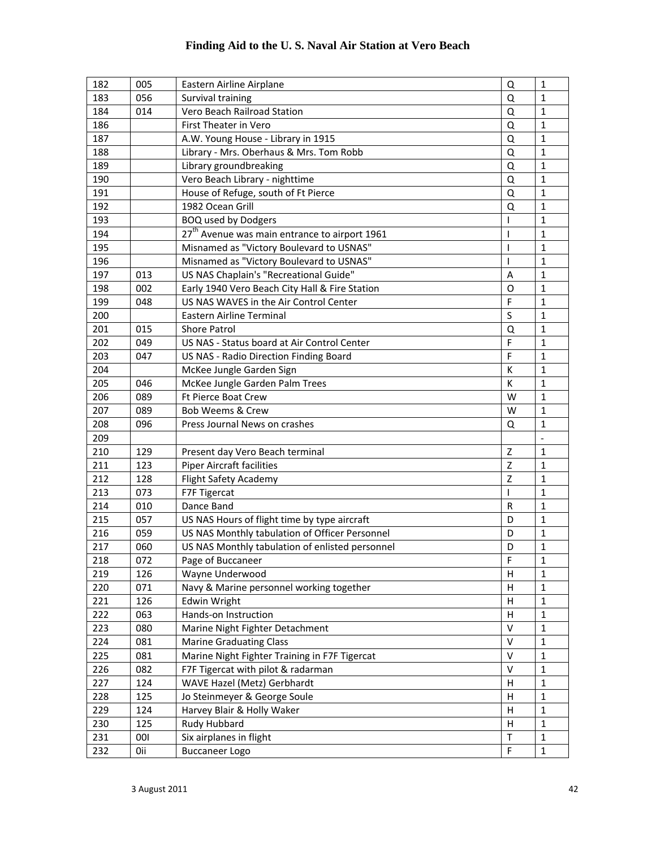| 182 | 005 | Eastern Airline Airplane                                       | Q              | $\mathbf{1}$             |
|-----|-----|----------------------------------------------------------------|----------------|--------------------------|
| 183 | 056 | Survival training                                              |                | 1                        |
| 184 | 014 | Vero Beach Railroad Station                                    | Q              | $\mathbf{1}$             |
| 186 |     | First Theater in Vero                                          | Q              | 1                        |
| 187 |     | A.W. Young House - Library in 1915                             | Q              | 1                        |
| 188 |     | Library - Mrs. Oberhaus & Mrs. Tom Robb                        | Q              | $\mathbf{1}$             |
| 189 |     | Library groundbreaking                                         | Q              | $\mathbf{1}$             |
| 190 |     | Vero Beach Library - nighttime                                 | Q              | $\mathbf{1}$             |
| 191 |     | House of Refuge, south of Ft Pierce                            | Q              | 1                        |
| 192 |     | 1982 Ocean Grill                                               | Q              | $\mathbf{1}$             |
| 193 |     | <b>BOQ used by Dodgers</b>                                     | I              | 1                        |
| 194 |     | 27 <sup>th</sup> Avenue was main entrance to airport 1961<br>T |                | $\mathbf{1}$             |
| 195 |     | Misnamed as "Victory Boulevard to USNAS"                       | $\overline{1}$ | $\mathbf{1}$             |
| 196 |     | Misnamed as "Victory Boulevard to USNAS"                       | T              | 1                        |
| 197 | 013 | US NAS Chaplain's "Recreational Guide"                         | A              | $\mathbf{1}$             |
| 198 | 002 | Early 1940 Vero Beach City Hall & Fire Station                 | O              | $\mathbf{1}$             |
| 199 | 048 | US NAS WAVES in the Air Control Center                         | F              | $\mathbf{1}$             |
| 200 |     | <b>Eastern Airline Terminal</b>                                | S              | 1                        |
| 201 | 015 | <b>Shore Patrol</b>                                            | Q              | 1                        |
| 202 | 049 | US NAS - Status board at Air Control Center                    | F              | 1                        |
| 203 | 047 | US NAS - Radio Direction Finding Board                         | F              | 1                        |
| 204 |     | McKee Jungle Garden Sign                                       | К              | 1                        |
| 205 | 046 | McKee Jungle Garden Palm Trees                                 | К              | $\mathbf 1$              |
| 206 | 089 | Ft Pierce Boat Crew                                            | W              | $\mathbf{1}$             |
| 207 | 089 | Bob Weems & Crew                                               | W              | 1                        |
| 208 | 096 | Press Journal News on crashes                                  | Q              | 1                        |
| 209 |     |                                                                |                | $\overline{\phantom{0}}$ |
| 210 | 129 | Present day Vero Beach terminal                                | Z              | 1                        |
| 211 | 123 | <b>Piper Aircraft facilities</b>                               | Z              | $\mathbf{1}$             |
| 212 | 128 | <b>Flight Safety Academy</b>                                   | Z              | $\mathbf{1}$             |
| 213 | 073 | F7F Tigercat                                                   | T              | $\mathbf{1}$             |
| 214 | 010 | Dance Band                                                     |                | $\mathbf{1}$             |
| 215 | 057 | US NAS Hours of flight time by type aircraft                   | D              | $\mathbf{1}$             |
| 216 | 059 | US NAS Monthly tabulation of Officer Personnel                 | D              | $\mathbf{1}$             |
| 217 | 060 | US NAS Monthly tabulation of enlisted personnel                | D              | $\mathbf{1}$             |
| 218 | 072 | Page of Buccaneer                                              | F              | $\mathbf{1}$             |
| 219 | 126 | Wayne Underwood                                                | н              | 1                        |
| 220 | 071 | Navy & Marine personnel working together                       | Н              | $\mathbf{1}$             |
| 221 | 126 | Edwin Wright                                                   | н              | 1                        |
| 222 | 063 | Hands-on Instruction                                           | н              | $\mathbf{1}$             |
| 223 | 080 | Marine Night Fighter Detachment                                | $\vee$         | 1                        |
| 224 | 081 | <b>Marine Graduating Class</b>                                 | $\vee$         | 1                        |
| 225 | 081 | Marine Night Fighter Training in F7F Tigercat                  | $\vee$         | 1                        |
| 226 | 082 | F7F Tigercat with pilot & radarman                             | v              | 1                        |
| 227 | 124 | WAVE Hazel (Metz) Gerbhardt                                    | H              | 1                        |
| 228 | 125 | Jo Steinmeyer & George Soule                                   | н              | $\mathbf{1}$             |
| 229 | 124 | Harvey Blair & Holly Waker                                     | н              | $\mathbf{1}$             |
| 230 | 125 | Rudy Hubbard                                                   | н              | $\mathbf{1}$             |
| 231 | 001 | Six airplanes in flight                                        | $\sf T$        | $\mathbf{1}$             |
| 232 | Oii | <b>Buccaneer Logo</b>                                          | F              | $\mathbf{1}$             |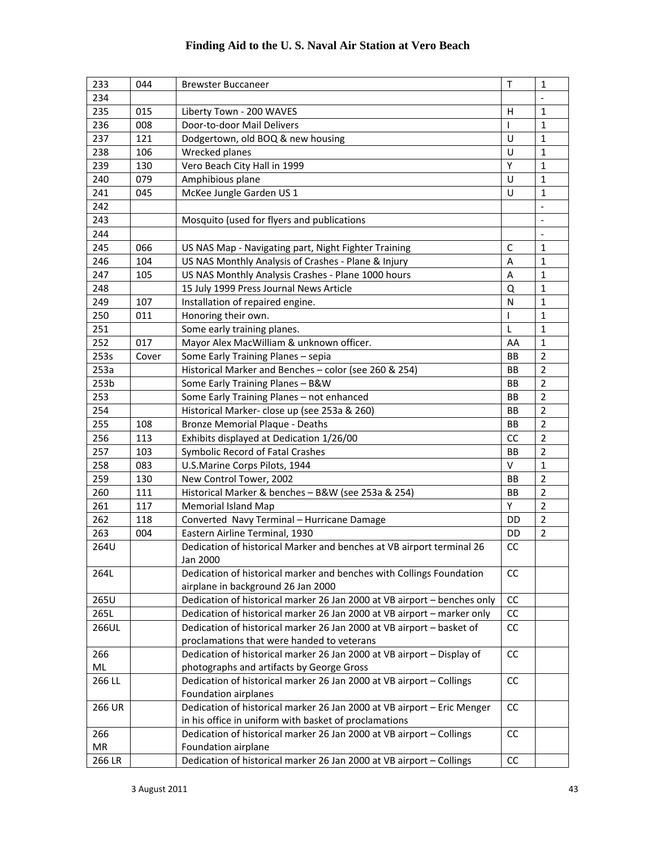| 233       | 044   | <b>Brewster Buccaneer</b>                                                        | $\mathsf T$ | $\mathbf{1}$             |
|-----------|-------|----------------------------------------------------------------------------------|-------------|--------------------------|
| 234       |       |                                                                                  |             | $\overline{a}$           |
| 235       | 015   | Liberty Town - 200 WAVES                                                         | н           | $\mathbf{1}$             |
| 236       | 008   | Door-to-door Mail Delivers                                                       | I           | 1                        |
| 237       | 121   | Dodgertown, old BOQ & new housing                                                | U           | $\mathbf 1$              |
| 238       | 106   | Wrecked planes                                                                   | U           | $\mathbf{1}$             |
| 239       | 130   | Vero Beach City Hall in 1999                                                     | Υ           | 1                        |
| 240       | 079   | Amphibious plane                                                                 | U           | 1                        |
| 241       | 045   | McKee Jungle Garden US 1                                                         | U           | $\mathbf{1}$             |
| 242       |       |                                                                                  |             | $\overline{\phantom{a}}$ |
| 243       |       | Mosquito (used for flyers and publications                                       |             | $\overline{\phantom{a}}$ |
| 244       |       |                                                                                  |             | $\overline{\phantom{a}}$ |
| 245       | 066   | US NAS Map - Navigating part, Night Fighter Training                             | C           | $\mathbf{1}$             |
| 246       | 104   | US NAS Monthly Analysis of Crashes - Plane & Injury                              |             | $\mathbf{1}$             |
| 247       | 105   | US NAS Monthly Analysis Crashes - Plane 1000 hours                               | A<br>A      | $\mathbf{1}$             |
| 248       |       | 15 July 1999 Press Journal News Article                                          | Q           | $\mathbf{1}$             |
| 249       | 107   | Installation of repaired engine.                                                 | N           | 1                        |
| 250       | 011   | Honoring their own.                                                              | T           | $\mathbf{1}$             |
| 251       |       | Some early training planes.                                                      | L           | 1                        |
| 252       | 017   | Mayor Alex MacWilliam & unknown officer.                                         | AA          | $\mathbf{1}$             |
| 253s      | Cover | Some Early Training Planes - sepia                                               | <b>BB</b>   | $\overline{2}$           |
| 253a      |       | Historical Marker and Benches - color (see 260 & 254)                            | BB          | $\overline{2}$           |
| 253b      |       | Some Early Training Planes - B&W                                                 | <b>BB</b>   | $\overline{2}$           |
| 253       |       | Some Early Training Planes - not enhanced<br>BB                                  |             | $\overline{2}$           |
| 254       |       | Historical Marker- close up (see 253a & 260)                                     |             | $\overline{2}$           |
| 255       | 108   | <b>Bronze Memorial Plaque - Deaths</b>                                           |             | $\overline{2}$           |
| 256       | 113   | Exhibits displayed at Dedication 1/26/00                                         |             | $\overline{2}$           |
| 257       | 103   | Symbolic Record of Fatal Crashes                                                 |             | $\overline{2}$           |
| 258       | 083   | U.S.Marine Corps Pilots, 1944                                                    |             | $\mathbf{1}$             |
| 259       | 130   | New Control Tower, 2002                                                          |             | $\overline{2}$           |
| 260       | 111   |                                                                                  |             | $\overline{2}$           |
| 261       | 117   | Historical Marker & benches - B&W (see 253a & 254)<br><b>Memorial Island Map</b> |             | $\overline{2}$           |
| 262       | 118   | Converted Navy Terminal - Hurricane Damage                                       | Υ<br>DD     | $\overline{2}$           |
| 263       | 004   | Eastern Airline Terminal, 1930                                                   | DD          | $\overline{2}$           |
| 264U      |       | Dedication of historical Marker and benches at VB airport terminal 26            | CC          |                          |
|           |       | Jan 2000                                                                         |             |                          |
| 264L      |       | Dedication of historical marker and benches with Collings Foundation             | <b>CC</b>   |                          |
|           |       | airplane in background 26 Jan 2000                                               |             |                          |
| 265U      |       | Dedication of historical marker 26 Jan 2000 at VB airport - benches only         | cc          |                          |
| 265L      |       | Dedication of historical marker 26 Jan 2000 at VB airport - marker only          | cc          |                          |
| 266UL     |       | Dedication of historical marker 26 Jan 2000 at VB airport - basket of            | cc          |                          |
|           |       | proclamations that were handed to veterans                                       |             |                          |
| 266       |       | Dedication of historical marker 26 Jan 2000 at VB airport - Display of           | CC          |                          |
| ML        |       | photographs and artifacts by George Gross                                        |             |                          |
| 266 LL    |       | Dedication of historical marker 26 Jan 2000 at VB airport - Collings             | CC          |                          |
|           |       | Foundation airplanes                                                             |             |                          |
| 266 UR    |       | Dedication of historical marker 26 Jan 2000 at VB airport - Eric Menger          | cc          |                          |
|           |       | in his office in uniform with basket of proclamations                            |             |                          |
| 266       |       | Dedication of historical marker 26 Jan 2000 at VB airport - Collings             | CC          |                          |
| <b>MR</b> |       | Foundation airplane                                                              |             |                          |
| 266 LR    |       | Dedication of historical marker 26 Jan 2000 at VB airport - Collings             | cc          |                          |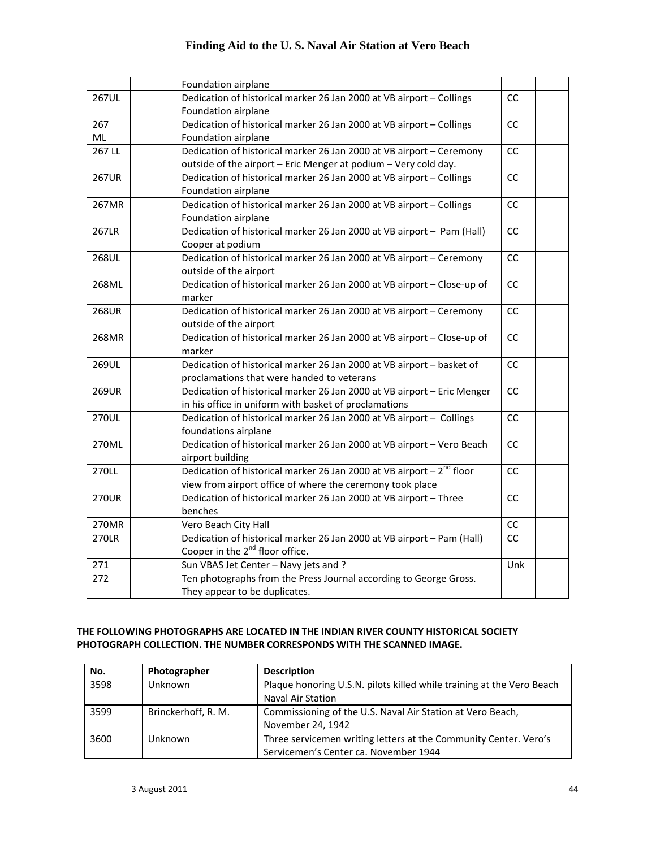|              | Foundation airplane                                                        |           |  |
|--------------|----------------------------------------------------------------------------|-----------|--|
| <b>267UL</b> | Dedication of historical marker 26 Jan 2000 at VB airport - Collings       | <b>CC</b> |  |
|              | Foundation airplane                                                        |           |  |
| 267          | Dedication of historical marker 26 Jan 2000 at VB airport - Collings<br>CC |           |  |
| ML           | Foundation airplane                                                        |           |  |
| 267 LL       | Dedication of historical marker 26 Jan 2000 at VB airport - Ceremony       | <b>CC</b> |  |
|              | outside of the airport - Eric Menger at podium - Very cold day.            |           |  |
| <b>267UR</b> | Dedication of historical marker 26 Jan 2000 at VB airport - Collings       | CC        |  |
|              | Foundation airplane                                                        |           |  |
| 267MR        | Dedication of historical marker 26 Jan 2000 at VB airport - Collings       | <b>CC</b> |  |
|              | Foundation airplane                                                        |           |  |
| 267LR        | Dedication of historical marker 26 Jan 2000 at VB airport - Pam (Hall)     | CC        |  |
|              | Cooper at podium                                                           |           |  |
| 268UL        | Dedication of historical marker 26 Jan 2000 at VB airport - Ceremony       | CC        |  |
|              | outside of the airport                                                     |           |  |
| 268ML        | Dedication of historical marker 26 Jan 2000 at VB airport - Close-up of    | CC        |  |
|              | marker                                                                     |           |  |
| 268UR        | Dedication of historical marker 26 Jan 2000 at VB airport - Ceremony       | <b>CC</b> |  |
|              | outside of the airport                                                     |           |  |
| 268MR        | Dedication of historical marker 26 Jan 2000 at VB airport - Close-up of    | <b>CC</b> |  |
|              | marker                                                                     |           |  |
| 269UL        | Dedication of historical marker 26 Jan 2000 at VB airport - basket of      | CC        |  |
|              | proclamations that were handed to veterans                                 |           |  |
| 269UR        | Dedication of historical marker 26 Jan 2000 at VB airport - Eric Menger    | <b>CC</b> |  |
|              | in his office in uniform with basket of proclamations                      |           |  |
| <b>270UL</b> | Dedication of historical marker 26 Jan 2000 at VB airport - Collings       | <b>CC</b> |  |
|              | foundations airplane                                                       |           |  |
| 270ML        | Dedication of historical marker 26 Jan 2000 at VB airport - Vero Beach     | CC        |  |
|              | airport building                                                           |           |  |
| 270LL        | Dedication of historical marker 26 Jan 2000 at VB airport $-2^{nd}$ floor  | <b>CC</b> |  |
|              | view from airport office of where the ceremony took place                  |           |  |
| <b>270UR</b> | Dedication of historical marker 26 Jan 2000 at VB airport - Three          | <b>CC</b> |  |
|              | benches                                                                    |           |  |
| 270MR        | Vero Beach City Hall                                                       | cc        |  |
| <b>270LR</b> | Dedication of historical marker 26 Jan 2000 at VB airport - Pam (Hall)     | <b>CC</b> |  |
|              | Cooper in the 2 <sup>nd</sup> floor office.                                |           |  |
| 271          | Sun VBAS Jet Center - Navy jets and ?                                      | Unk       |  |
| 272          | Ten photographs from the Press Journal according to George Gross.          |           |  |
|              | They appear to be duplicates.                                              |           |  |

#### **THE FOLLOWING PHOTOGRAPHS ARE LOCATED IN THE INDIAN RIVER COUNTY HISTORICAL SOCIETY PHOTOGRAPH COLLECTION. THE NUMBER CORRESPONDS WITH THE SCANNED IMAGE.**

| No.  | Photographer        | <b>Description</b>                                                                                        |
|------|---------------------|-----------------------------------------------------------------------------------------------------------|
| 3598 | Unknown             | Plaque honoring U.S.N. pilots killed while training at the Vero Beach<br><b>Naval Air Station</b>         |
| 3599 | Brinckerhoff, R. M. | Commissioning of the U.S. Naval Air Station at Vero Beach,<br>November 24, 1942                           |
| 3600 | Unknown             | Three servicemen writing letters at the Community Center. Vero's<br>Servicemen's Center ca. November 1944 |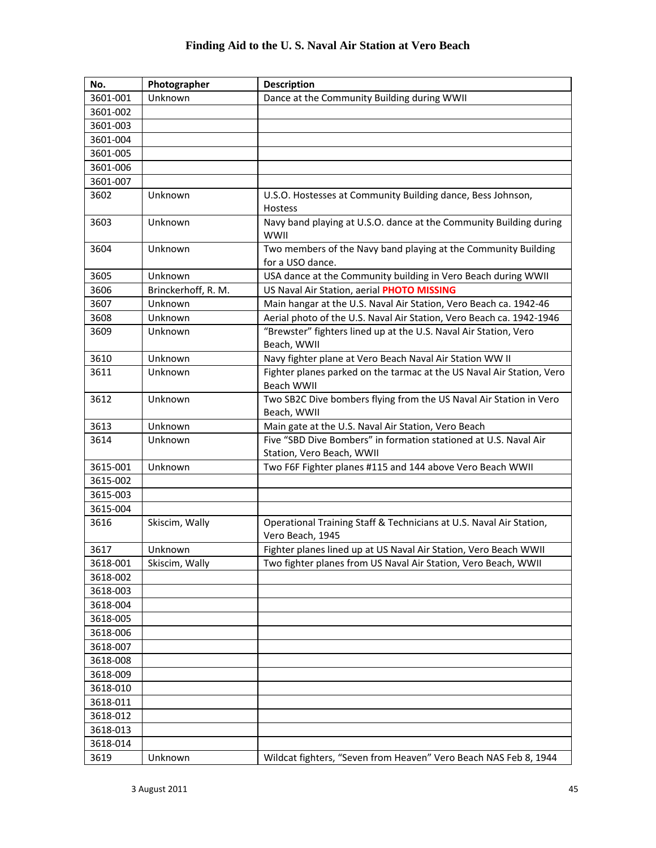| No.      | Photographer        | <b>Description</b>                                                                            |
|----------|---------------------|-----------------------------------------------------------------------------------------------|
| 3601-001 | Unknown             | Dance at the Community Building during WWII                                                   |
| 3601-002 |                     |                                                                                               |
| 3601-003 |                     |                                                                                               |
| 3601-004 |                     |                                                                                               |
| 3601-005 |                     |                                                                                               |
| 3601-006 |                     |                                                                                               |
| 3601-007 |                     |                                                                                               |
| 3602     | Unknown             | U.S.O. Hostesses at Community Building dance, Bess Johnson,<br>Hostess                        |
| 3603     | Unknown             | Navy band playing at U.S.O. dance at the Community Building during<br>WWII                    |
| 3604     | Unknown             | Two members of the Navy band playing at the Community Building<br>for a USO dance.            |
| 3605     | Unknown             | USA dance at the Community building in Vero Beach during WWII                                 |
| 3606     | Brinckerhoff, R. M. | US Naval Air Station, aerial PHOTO MISSING                                                    |
| 3607     | Unknown             | Main hangar at the U.S. Naval Air Station, Vero Beach ca. 1942-46                             |
| 3608     | Unknown             | Aerial photo of the U.S. Naval Air Station, Vero Beach ca. 1942-1946                          |
| 3609     | Unknown             | "Brewster" fighters lined up at the U.S. Naval Air Station, Vero<br>Beach, WWII               |
| 3610     | Unknown             | Navy fighter plane at Vero Beach Naval Air Station WW II                                      |
| 3611     | Unknown             | Fighter planes parked on the tarmac at the US Naval Air Station, Vero<br>Beach WWII           |
| 3612     | Unknown             | Two SB2C Dive bombers flying from the US Naval Air Station in Vero<br>Beach, WWII             |
| 3613     | Unknown             | Main gate at the U.S. Naval Air Station, Vero Beach                                           |
| 3614     | Unknown             | Five "SBD Dive Bombers" in formation stationed at U.S. Naval Air<br>Station, Vero Beach, WWII |
| 3615-001 | Unknown             | Two F6F Fighter planes #115 and 144 above Vero Beach WWII                                     |
| 3615-002 |                     |                                                                                               |
| 3615-003 |                     |                                                                                               |
| 3615-004 |                     |                                                                                               |
| 3616     | Skiscim, Wally      | Operational Training Staff & Technicians at U.S. Naval Air Station,<br>Vero Beach, 1945       |
| 3617     | Unknown             | Fighter planes lined up at US Naval Air Station, Vero Beach WWII                              |
| 3618-001 | Skiscim, Wally      | Two fighter planes from US Naval Air Station, Vero Beach, WWII                                |
| 3618-002 |                     |                                                                                               |
| 3618-003 |                     |                                                                                               |
| 3618-004 |                     |                                                                                               |
| 3618-005 |                     |                                                                                               |
| 3618-006 |                     |                                                                                               |
| 3618-007 |                     |                                                                                               |
| 3618-008 |                     |                                                                                               |
| 3618-009 |                     |                                                                                               |
| 3618-010 |                     |                                                                                               |
| 3618-011 |                     |                                                                                               |
| 3618-012 |                     |                                                                                               |
| 3618-013 |                     |                                                                                               |
| 3618-014 |                     |                                                                                               |
| 3619     | Unknown             | Wildcat fighters, "Seven from Heaven" Vero Beach NAS Feb 8, 1944                              |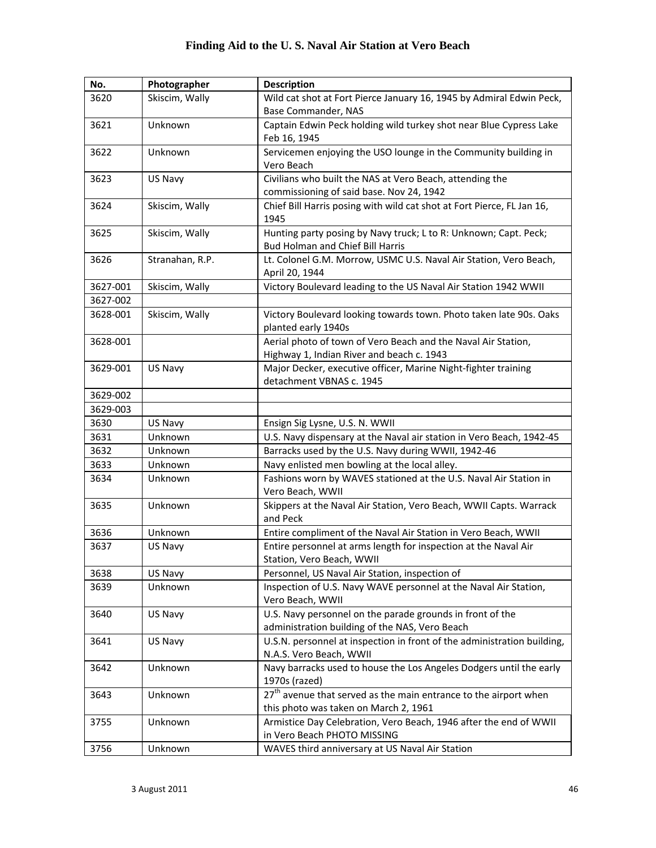| No.      | Photographer    | <b>Description</b>                                                                                          |
|----------|-----------------|-------------------------------------------------------------------------------------------------------------|
| 3620     | Skiscim, Wally  | Wild cat shot at Fort Pierce January 16, 1945 by Admiral Edwin Peck,                                        |
|          |                 | Base Commander, NAS                                                                                         |
| 3621     | Unknown         | Captain Edwin Peck holding wild turkey shot near Blue Cypress Lake                                          |
|          |                 | Feb 16, 1945                                                                                                |
| 3622     | Unknown         | Servicemen enjoying the USO lounge in the Community building in                                             |
|          |                 | Vero Beach                                                                                                  |
| 3623     | US Navy         | Civilians who built the NAS at Vero Beach, attending the                                                    |
|          |                 | commissioning of said base. Nov 24, 1942                                                                    |
| 3624     | Skiscim, Wally  | Chief Bill Harris posing with wild cat shot at Fort Pierce, FL Jan 16,<br>1945                              |
| 3625     | Skiscim, Wally  | Hunting party posing by Navy truck; L to R: Unknown; Capt. Peck;<br><b>Bud Holman and Chief Bill Harris</b> |
| 3626     | Stranahan, R.P. | Lt. Colonel G.M. Morrow, USMC U.S. Naval Air Station, Vero Beach,<br>April 20, 1944                         |
| 3627-001 | Skiscim, Wally  | Victory Boulevard leading to the US Naval Air Station 1942 WWII                                             |
| 3627-002 |                 |                                                                                                             |
| 3628-001 | Skiscim, Wally  | Victory Boulevard looking towards town. Photo taken late 90s. Oaks<br>planted early 1940s                   |
| 3628-001 |                 | Aerial photo of town of Vero Beach and the Naval Air Station,                                               |
|          |                 | Highway 1, Indian River and beach c. 1943                                                                   |
| 3629-001 | US Navy         | Major Decker, executive officer, Marine Night-fighter training<br>detachment VBNAS c. 1945                  |
| 3629-002 |                 |                                                                                                             |
| 3629-003 |                 |                                                                                                             |
| 3630     | US Navy         | Ensign Sig Lysne, U.S. N. WWII                                                                              |
| 3631     | Unknown         | U.S. Navy dispensary at the Naval air station in Vero Beach, 1942-45                                        |
| 3632     | Unknown         | Barracks used by the U.S. Navy during WWII, 1942-46                                                         |
| 3633     | Unknown         | Navy enlisted men bowling at the local alley.                                                               |
| 3634     | Unknown         | Fashions worn by WAVES stationed at the U.S. Naval Air Station in                                           |
|          |                 | Vero Beach, WWII                                                                                            |
| 3635     | Unknown         | Skippers at the Naval Air Station, Vero Beach, WWII Capts. Warrack<br>and Peck                              |
| 3636     | Unknown         | Entire compliment of the Naval Air Station in Vero Beach, WWII                                              |
| 3637     | US Navy         | Entire personnel at arms length for inspection at the Naval Air<br>Station, Vero Beach, WWII                |
| 3638     | US Navy         | Personnel, US Naval Air Station, inspection of                                                              |
| 3639     | Unknown         | Inspection of U.S. Navy WAVE personnel at the Naval Air Station,<br>Vero Beach, WWII                        |
| 3640     | US Navy         | U.S. Navy personnel on the parade grounds in front of the<br>administration building of the NAS, Vero Beach |
| 3641     | US Navy         | U.S.N. personnel at inspection in front of the administration building,                                     |
|          |                 | N.A.S. Vero Beach, WWII                                                                                     |
| 3642     | Unknown         | Navy barracks used to house the Los Angeles Dodgers until the early                                         |
|          |                 | 1970s (razed)                                                                                               |
| 3643     | Unknown         | 27 <sup>th</sup> avenue that served as the main entrance to the airport when                                |
|          |                 | this photo was taken on March 2, 1961                                                                       |
| 3755     | Unknown         | Armistice Day Celebration, Vero Beach, 1946 after the end of WWII                                           |
|          |                 | in Vero Beach PHOTO MISSING                                                                                 |
| 3756     | Unknown         | WAVES third anniversary at US Naval Air Station                                                             |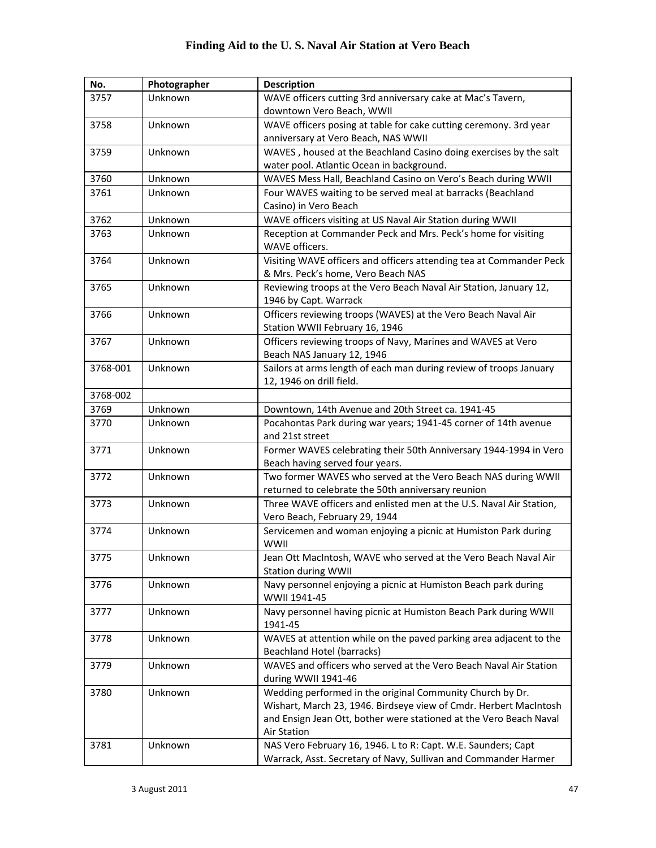| No.      | Photographer | <b>Description</b>                                                     |
|----------|--------------|------------------------------------------------------------------------|
| 3757     | Unknown      | WAVE officers cutting 3rd anniversary cake at Mac's Tavern,            |
|          |              | downtown Vero Beach, WWII                                              |
| 3758     | Unknown      | WAVE officers posing at table for cake cutting ceremony. 3rd year      |
|          |              | anniversary at Vero Beach, NAS WWII                                    |
| 3759     | Unknown      | WAVES, housed at the Beachland Casino doing exercises by the salt      |
|          |              | water pool. Atlantic Ocean in background.                              |
| 3760     | Unknown      | WAVES Mess Hall, Beachland Casino on Vero's Beach during WWII          |
| 3761     | Unknown      | Four WAVES waiting to be served meal at barracks (Beachland            |
|          |              | Casino) in Vero Beach                                                  |
| 3762     | Unknown      | WAVE officers visiting at US Naval Air Station during WWII             |
| 3763     | Unknown      | Reception at Commander Peck and Mrs. Peck's home for visiting          |
|          |              | WAVE officers.                                                         |
| 3764     | Unknown      | Visiting WAVE officers and officers attending tea at Commander Peck    |
|          |              | & Mrs. Peck's home, Vero Beach NAS                                     |
| 3765     | Unknown      | Reviewing troops at the Vero Beach Naval Air Station, January 12,      |
|          |              | 1946 by Capt. Warrack                                                  |
| 3766     | Unknown      | Officers reviewing troops (WAVES) at the Vero Beach Naval Air          |
|          |              | Station WWII February 16, 1946                                         |
| 3767     | Unknown      | Officers reviewing troops of Navy, Marines and WAVES at Vero           |
|          |              | Beach NAS January 12, 1946                                             |
| 3768-001 | Unknown      | Sailors at arms length of each man during review of troops January     |
|          |              | 12, 1946 on drill field.                                               |
| 3768-002 |              |                                                                        |
| 3769     | Unknown      | Downtown, 14th Avenue and 20th Street ca. 1941-45                      |
| 3770     | Unknown      | Pocahontas Park during war years; 1941-45 corner of 14th avenue        |
|          |              | and 21st street                                                        |
| 3771     | Unknown      | Former WAVES celebrating their 50th Anniversary 1944-1994 in Vero      |
|          |              | Beach having served four years.                                        |
| 3772     | Unknown      | Two former WAVES who served at the Vero Beach NAS during WWII          |
|          |              | returned to celebrate the 50th anniversary reunion                     |
| 3773     | Unknown      | Three WAVE officers and enlisted men at the U.S. Naval Air Station,    |
| 3774     | Unknown      | Vero Beach, February 29, 1944                                          |
|          |              | Servicemen and woman enjoying a picnic at Humiston Park during<br>WWII |
| 3775     | Unknown      | Jean Ott MacIntosh, WAVE who served at the Vero Beach Naval Air        |
|          |              | <b>Station during WWII</b>                                             |
| 3776     | Unknown      | Navy personnel enjoying a picnic at Humiston Beach park during         |
|          |              | WWII 1941-45                                                           |
| 3777     | Unknown      | Navy personnel having picnic at Humiston Beach Park during WWII        |
|          |              | 1941-45                                                                |
| 3778     | Unknown      | WAVES at attention while on the paved parking area adjacent to the     |
|          |              | <b>Beachland Hotel (barracks)</b>                                      |
| 3779     | Unknown      | WAVES and officers who served at the Vero Beach Naval Air Station      |
|          |              | during WWII 1941-46                                                    |
| 3780     | Unknown      | Wedding performed in the original Community Church by Dr.              |
|          |              | Wishart, March 23, 1946. Birdseye view of Cmdr. Herbert MacIntosh      |
|          |              | and Ensign Jean Ott, bother were stationed at the Vero Beach Naval     |
|          |              | <b>Air Station</b>                                                     |
| 3781     | Unknown      | NAS Vero February 16, 1946. L to R: Capt. W.E. Saunders; Capt          |
|          |              | Warrack, Asst. Secretary of Navy, Sullivan and Commander Harmer        |